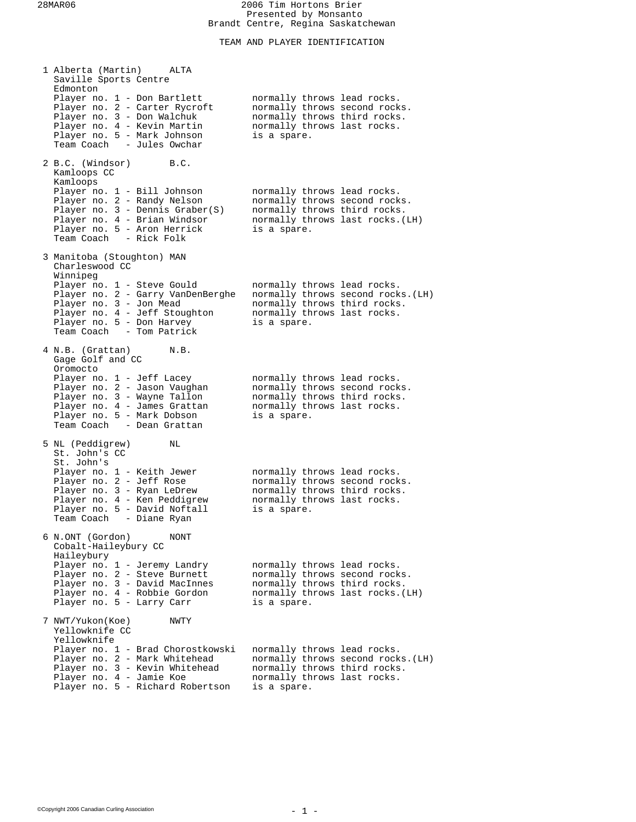TEAM AND PLAYER IDENTIFICATION

| 1 Alberta (Martin)<br>ALTA<br>Saville Sports Centre                                                                                                                                               |                                                                                                                                                 |                                    |
|---------------------------------------------------------------------------------------------------------------------------------------------------------------------------------------------------|-------------------------------------------------------------------------------------------------------------------------------------------------|------------------------------------|
| Edmonton<br>Player no. 1 - Don Bartlett<br>Player no. 2 - Carter Rycroft<br>Player no. 3 - Don Walchuk<br>Player no. 4 - Kevin Martin<br>Player no. 5 - Mark Johnson<br>Team Coach - Jules Owchar | normally throws lead rocks.<br>normally throws second rocks.<br>normally throws third rocks.<br>normally throws last rocks.<br>is a spare.      |                                    |
| 2 B.C. (Windsor)<br>B.C.<br>Kamloops CC<br>Kamloops                                                                                                                                               |                                                                                                                                                 |                                    |
| Player no. 1 - Bill Johnson<br>Player no. 2 - Randy Nelson<br>Player no. 3 - Dennis Graber(S)<br>Player no. 4 - Brian Windsor<br>Player no. 5 - Aron Herrick<br>Team Coach - Rick Folk            | normally throws lead rocks.<br>normally throws second rocks.<br>normally throws third rocks.<br>normally throws last rocks. (LH)<br>is a spare. |                                    |
| 3 Manitoba (Stoughton) MAN<br>Charleswood CC<br>Winnipeg                                                                                                                                          |                                                                                                                                                 |                                    |
| Player no. 1 - Steve Gould<br>Player no. 2 - Garry VanDenBerghe<br>Player no. 3 - Jon Mead<br>Player no. 4 - Jeff Stoughton<br>Player no. 5 - Don Harvey<br>Team Coach - Tom Patrick              | normally throws lead rocks.<br>normally throws third rocks.<br>normally throws last rocks.<br>is a spare.                                       | normally throws second rocks. (LH) |
| 4 N.B. (Grattan)<br>N.B.<br>Gage Golf and CC                                                                                                                                                      |                                                                                                                                                 |                                    |
| Oromocto<br>Player no. 1 - Jeff Lacey<br>Player no. 2 - Jason Vaughan<br>Player no. 3 - Wayne Tallon<br>Player no. 4 - James Grattan<br>Player no. 5 - Mark Dobson<br>Team Coach - Dean Grattan   | normally throws lead rocks.<br>normally throws second rocks.<br>normally throws third rocks.<br>normally throws last rocks.<br>is a spare.      |                                    |
| 5 NL (Peddigrew)<br>NL<br>St. John's CC<br>St. John's                                                                                                                                             |                                                                                                                                                 |                                    |
| Player no. 1 - Keith Jewer<br>Player no. 2 - Jeff Rose<br>Player no. 3 - Ryan LeDrew<br>Player no. 4 - Ken Peddigrew<br>Player no. 5 - David Noftall<br>Team Coach - Diane Ryan                   | normally throws lead rocks.<br>normally throws second rocks.<br>normally throws third rocks.<br>normally throws last rocks.<br>is a spare.      |                                    |
| 6 N.ONT (Gordon)<br>NONT<br>Cobalt-Haileybury CC<br>Haileybury                                                                                                                                    |                                                                                                                                                 |                                    |
| Player no. 1 - Jeremy Landry<br>Player no. 2 - Steve Burnett<br>Player no. 3 - David MacInnes<br>Player no. 4 - Robbie Gordon<br>Player no. 5 - Larry Carr                                        | normally throws lead rocks.<br>normally throws second rocks.<br>normally throws third rocks.<br>normally throws last rocks. (LH)<br>is a spare. |                                    |
| 7 NWT/Yukon(Koe)<br>NWTY<br>Yellowknife CC<br>Yellowknife                                                                                                                                         |                                                                                                                                                 |                                    |
| Player no. 1 - Brad Chorostkowski<br>Player no. 2 - Mark Whitehead<br>Player no. 3 - Kevin Whitehead<br>Player no. 4 - Jamie Koe<br>Player no. 5 - Richard Robertson                              | normally throws lead rocks.<br>normally throws third rocks.<br>normally throws last rocks.<br>is a spare.                                       | normally throws second rocks. (LH) |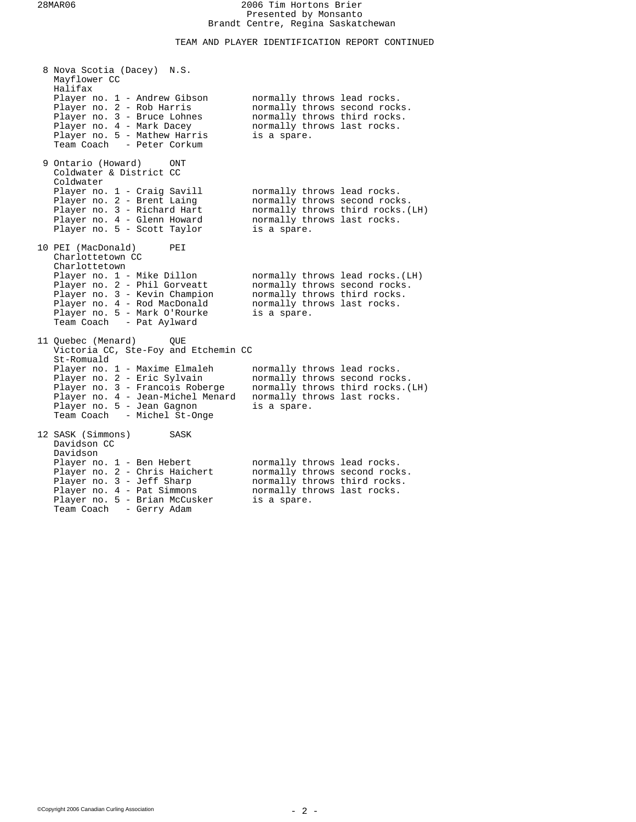# TEAM AND PLAYER IDENTIFICATION REPORT CONTINUED

| 8 Nova Scotia (Dacey) N.S.<br>Mayflower CC<br>Halifax                                                                                                                                                           |             |                                                                                                                                  |
|-----------------------------------------------------------------------------------------------------------------------------------------------------------------------------------------------------------------|-------------|----------------------------------------------------------------------------------------------------------------------------------|
| Player no. 1 - Andrew Gibson<br>Player no. 2 - Rob Harris<br>Player no. 3 - Bruce Lohnes<br>Player no. 4 - Mark Dacey<br>Player no. 5 - Mathew Harris<br>Team Coach - Peter Corkum                              | is a spare. | normally throws lead rocks.<br>normally throws second rocks.<br>normally throws third rocks.<br>normally throws last rocks.      |
| 9 Ontario (Howard)<br>ONT<br>Coldwater & District CC<br>Coldwater                                                                                                                                               |             |                                                                                                                                  |
| Player no. 1 - Craig Savill<br>Player no. 2 - Brent Laing<br>Player no. 3 - Richard Hart<br>Player no. 4 - Glenn Howard<br>Player no. 5 - Scott Taylor                                                          | is a spare. | normally throws lead rocks.<br>normally throws second rocks.<br>normally throws third rocks. (LH)<br>normally throws last rocks. |
| 10 PEI (MacDonald)<br>PEI<br>Charlottetown CC                                                                                                                                                                   |             |                                                                                                                                  |
| Charlottetown<br>Player no. 1 - Mike Dillon<br>Player no. 2 - Phil Gorveatt<br>Player no. 3 - Kevin Champion<br>Player no. 4 - Rod MacDonald<br>Player no. 5 - Mark O'Rourke<br>Team Coach - Pat Aylward        | is a spare. | normally throws lead rocks. (LH)<br>normally throws second rocks.<br>normally throws third rocks.<br>normally throws last rocks. |
| 11 Quebec (Menard)<br>OUE<br>Victoria CC, Ste-Foy and Etchemin CC                                                                                                                                               |             |                                                                                                                                  |
| St-Romuald<br>Player no. 1 - Maxime Elmaleh<br>Player no. 2 - Eric Sylvain<br>Player no. 3 - Francois Roberge<br>Player no. 4 - Jean-Michel Menard<br>Player no. 5 - Jean Gagnon<br>Team Coach - Michel St-Onge | is a spare. | normally throws lead rocks.<br>normally throws second rocks.<br>normally throws third rocks. (LH)<br>normally throws last rocks. |
| 12 SASK (Simmons)<br>SASK<br>Davidson CC<br>Davidson                                                                                                                                                            |             |                                                                                                                                  |
| Player no. 1 - Ben Hebert<br>Player no. 2 - Chris Haichert<br>Player no. 3 - Jeff Sharp<br>Player no. 4 - Pat Simmons<br>Player no. 5 - Brian McCusker<br>Team Coach<br>- Gerry Adam                            | is a spare. | normally throws lead rocks.<br>normally throws second rocks.<br>normally throws third rocks.<br>normally throws last rocks.      |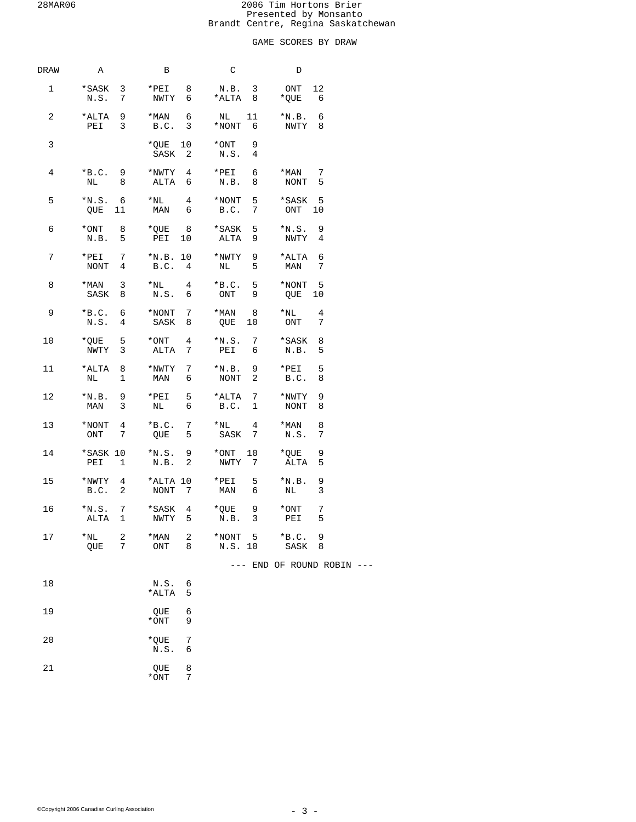# GAME SCORES BY DRAW

| DRAW | Α                                         | В                                              | C                                             | D                                |  |
|------|-------------------------------------------|------------------------------------------------|-----------------------------------------------|----------------------------------|--|
| 1    | *SASK 3                                   | N.S. 7 NWTY 6 *ALTA 8                          | *PEI 8 N.B. 3 ONT 12                          | $*$ QUE 6                        |  |
| 2    | *ALTA 9<br>PEI 3                          | $*$ MAN 6<br>B.C. 3                            | NL 11<br>*NONT 6                              | $*N.B. 6$<br>NWTY 8              |  |
| 3    |                                           | $*$ QUE 10 $*$ ONT<br>SASK <sub>2</sub>        | 9<br>N.S.<br>4                                |                                  |  |
| 4    | NL 8                                      | $*B.C. 9$ *NWTY 4 *PEI 6<br>ALTA 6             | N.B. 8                                        | $*$ MAN 7<br>NONT 5              |  |
| 5    | $*_{N.S.}$ 6<br>OUE 11                    | $*_{\rm NL}$ 4<br>MAN 6 B.C.                   | $5 -$<br>$*$ NONT<br>7                        | *SASK 5<br>ONT 10                |  |
| 6    | N.B. 5                                    | *ONT 8 *QUE 8 *SASK<br>PEI 10                  | ALTA<br>9                                     | 5 *N.S. 9<br>NWTY 4              |  |
| 7    | NONT 4                                    | *PEI 7 *N.B. 10 *NWTY 9<br>B.C. 4              | NL<br>5                                       | *ALTA 6<br>MAN 7                 |  |
| 8    | $*$ MAN 3<br>SASK 8                       | N.S. 6                                         | *NL $4$ *B.C. 5<br>ONT<br>9                   | $*$ NONT 5<br>QUE 10             |  |
| 9    | $*B.C. 6$<br>N.S. 4                       | $*$ NONT 7<br>SASK 8                           | $*$ MAN 8<br>QUE 10 ONT                       | $*_{\rm NL}$<br>4<br>7           |  |
| 10   | $*QUE$ 5 $*ONT$ 4<br>NWTY 3               | ALTA 7                                         | $*N.S.$ 7<br>PEI 6                            | *SASK 8<br>N.B. 5                |  |
| 11   | *ALTA 8<br>N <sub>L</sub><br>$\mathbf{1}$ | *NWTY 7<br>MAN 6                               | $*_{\rm N.B.}$<br><b>NONT</b><br>$\mathbf{2}$ | 5<br>9 *PEI<br>B.C. 8            |  |
| 12   | $*N.B. 9$<br>MAN 3                        | *PEI $5$<br>NL 6                               | *ALTA 7<br>B.C. 1                             | *NWTY<br>9<br>NONT 8             |  |
| 13   | $*$ NONT 4<br>ONT 7                       | $*B.C. 7$                                      | $*$ NL 4<br>QUE 5 SASK 7                      | *MAN<br>- 8<br>7<br>N.S.         |  |
| 14   | PEI 1                                     | N.B. 2                                         | NWTY 7                                        | *QUE<br>9<br>ALTA<br>5           |  |
| 15   | B.C. 2 NONT 7                             | *NWTY 4 *ALTA 10 *PEI                          | 5 <sub>5</sub><br>MAN 6                       | $*_{\rm N.B.}$<br>9<br>NL 1<br>3 |  |
| 16   |                                           | *N.S. 7 *SASK 4 *QUE 9<br>ALTA 1 NWTY 5 N.B. 3 |                                               | $*$ ONT<br>7<br>PEI<br>5         |  |
| 17   | $*_{\rm NL}$<br>2<br>7<br>QUE             | 2<br>*MAN<br>ONT<br>8                          | *NONT<br>5<br>N.S.<br>10                      | $*B.C.$<br>9<br>SASK<br>8        |  |
|      |                                           |                                                |                                               | --- END OF ROUND ROBIN ---       |  |
| 18   |                                           | ${\tt N.S.}$<br>6<br>*ALTA<br>5                |                                               |                                  |  |
| 19   |                                           | 6<br>QUE<br>*ONT<br>9                          |                                               |                                  |  |
| 20   |                                           | *QUE<br>7<br>N.S.<br>6                         |                                               |                                  |  |
| 21   |                                           | 8<br>QUE<br>*ONT<br>7                          |                                               |                                  |  |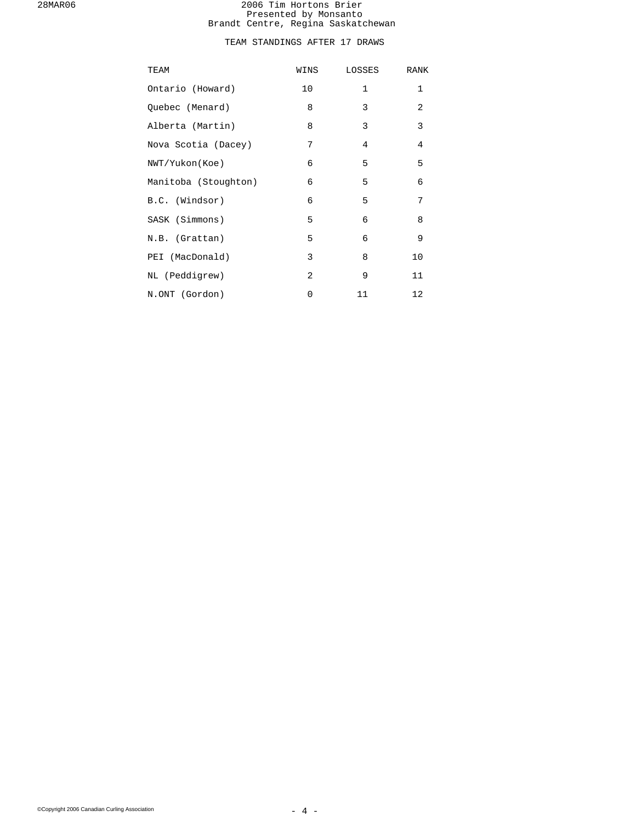# TEAM STANDINGS AFTER 17 DRAWS

| TEAM                 | WINS           | LOSSES         | RANK           |
|----------------------|----------------|----------------|----------------|
| Ontario (Howard)     | 10             | $\mathbf{1}$   | $\mathbf{1}$   |
| Quebec (Menard)      | 8              | 3              | 2              |
| Alberta (Martin)     | 8              | 3              | 3              |
| Nova Scotia (Dacey)  | 7              | $\overline{4}$ | $\overline{4}$ |
| NWT/Yukon(Koe)       | 6              | 5              | 5              |
| Manitoba (Stoughton) | 6              | 5              | 6              |
| B.C. (Windsor)       | 6              | 5              | 7              |
| SASK (Simmons)       | 5              | 6              | 8              |
| N.B. (Grattan)       | 5              | 6              | 9              |
| PEI (MacDonald)      | 3              | 8              | 10             |
| NL (Peddigrew)       | $\overline{2}$ | 9              | 11             |
| N.ONT (Gordon)       | 0              | 11             | 12             |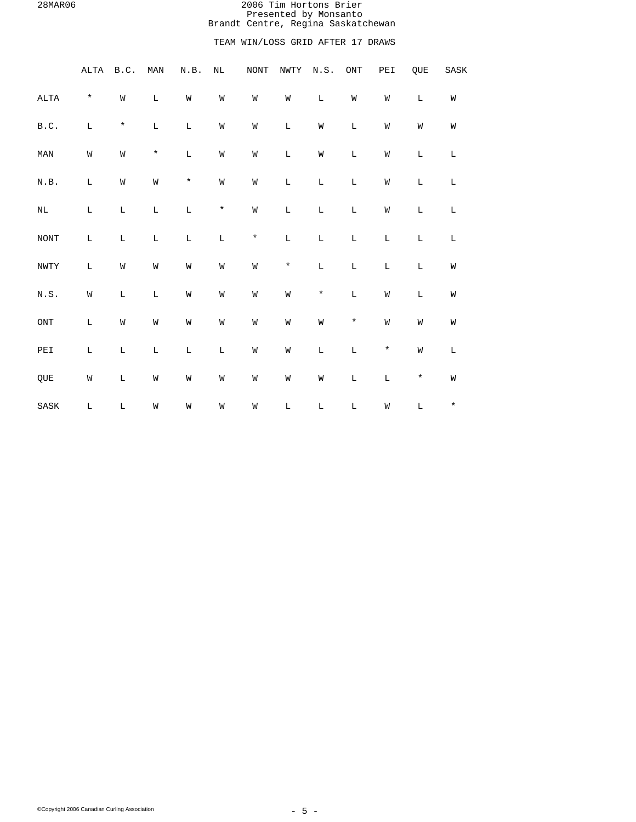# TEAM WIN/LOSS GRID AFTER 17 DRAWS

|                                                        | $\verb ALTA $ | B.C.        | MAN         | N.B.        | $\rm NL$    | $\rm{NONT}$ | NWTY        | N.S.        | $\mathop{\rm ONT}\nolimits$ | PEI         | QUE         | ${\tt SASK}$ |
|--------------------------------------------------------|---------------|-------------|-------------|-------------|-------------|-------------|-------------|-------------|-----------------------------|-------------|-------------|--------------|
| $\mathtt{ALTA}$                                        | $\star$       | W           | $\mathbb L$ | W           | W           | W           | W           | $\mathbb L$ | W                           | W           | $\mathbb L$ | W            |
| B.C.                                                   | $\mathbb L$   | $\star$     | $\mathbb L$ | $\mathbb L$ | M           | M           | $\mathbb L$ | M           | $\mathbb L$                 | M           | M           | W            |
| $\texttt{MAN}$                                         | ${\tt W}$     | W           | $\star$     | $\mathbb L$ | W           | W           | $\mathbb L$ | M           | $\mathbb L$                 | W           | L           | L            |
| $\textsc{n}$ . $\textsc{B}$ .                          | $\mathbb L$   | W           | ${\tt W}$   | $\star$     | W           | W           | $\mathbb L$ | $\mathbf L$ | $\mathbb L$                 | W           | L           | L            |
| $\rm NL$                                               | $\mathbb L$   | $\mathbb L$ | $\mathbb L$ | $\mathbb L$ | $^{\star}$  | W           | $\mathbb L$ | $\mathbf L$ | $\mathbb L$                 | W           | $\mathbb L$ | L            |
| $\rm{NONT}$                                            | $\mathbb L$   | $\mathbb L$ | $\mathbb L$ | $\mathbb L$ | $\mathbb L$ | $\star$     | $\mathbb L$ | $\mathbb L$ | $\mathbb L$                 | $\mathbb L$ | $\mathbb L$ | $\mathbf L$  |
| $\texttt{NWTY}$                                        | $\mathbb L$   | W           | W           | W           | M           | W           | $\star$     | $\mathbb L$ | $\mathbb L$                 | $\mathbf L$ | $\mathbb L$ | W            |
| $\textsc{N}$ . $\textsc{S}$ .                          | M             | $\mathbb L$ | $\mathbb L$ | W           | M           | W           | ${\tt W}$   | $\star$     | $\mathbb L$                 | W           | L           | W            |
| $\mathop{\rm ONT}\nolimits$                            | $\mathbb L$   | W           | W           | W           | M           | W           | ${\tt W}$   | ${\tt W}$   | $\star$                     | W           | M           | W            |
| $\ensuremath{\mathop{\rm PE}}\ensuremath{\mathbbm{1}}$ | $\mathbb L$   | $\mathbb L$ | $\mathbb L$ | $\mathbb L$ | $\mathbb L$ | W           | W           | $\mathbb L$ | $\mathbb L$                 | $\star$     | W           | $\mathbb L$  |
| QUE                                                    | W             | $\mathbb L$ | W           | M           | M           | M           | W           | W           | $\mathbb L$                 | $\mathbf L$ | $\star$     | W            |
| SASK                                                   | $\mathbb L$   | $\mathbb L$ | W           | W           | M           | M           | $\mathbb L$ | $\mathbb L$ | $\mathbb L$                 | W           | $\mathbb L$ | $\star$      |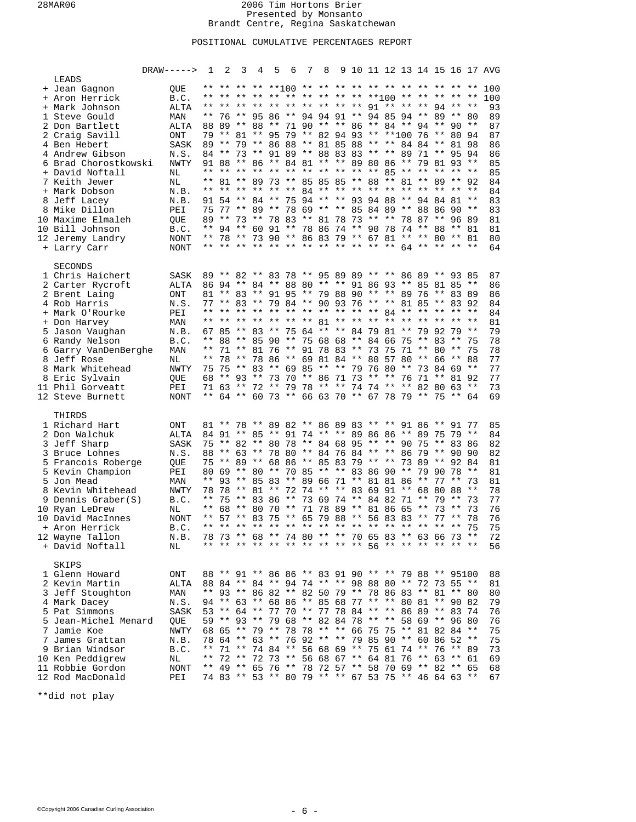# POSITIONAL CUMULATIVE PERCENTAGES REPORT

|                      | $DRAW---->$    | $\mathbf{1}$ | 2     | 3 | 4 | 5 | - 6 | 7 8 |  |  |  |                                                       |       | 9 10 11 12 13 14 15 16 17 AVG |
|----------------------|----------------|--------------|-------|---|---|---|-----|-----|--|--|--|-------------------------------------------------------|-------|-------------------------------|
| LEADS                |                |              |       |   |   |   |     |     |  |  |  |                                                       |       |                               |
| + Jean Gagnon        | QUE            |              |       |   |   |   |     |     |  |  |  | ** ** ** ** **]()() ** ** ** ** ** ** ** ** ** ** **  |       | 100                           |
| + Aron Herrick       | B.C.           |              |       |   |   |   |     |     |  |  |  | ** ** ** ** ** ** ** ** ** ** ** **100 ** ** ** ** ** |       | 100                           |
| + Mark Johnson       | <b>ALTA</b>    |              |       |   |   |   |     |     |  |  |  | ** ** ** ** ** ** ** ** ** ** 91 ** ** ** 94 ** **    |       | 93                            |
| 1 Steve Gould        | MAN            |              |       |   |   |   |     |     |  |  |  | ** 76 ** 95 86 ** 94 94 91 ** 94 85 94 ** 89 ** 80    |       | 89                            |
| 2 Don Bartlett       | <b>ALTA</b>    |              |       |   |   |   |     |     |  |  |  | 88 89 ** 88 ** 71 90 ** ** 86 ** 84 ** 94 ** 90 **    |       | 87                            |
| 2 Craig Savill       | <b>ONT</b>     |              |       |   |   |   |     |     |  |  |  | 79 ** 81 ** 95 79 ** 82 94 93 ** **100 76 ** 80 94    |       | 87                            |
| 4 Ben Hebert         | <b>SASK</b>    |              |       |   |   |   |     |     |  |  |  | 89 ** 79 ** 86 88 ** 81 85 88 ** ** 84 84 ** 81 98    |       | 86                            |
| 4 Andrew Gibson      | N.S.           |              | 84 ** |   |   |   |     |     |  |  |  | 73 ** 91 89 ** 88 83 83 ** ** 89 71 ** 95 94          |       | 86                            |
| 6 Brad Chorostkowski | <b>NWTY</b>    |              |       |   |   |   |     |     |  |  |  | 91 88 ** 86 ** 84 81 ** ** 89 80 86 ** 79 81 93 **    |       | 85                            |
| + David Noftall      | NL             |              |       |   |   |   |     |     |  |  |  | ** ** ** ** ** ** ** ** ** ** ** 85 ** ** ** ** **    |       | 85                            |
| 7 Keith Jewer        | NL             |              |       |   |   |   |     |     |  |  |  | ** 81 ** 89 73 ** 85 85 85 ** 88 ** 81 ** 89 ** 92    |       | 84                            |
| + Mark Dobson        | N.B.           |              |       |   |   |   |     |     |  |  |  | ** ** ** ** ** ** 84 ** ** ** ** ** ** ** ** ** **    |       | 84                            |
| 8 Jeff Lacey         | N.B.           |              |       |   |   |   |     |     |  |  |  | 91 54 ** 84 ** 75 94 ** ** 93 94 88 ** 94 84 81 **    |       | 83                            |
| 8 Mike Dillon        | PEI            |              |       |   |   |   |     |     |  |  |  | 75 77 ** 89 ** 78 69 ** ** 85 84 89 ** 88 86 90 **    |       | 83                            |
| 10 Maxime Elmaleh    | QUE            |              |       |   |   |   |     |     |  |  |  | 89 ** 73 ** 78 83 ** 81 78 73 ** ** 78 87 ** 96 89    |       | 81                            |
| 10 Bill Johnson      | B.C.           |              |       |   |   |   |     |     |  |  |  | ** 94 ** 60 91 ** 78 86 74 ** 90 78 74 ** 88 ** 81    |       | 81                            |
| 12 Jeremy Landry     | NONT           |              |       |   |   |   |     |     |  |  |  | ** 78 ** 73 90 ** 86 83 79 ** 67 81 ** ** 80 ** 81    |       | 80                            |
| + Larry Carr         | NONT           |              |       |   |   |   |     |     |  |  |  |                                                       |       | 64                            |
|                      |                |              |       |   |   |   |     |     |  |  |  |                                                       |       |                               |
| <b>SECONDS</b>       |                |              |       |   |   |   |     |     |  |  |  |                                                       |       |                               |
| 1 Chris Haichert     | <b>SASK</b>    |              |       |   |   |   |     |     |  |  |  | 89 ** 82 ** 83 78 ** 95 89 89 ** ** 86 89 ** 93 85    |       | 87                            |
| 2 Carter Rycroft     | <b>ALTA</b>    |              |       |   |   |   |     |     |  |  |  | 86 94 ** 84 ** 88 80 ** ** 91 86 93 ** 85 81 85 **    |       | 86                            |
| 2 Brent Laing        | <b>ONT</b>     |              |       |   |   |   |     |     |  |  |  | 81 ** 83 ** 91 95 ** 79 88 90 ** ** 89 76 ** 83 89    |       | 86                            |
| 4 Rob Harris         | N.S.           |              |       |   |   |   |     |     |  |  |  | 77 ** 83 ** 79 84 ** 90 93 76 ** ** 81 85 ** 83 92    |       | 84                            |
| + Mark O'Rourke      | PEI            |              |       |   |   |   |     |     |  |  |  | ** ** ** ** ** ** ** ** ** ** ** ** 84 ** ** ** ** ** |       | 84                            |
| + Don Harvey         | MAN            |              |       |   |   |   |     |     |  |  |  | ** ** ** ** ** ** ** 81 ** ** ** ** ** ** ** ** **    |       | 81                            |
| 5 Jason Vaughan      | N.B.           |              |       |   |   |   |     |     |  |  |  | 67 85 ** 83 ** 75 64 ** ** 84 79 81 ** 79 92 79       | $***$ | 79                            |
| 6 Randy Nelson       | B.C.           |              |       |   |   |   |     |     |  |  |  | ** 88 ** 85 90 ** 75 68 68 ** 84 66 75 ** 83 ** 75    |       | 78                            |
| 6 Garry VanDenBerghe | MAN            |              |       |   |   |   |     |     |  |  |  | ** 71 ** 81 76 ** 91 78 83 ** 73 75 71 ** 80 **       | - 75  | 78                            |
| 8 Jeff Rose          | NL             |              |       |   |   |   |     |     |  |  |  | ** 78 ** 78 86 ** 69 81 84 ** 80 57 80 ** 66 ** 88    |       | 77                            |
| 8 Mark Whitehead     | <b>NWTY</b>    |              |       |   |   |   |     |     |  |  |  | 75 75 ** 83 ** 69 85 ** ** 79 76 80 ** 73 84 69 **    |       | 77                            |
| 8 Eric Sylvain       | QUE            |              |       |   |   |   |     |     |  |  |  | 68 ** 93 ** 73 70 ** 86 71 73 ** ** 76 71 ** 81 92    |       | 77                            |
| 11 Phil Gorveatt     | PEI            |              |       |   |   |   |     |     |  |  |  | 71 63 ** 72 ** 79 78 ** ** 74 74 ** ** 82 80 63 **    |       | 73                            |
| 12 Steve Burnett     | <b>NONT</b>    |              |       |   |   |   |     |     |  |  |  | ** 64 ** 60 73 ** 66 63 70 ** 67 78 79 ** 75 ** 64    |       | 69                            |
| THIRDS               |                |              |       |   |   |   |     |     |  |  |  |                                                       |       |                               |
| 1 Richard Hart       | $\rm ONT$      |              |       |   |   |   |     |     |  |  |  | 81 ** 78 ** 89 82 ** 86 89 83 ** ** 91 86 ** 91 77    |       | 85                            |
| 2 Don Walchuk        | <b>ALTA</b>    |              |       |   |   |   |     |     |  |  |  | 84 91 ** 85 ** 91 74 ** ** 89 86 86 ** 89 75 79 **    |       | 84                            |
| 3 Jeff Sharp         | SASK           |              |       |   |   |   |     |     |  |  |  | 75 ** 82 ** 80 78 ** 84 68 95 ** ** 90 75 ** 83 86    |       | 82                            |
| 3 Bruce Lohnes       | N.S.           |              |       |   |   |   |     |     |  |  |  | 88 ** 63 ** 78 80 ** 84 76 84 ** ** 86 79 ** 90 90    |       | 82                            |
| 5 Francois Roberge   | QUE            | 75           |       |   |   |   |     |     |  |  |  | ** 89 ** 68 86 ** 85 83 79 ** ** 73 89 ** 92 84       |       | 81                            |
| 5 Kevin Champion     | PEI            |              |       |   |   |   |     |     |  |  |  | 80 69 ** 80 ** 70 85 ** ** 83 86 90 ** 79 90 78       | $***$ | 81                            |
| 5 Jon Mead           | MAN            |              |       |   |   |   |     |     |  |  |  | ** 93 ** 85 83 ** 89 66 71 ** 81 81 86 ** 77 **       | 73    | 81                            |
| 8 Kevin Whitehead    | <b>NWTY</b>    |              | 78 78 |   |   |   |     |     |  |  |  | ** 81 ** 72 74 ** ** 83 69 91 ** 68 80 88             | $***$ | 78                            |
| 9 Dennis Graber(S)   | B.C.           |              |       |   |   |   |     |     |  |  |  | ** 75 ** 83 86 ** 73 69 74 ** 84 82 71 ** 79 **       | 73    | 77                            |
| 10 Ryan LeDrew       | NL             |              |       |   |   |   |     |     |  |  |  | ** 68 ** 80 70 ** 71 78 89 ** 81 86 65 ** 73 **       | 73    | 76                            |
| 10 David MacInnes    | NONT           |              |       |   |   |   |     |     |  |  |  | ** 57 ** 83 75 ** 65 79 88 ** 56 83 83 ** 77 **       | -78   | 76                            |
| + Aron Herrick       | B.C.           |              |       |   |   |   |     |     |  |  |  |                                                       |       | 75                            |
| 12 Wayne Tallon      | N.B.           |              |       |   |   |   |     |     |  |  |  | 78 73 ** 68 ** 74 80 ** ** 70 65 83 ** 63 66 73 **    |       | 72                            |
| + David Noftall      | N <sub>L</sub> |              |       |   |   |   |     |     |  |  |  | ** ** ** ** ** ** ** ** ** ** 56 ** ** ** ** ** **    |       | 56                            |
|                      |                |              |       |   |   |   |     |     |  |  |  |                                                       |       |                               |
| SKIPS                |                |              |       |   |   |   |     |     |  |  |  |                                                       |       |                               |
| 1 Glenn Howard       | ONT            |              |       |   |   |   |     |     |  |  |  | 88 ** 91 ** 86 86 ** 83 91 90 ** ** 79 88 ** 95100    |       | 88                            |
| 2 Kevin Martin       | ALTA           |              |       |   |   |   |     |     |  |  |  | 88 84 ** 84 ** 94 74 ** ** 98 88 80 ** 72 73 55 **    |       | 81                            |
| 3 Jeff Stoughton     | MAN            |              |       |   |   |   |     |     |  |  |  | ** 93 ** 86 82 ** 82 50 79 ** 78 86 83 ** 81 ** 80    |       | 80                            |
| 4 Mark Dacey         | N.S.           |              |       |   |   |   |     |     |  |  |  | 94 ** 63 ** 68 86 ** 85 68 77 ** ** 80 81 ** 90 82    |       | 79                            |
| 5 Pat Simmons        | SASK           |              |       |   |   |   |     |     |  |  |  | 53 ** 64 ** 77 70 ** 77 78 84 ** ** 86 89 ** 83 74    |       | 76                            |
| 5 Jean-Michel Menard | QUE            |              |       |   |   |   |     |     |  |  |  | 59 ** 93 ** 79 68 ** 82 84 78 ** ** 58 69 ** 96 80    |       | 76                            |
| 7 Jamie Koe          | <b>NWTY</b>    |              |       |   |   |   |     |     |  |  |  | 68 65 ** 79 ** 78 78 ** ** 66 75 75 ** 81 82 84 **    |       | 75                            |
| 7 James Grattan      | N.B.           |              |       |   |   |   |     |     |  |  |  | 78 64 ** 63 ** 76 92 ** ** 79 85 90 ** 60 86 52 **    |       | 75                            |
| 9 Brian Windsor      | B.C.           |              |       |   |   |   |     |     |  |  |  | ** 71 ** 74 84 ** 56 68 69 ** 75 61 74 ** 76 ** 89    |       | 73                            |
| 10 Ken Peddigrew     | NL             |              |       |   |   |   |     |     |  |  |  | ** 72 ** 72 73 ** 56 68 67 ** 64 81 76 ** 63 ** 61    |       | 69                            |
| 11 Robbie Gordon     | <b>NONT</b>    |              |       |   |   |   |     |     |  |  |  | ** 49 ** 65 76 ** 78 72 57 ** 58 70 69 ** 82 ** 65    |       | 68                            |
| 12 Rod MacDonald     | PEI            |              |       |   |   |   |     |     |  |  |  | 74 83 ** 53 ** 80 79 ** ** 67 53 75 ** 46 64 63 **    |       | 67                            |
|                      |                |              |       |   |   |   |     |     |  |  |  |                                                       |       |                               |

\*\*did not play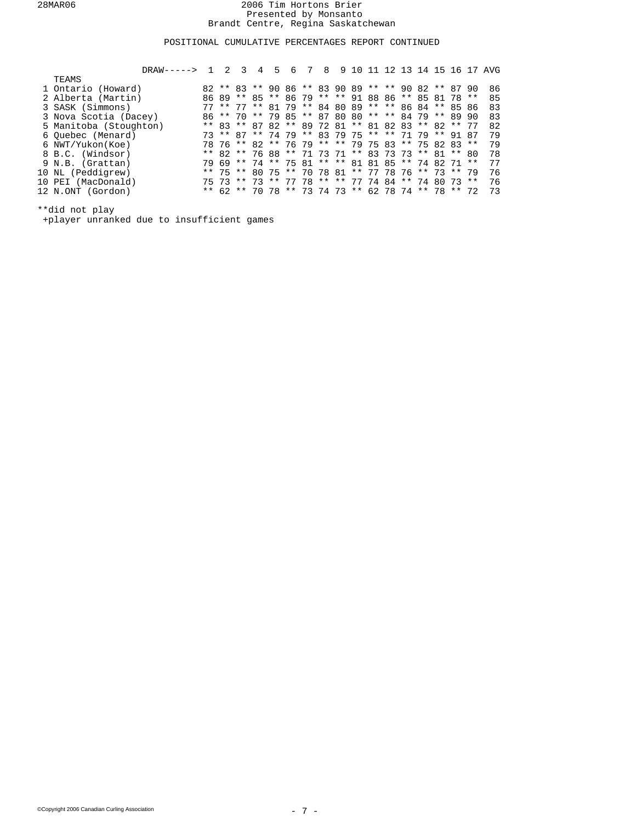# POSITIONAL CUMULATIVE PERCENTAGES REPORT CONTINUED

| $DRAW-----2 1$         | 2 | ર | 4 | $5 -$ | 6                                                  | $7\overline{ }$ | 8 | 9 10 11 |  |  |  | 12 13 14 15 16 17 AVG |
|------------------------|---|---|---|-------|----------------------------------------------------|-----------------|---|---------|--|--|--|-----------------------|
| TEAMS                  |   |   |   |       |                                                    |                 |   |         |  |  |  |                       |
| 1 Ontario (Howard)     |   |   |   |       | 82 ** 83 ** 90 86 ** 83 90 89 ** ** 90 82 ** 87 90 |                 |   |         |  |  |  | 86                    |
| 2 Alberta (Martin)     |   |   |   |       | 86 89 ** 85 ** 86 79 ** ** 91 88 86 ** 85 81 78 ** |                 |   |         |  |  |  | 85                    |
| 3 SASK (Simmons)       |   |   |   |       | 77 ** 77 ** 81 79 ** 84 80 89 ** ** 86 84 ** 85 86 |                 |   |         |  |  |  | 83                    |
| 3 Nova Scotia (Dacey)  |   |   |   |       | 86 ** 70 ** 79 85 ** 87 80 80 ** ** 84 79 ** 89 90 |                 |   |         |  |  |  | 83                    |
| 5 Manitoba (Stoughton) |   |   |   |       | ** 83 ** 87 82 ** 89 72 81 ** 81 82 83 ** 82 ** 77 |                 |   |         |  |  |  | 82                    |
| 6 Ouebec (Menard)      |   |   |   |       | 73 ** 87 ** 74 79 ** 83 79 75 ** ** 71 79 ** 91 87 |                 |   |         |  |  |  | 79                    |
| 6 NWT/Yukon(Koe)       |   |   |   |       | 78 76 ** 82 ** 76 79 ** ** 79 75 83 ** 75 82 83 ** |                 |   |         |  |  |  | 79                    |
| 8 B.C. (Windsor)       |   |   |   |       | ** 82 ** 76 88 ** 71 73 71 ** 83 73 73 ** 81 ** 80 |                 |   |         |  |  |  | 78                    |
| 9 N.B. (Grattan)       |   |   |   |       | 79 69 ** 74 ** 75 81 ** ** 81 81 85 ** 74 82 71 ** |                 |   |         |  |  |  | 77                    |
| 10 NL (Peddigrew)      |   |   |   |       | ** 75 ** 80 75 ** 70 78 81 ** 77 78 76 ** 73 ** 79 |                 |   |         |  |  |  | 76                    |
| 10 PEI (MacDonald)     |   |   |   |       | 75 73 ** 73 ** 77 78 ** ** 77 74 84 ** 74 80 73 ** |                 |   |         |  |  |  | 76                    |
| 12 N.ONT (Gordon)      |   |   |   |       | ** 62 ** 70 78 ** 73 74 73 ** 62 78 74 ** 78 ** 72 |                 |   |         |  |  |  | 73                    |
|                        |   |   |   |       |                                                    |                 |   |         |  |  |  |                       |

\*\*did not play

+player unranked due to insufficient games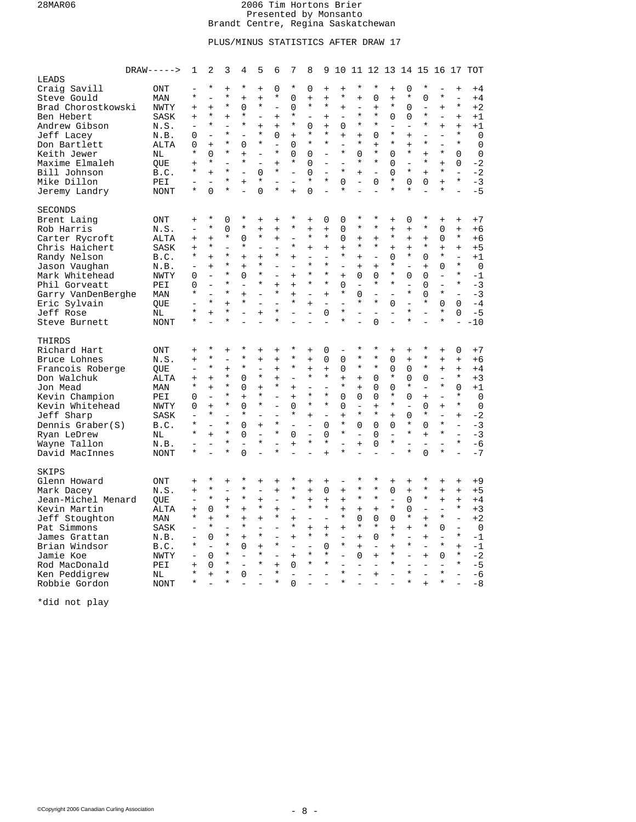# PLUS/MINUS STATISTICS AFTER DRAW 17

|                    | $DRAW---$      | 1                        | 2                        | 3             | 4              | 5                        | 6                                   | 7                        | 8                    | 9                        |                                     |                          |                                  |                |                          |                |                          |                          | 10 11 12 13 14 15 16 17 TOT |
|--------------------|----------------|--------------------------|--------------------------|---------------|----------------|--------------------------|-------------------------------------|--------------------------|----------------------|--------------------------|-------------------------------------|--------------------------|----------------------------------|----------------|--------------------------|----------------|--------------------------|--------------------------|-----------------------------|
| LEADS              |                |                          |                          |               |                |                          |                                     |                          |                      |                          |                                     |                          |                                  |                |                          |                |                          |                          |                             |
| Craig Savill       | ONT            |                          | $\star$                  | $\ddot{}$     | $\star$        | $\ddot{+}$               | $\Omega$                            | $\star$                  | $\Omega$             | $^{+}$                   | $\ddot{}$                           | $^\star$                 | $^\star$                         | $\ddot{}$      | $\Omega$                 | $^\star$       |                          | $\ddot{}$                | $+4$                        |
| Steve Gould        | MAN            | $\star$                  | $\overline{a}$           | $\star$       | $\ddot{}$      | $+$                      | $^\star$                            | 0                        | $+$                  | $\ddot{}$                | $^\star$                            | $\ddot{}$                | 0                                | $+$            | *                        | 0              | $^\star$                 | $\equiv$                 | $+4$                        |
| Brad Chorostkowski | <b>NWTY</b>    | $+$                      | $+$                      | $^\star$      | 0              | $^\star$                 | $\overline{\phantom{0}}$            | $\Omega$                 | $\star$              | *                        | $+$                                 | $\overline{\phantom{0}}$ | $\begin{array}{c} + \end{array}$ | $^\star$       | $\Omega$                 | $\overline{a}$ | $+$                      | $\star$                  | $+2$                        |
| Ben Hebert         | SASK           | $+$                      | $\star$                  | $\ddot{}$     | $\star$        |                          | $+$                                 | $\star$                  |                      | $^{+}$                   | $\qquad \qquad -$                   | $\star$                  | $\star$                          | $\Omega$       | $\Omega$                 | $\star$        | $\qquad \qquad -$        | $+$                      | $+1$                        |
| Andrew Gibson      | N.S.           | $\equiv$                 | $\star$                  |               | $^\star$       | $+$                      | $\ddot{}$                           | $^\star$                 | $\Omega$             | $\ddot{}$                | 0                                   | $^\star$                 | $^\star$                         |                | $\overline{a}$           | $\star$        | $+$                      | $\ddot{}$                | $+1$                        |
|                    |                |                          | $\overline{a}$           | $\star$       | $\overline{a}$ | $^\star$                 | 0                                   |                          | $\star$              | $\ast$                   |                                     |                          |                                  | $\star$        |                          |                | $\overline{\phantom{0}}$ | $\star$                  |                             |
| Jeff Lacey         | N.B.           | 0                        |                          | $\star$       |                | $\star$                  |                                     | $^{+}$                   | $\star$              | $\star$                  | $\ddot{}$                           | $\ddot{}$<br>$\star$     | 0                                | ÷              | $\ddot{}$                | $\star$        |                          | $\star$                  | $\mathbf 0$                 |
| Don Bartlett       | ALTA           | $\Omega$<br>$\star$      | $+$                      | $\star$       | $\Omega$       |                          | $\overline{\phantom{a}}$<br>$\star$ | $\Omega$                 |                      |                          | $\overline{\phantom{0}}$<br>$\star$ |                          | $+$<br>$\star$                   |                | $\ddot{}$<br>*           |                | $\star$                  |                          | $\mathbf 0$                 |
| Keith Jewer        | N <sub>L</sub> |                          | $\Omega$                 |               | $+$            | $\qquad \qquad -$        |                                     | $\Omega$                 | $\Omega$             | $\bar{ }$                |                                     | 0                        |                                  | $\Omega$       |                          | $+$            |                          | $\Omega$                 | $\mathbf 0$                 |
| Maxime Elmaleh     | QUE            | $\ddot{}$                | $\star$                  | L.            | $\star$        | $\equiv$                 | $+$                                 | $^\star$                 | 0                    | $\overline{\phantom{0}}$ | ÷.                                  | $\star$                  | $\star$                          | $\Omega$       | ÷.                       | $^\star$       | $+$                      | 0                        | $-2$                        |
| Bill Johnson       | B.C.           | $\star$                  | $+$                      | $\star$       |                | $\Omega$                 | $\star$                             |                          | $\Omega$             | $\frac{1}{2}$            | $\star$                             | $\ddot{}$                | $\qquad \qquad -$                | 0              | $\star$                  | $+$            | $\star$                  | $\overline{\phantom{a}}$ | $-2$                        |
| Mike Dillon        | PEI            |                          |                          | $\star$       | $\ddot{}$      | $\star$                  |                                     |                          | $\star$              | $\star$                  | $\Omega$                            |                          | $\Omega$                         | $\star$        | $\Omega$                 | $\Omega$       | $+$                      | $\star$                  | $-3$                        |
| Jeremy Landry      | NONT           |                          | $\overline{0}$           | $\star$       | $\overline{a}$ | $\Omega$                 | $^\star$                            | $\ddot{}$                | 0                    | $\overline{a}$           |                                     | $\overline{a}$           | $\overline{a}$                   | $\star$        | $\star$                  |                |                          | $\overline{a}$           | $-5$                        |
| SECONDS            |                |                          |                          |               |                |                          |                                     |                          |                      |                          |                                     |                          |                                  |                |                          |                |                          |                          |                             |
| Brent Laing        | ONT            | $\ddot{}$                | $\ast$                   | 0             | $\ast$         | $\ddot{}$                | $\ddot{}$                           | $\star$                  | $\ddot{}$            | 0                        | 0                                   | *                        | $^\star$                         | $\ddot{}$      | 0                        | $^\star$       | $\ddot{}$                | $\ddot{}$                | $+7$                        |
|                    |                |                          | $\star$                  |               | $^\star$       |                          |                                     | $\star$                  |                      |                          |                                     | $^\star$                 | $\star$                          |                |                          | $\star$        |                          |                          |                             |
| Rob Harris         | N.S.           | $\overline{\phantom{m}}$ |                          | 0<br>$^\star$ |                | $\ddot{}$<br>$\star$     | $\ddot{}$                           |                          | $\ddot{}$<br>$\star$ | $\ddot{}$<br>$\star$     | 0                                   |                          |                                  | $+$<br>$\star$ | $\ddot{}$                |                | $\mathbf 0$              | $+$<br>$\star$           | $+6$                        |
| Carter Rycroft     | ALTA           | $+$                      | $+$                      |               | 0              |                          | $+$                                 |                          |                      |                          | $\Omega$                            | $+$                      | $+$                              |                | $+$                      | $+$            | $\Omega$                 |                          | $+6$                        |
| Chris Haichert     | <b>SASK</b>    | $+$                      | $\star$                  |               | $\star$        | $\overline{a}$           | $\overline{\phantom{0}}$            | $^\star$                 | $+$                  | $\ddot{}$                | $\ddot{+}$                          | *                        | $\star$                          | $\ddot{}$      | $\ddot{}$                | $\star$        | $+$                      | $\ddot{}$                | $+5$                        |
| Randy Nelson       | B.C.           | $\star$                  | $+$                      | $\star$       | $\ddot{}$      | $\ddot{}$                | $\star$                             | $\ddot{}$                | ÷.                   | $\qquad \qquad -$        | $\star$                             | $\ddot{}$                | $\overline{\phantom{a}}$         | 0              | ¥                        | $\overline{0}$ | $\star$                  | $\frac{1}{2}$            | $+1$                        |
| Jason Vaughan      | N.B.           | $\overline{\phantom{m}}$ | $+$                      | $^\star$      | $+$            | $\star$                  | $\overline{\phantom{0}}$            |                          | $\star$              | $\star$                  | $\overline{\phantom{0}}$            | $+$                      | $+$                              | $\star$        | $\qquad \qquad -$        | $^{+}$         | $\Omega$                 | $\star$                  | $\mathbf 0$                 |
| Mark Whitehead     | <b>NWTY</b>    | 0                        | $\equiv$                 | $\star$       | 0              | $^\star$                 | $\overline{a}$                      | $+$                      | $\star$              | $\star$                  | $+$                                 | 0                        | 0                                | $\star$        | 0                        | 0              | $\equiv$                 | $\star$                  | $-1$                        |
| Phil Gorveatt      | PEI            | $\Omega$                 | $\bar{\phantom{a}}$      | $\star$       | $\overline{a}$ | $^\star$                 | $\ddot{}$                           | $\ddot{}$                | $\star$              | $\star$                  | 0                                   | $\overline{a}$           | $\star$                          | $\star$        | $\overline{\phantom{0}}$ | 0              | $\overline{\phantom{0}}$ | $\star$                  | $-3$                        |
| Garry VanDenBerghe | MAN            | $\star$                  |                          | $\star$       | $+$            |                          | $\star$                             | $\ddot{}$                |                      | $\ddot{}$                | $\star$                             | 0                        | $\overline{\phantom{a}}$         | $\overline{a}$ | $\star$                  | $\Omega$       | $\star$                  |                          | $-3$                        |
| Eric Sylvain       | QUE            |                          | $\star$                  | $+$           | $^\star$       | $\equiv$                 |                                     | $^\star$                 | $+$                  | $\equiv$                 |                                     | $\star$                  | $\star$                          | $\Omega$       |                          | $^\star$       | $\Omega$                 | $\Omega$                 | $-4$                        |
| Jeff Rose          | NL             | $\star$                  | $\ddot{}$                | $\star$       |                | $\ddot{+}$               | $\star$                             | $\overline{a}$           | $\equiv$             | 0                        | $\star$                             | $\overline{a}$           | $\overline{\phantom{0}}$         | $\equiv$       | $\star$                  | $\overline{a}$ | $\star$                  | $\overline{0}$           | $-5$                        |
| Steve Burnett      | <b>NONT</b>    | $\star$                  |                          | $\star$       |                |                          | $\star$                             |                          |                      | $\overline{\phantom{0}}$ | $\star$                             |                          | $\Omega$                         |                | $\star$                  |                | $\star$                  | $\equiv$                 | $-10$                       |
| THIRDS             |                |                          |                          |               |                |                          |                                     |                          |                      |                          |                                     |                          |                                  |                |                          |                |                          |                          |                             |
|                    |                |                          | $\star$                  |               | $\star$        |                          |                                     | $^\star$                 |                      | 0                        |                                     | $^\star$                 | $\star$                          | $+$            | $\ddot{}$                | $\star$        | $+$                      | $\Omega$                 |                             |
| Richard Hart       | ONT            | $+$                      | $\star$                  | $+$           | $\star$        | $+$                      | $+$                                 | $^\star$                 | $\ddot{}$            |                          |                                     | $\star$                  | $\star$                          |                |                          | $^\star$       |                          |                          | $+7$                        |
| Bruce Lohnes       | N.S.           | $+$                      | $\star$                  | $\equiv$      | $\star$        | $\ddot{}$                | $\ddot{}$                           |                          | $\ddot{+}$           | 0                        | 0                                   |                          | $\star$                          | 0              | $\ddot{}$                | $\star$        | $+$                      | $\ddot{}$                | $+6$                        |
| Francois Roberge   | QUE            | $\overline{\phantom{0}}$ |                          | $+$           |                | $\overline{\phantom{0}}$ | $+$                                 | $^\star$                 | $+$                  | $+$                      | 0                                   | $^\star$                 |                                  | $\Omega$       | 0                        |                | $+$                      | $+$                      | $+4$                        |
| Don Walchuk        | ALTA           | $\ddot{}$                | $+$                      | $\star$       | $\Omega$       | $\star$                  | $\ddot{}$                           |                          | $\star$              | $\star$                  | $\ddot{+}$                          | $\ddot{}$                | $\Omega$                         | $\star$        | $\Omega$                 | $\Omega$       |                          | $\star$                  | $+3$                        |
| Jon Mead           | MAN            | $\star$                  | $+$                      | $\star$       | 0              | $+$                      | $\star$                             | $\ddot{}$                | $\overline{a}$       | $\bar{ }$                | $\star$                             | $\ddot{}$                | 0                                | $\Omega$       | *                        | $\overline{a}$ | $\star$                  | $\Omega$                 | $+1$                        |
| Kevin Champion     | PEI            | 0                        | $\overline{\phantom{a}}$ | $\star$       | $\ddot{}$      | $\star$                  | $\qquad \qquad -$                   | $\ddot{}$                | $\star$              | $\star$                  | 0                                   | 0                        | 0                                | $\star$        | 0                        | $\ddot{}$      |                          | $\star$                  | $\mathbf 0$                 |
| Kevin Whitehead    | NWTY           | 0                        | $+$                      | $\star$       | $\Omega$       | $\star$                  |                                     | $\Omega$                 | $\star$              | $\star$                  | $\Omega$                            |                          | $+$                              | $\star$        | $\overline{\phantom{0}}$ | 0              | $+$                      | $\star$                  | $\mathbf 0$                 |
| Jeff Sharp         | SASK           |                          | $\star$                  |               | $\star$        |                          |                                     | $\star$                  | $+$                  | $\equiv$                 | $\ddot{}$                           | $^\star$                 | $\star$                          | $+$            | 0                        | $^\star$       |                          | $+$                      | $-2$                        |
| Dennis Graber(S)   | B.C.           | $\star$                  | $\equiv$                 | $\star$       | 0              | $+$                      | $\star$                             | $\equiv$                 | $\equiv$             | 0                        | *                                   | 0                        | $\mathbf 0$                      | 0              | *                        | 0              | $\star$                  | $\qquad \qquad -$        | $-3$                        |
| Ryan LeDrew        | ΝL             | $\star$                  | $+$                      | $\star$       | 0              |                          | $\star$                             | $\Omega$                 |                      | $\Omega$                 | $\star$                             |                          | $\Omega$                         |                | $\star$                  | $+$            | $\star$                  | $\bar{ }$                | $-3$                        |
| Wayne Tallon       | N.B.           |                          | $\overline{a}$           | *             |                | $\star$                  |                                     | $\ddot{}$                | $^\star$             | $\star$                  |                                     | $\ddot{}$                | 0                                | $^\star$       |                          |                |                          | $\star$                  | $-6$                        |
| David MacInnes     | <b>NONT</b>    |                          |                          | $\star$       | 0              |                          | $\star$                             |                          |                      | $\ddot{}$                |                                     |                          |                                  |                | $\star$                  | $\Omega$       | $\star$                  |                          | $-7$                        |
|                    |                |                          |                          |               |                |                          |                                     |                          |                      |                          |                                     |                          |                                  |                |                          |                |                          |                          |                             |
| <b>SKIPS</b>       |                |                          |                          |               |                |                          |                                     |                          |                      |                          |                                     |                          |                                  |                |                          |                |                          |                          |                             |
| Glenn Howard       | ONT            | $\ddot{}$                | $^\star$                 | $\ddot{}$     | $^\star$       | $\ddot{}$                | $\ddot{}$                           | $\star$                  | $\ddot{}$            | $\ddot{}$                | $\overline{\phantom{0}}$            | *                        | $\star$                          | $+$            | $\ddot{}$                | $^\star$       | $+$                      | $+$                      | $+9$                        |
| Mark Dacey         | N.S.           | $+$                      | $\star$                  |               | $^\star$       |                          | $\ddot{}$                           | $^\star$                 | $+$                  | 0                        | $\ddot{}$                           | $\star$                  | $\star$                          | 0              | $\ddot{}$                | $^\star$       | $+$                      | $+$                      | $+5$                        |
| Jean-Michel Menard | QUE            | $\qquad \qquad -$        | $\star$                  | $+$           | $^\star$       | $+$                      | $\qquad \qquad -$                   | *                        | $^{+}$               | $\ddot{}$                | $\ddot{+}$                          | $\star$                  | $\star$                          | $\equiv$       | 0                        | $^\star$       | $+$                      | $+$                      | $+4$                        |
| Kevin Martin       | ALTA           | $\ddot{}$                | $\overline{0}$           | *             | $\ddot{}$      | $\star$                  | $\ddot{}$                           | $\overline{\phantom{0}}$ | $\star$              | $\star$                  | $\ddot{}$                           | $\ddot{}$                | $\ddot{}$                        | $\star$        | 0                        | $\overline{a}$ | $\equiv$                 | $\star$                  | $+3$                        |
| Jeff Stoughton     | MAN            | $\star$                  | $+$                      | $\star$       | $\ddot{}$      | $+$                      | $\star$                             | $\ddot{}$                |                      | $\overline{\phantom{0}}$ | $\star$                             | 0                        | $\Omega$                         | $\Omega$       | *                        | $^{+}$         | $\star$                  | $\frac{1}{2}$            | $+2$                        |
| Pat Simmons        | SASK           | $\equiv$                 | $\star$                  |               | $\star$        |                          | $\equiv$                            | $^\star$                 | $\ddot{}$            | $\ddot{}$                | $\ddot{}$                           | $\star$                  | $\star$                          | $+$            | $\ddot{}$                | $\star$        | 0                        | $\equiv$                 | $\mathbf 0$                 |
| James Grattan      | N.B.           | $\equiv$                 | $\Omega$                 | $\star$       | $+$            | $\star$                  | $\overline{a}$                      | $\ddot{}$                | $\star$              | $\star$                  | $\overline{a}$                      | $\ddot{}$                | $\Omega$                         | $\star$        | $\equiv$                 | $+$            | $\equiv$                 | $\star$                  | $-1$                        |
| Brian Windsor      | B.C.           | $\star$                  | $\equiv$                 | $\star$       | 0              | $\ddot{}$                | $\star$                             |                          |                      | $\Omega$                 | $\star$                             | $\ddot{}$                | $\overline{\phantom{a}}$         | $+$            | $\star$                  |                | $\star$                  | $\ddot{+}$               | $-1$                        |
| Jamie Koe          | NWTY           | $\overline{\phantom{a}}$ | $\overline{0}$           | $\star$       |                | $\star$                  | $\overline{a}$                      | $+$                      | $\star$              | $\star$                  | $\overline{a}$                      | 0                        | $\qquad \qquad +$                | $\star$        | $\equiv$                 | $+$            | $\mathbf 0$              | $\star$                  | $-2$                        |
| Rod MacDonald      | PEI            | $+$                      | $\Omega$                 | $\star$       |                | $\star$                  | $\ddot{+}$                          | $\Omega$                 | $\star$              | $\star$                  |                                     |                          |                                  | $\star$        | $\overline{a}$           |                |                          | $\star$                  | $-5$                        |
| Ken Peddigrew      | NL             | $\star$                  | $\ddot{+}$               | $\star$       | $\Omega$       | $\overline{a}$           | $\star$                             |                          |                      |                          | $\star$                             |                          | $+$                              |                | $\star$                  |                |                          |                          | $-6$                        |
| Robbie Gordon      | <b>NONT</b>    | $\star$                  |                          | $\star$       |                |                          | $\star$                             | $\Omega$                 |                      |                          | $\star$                             |                          |                                  |                | $\star$                  | $\ddot{+}$     | $\star$                  |                          | $-8$                        |
|                    |                |                          |                          |               |                |                          |                                     |                          |                      |                          |                                     |                          |                                  |                |                          |                |                          |                          |                             |

\*did not play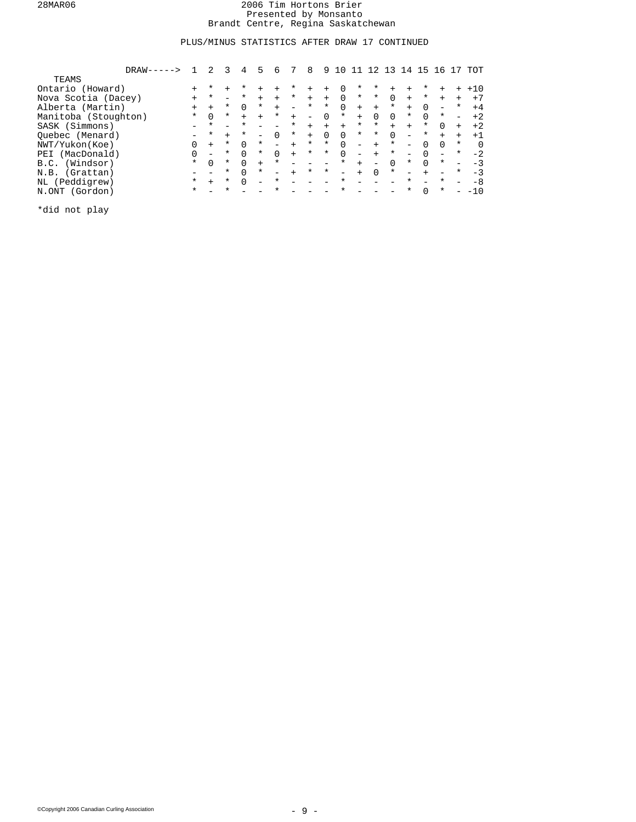# PLUS/MINUS STATISTICS AFTER DRAW 17 CONTINUED

| $DRAW-----$          |          |          |          | 4        | 5        | 6        |          | 8                        | 9        |          |                          |                          |          | $4^{\circ}$              | 5        | -6                       |                          | TOT      |
|----------------------|----------|----------|----------|----------|----------|----------|----------|--------------------------|----------|----------|--------------------------|--------------------------|----------|--------------------------|----------|--------------------------|--------------------------|----------|
| <b>TEAMS</b>         |          |          |          |          |          |          |          |                          |          |          |                          |                          |          |                          |          |                          |                          |          |
| Ontario (Howard)     | $+$      | *        | $+$      | $^\star$ | $+$      |          | *        | $+$                      | $+$      | $\Omega$ | $^\star$                 | *                        | $+$      |                          | $\ast$   | $+$                      | $+$                      | $+10$    |
| Nova Scotia (Dacey)  | $+$      | $^\star$ |          | $\ast$   | $+$      | $+$      | $^\star$ | $+$                      | $+$      | $\Omega$ | $\star$                  | $^\star$                 | $\Omega$ | $+$                      | $^\star$ | $+$                      | $+$                      | $+7$     |
| Alberta (Martin)     | $+$      | $^{+}$   | $^\star$ | $\Omega$ | $^\star$ | $+$      |          | $^\star$                 | $^\star$ | $\Omega$ | $+$                      | $+$                      | $^\star$ | $+$                      | $\Omega$ | $\overline{\phantom{0}}$ | $^\star$                 | $+4$     |
| Manitoba (Stoughton) | $\star$  | $\Omega$ | $\ast$   | $+$      | $+$      | $^\star$ | $+$      | $\overline{\phantom{0}}$ | $\Omega$ | $^\star$ | $+$                      | $\Omega$                 | $\Omega$ | $^\star$                 | $\Omega$ | $^\star$                 | $\overline{\phantom{0}}$ | $+2$     |
| SASK (Simmons)       |          | $\star$  |          | $\star$  |          |          | $^\star$ | $+$                      | $+$      | $+$      | $\ast$                   | $^\star$                 | $+$      | $+$                      | $\ast$   | $\cap$                   | $+$                      | $+2$     |
| Ouebec (Menard)      |          | $\star$  | $+$      | $^\star$ |          | $\Omega$ | $^\star$ | $+$                      | $\Omega$ | $\Omega$ | $\star$                  | $^\star$                 | $\Omega$ | -                        | $^\star$ | $+$                      | $+$                      | $+1$     |
| NWT/Yukon(Koe)       | $\Omega$ | $+$      | $^\star$ | $\Omega$ | $^\star$ |          | $+$      | $^\star$                 | $^\star$ | $\Omega$ | $\overline{\phantom{0}}$ | $+$                      | $^\star$ | $\overline{\phantom{0}}$ | $\cap$   | $\cap$                   | $\ast$                   | $\Omega$ |
| (MacDonald)<br>PEI   |          |          | $^\star$ | $\cap$   | $^\star$ | $\Omega$ | $+$      | $^\star$                 | $^\star$ | $\Omega$ | $\overline{\phantom{0}}$ | $+$                      | $^\star$ | $\overline{\phantom{0}}$ | $\Omega$ | $\overline{\phantom{0}}$ | $^\star$                 | $-2$     |
| (Windsor)<br>B.C.    | $\star$  | $\Omega$ | $^\star$ | $\Omega$ | $+$      | $\ast$   |          |                          |          | $^\star$ | $+$                      | $\overline{\phantom{0}}$ | $\Omega$ | *                        | $\cap$   | $^\star$                 |                          |          |
| N.B. (Grattan)       |          |          | *        | $\cap$   | $^\star$ |          | $+$      | $^\star$                 | $^\star$ | $=$      | $+$                      | $\Omega$                 | $^\star$ |                          | $+$      |                          | $^\star$                 | $-3$     |
| NL (Peddigrew)       | $\star$  | $+$      | $^\star$ | $\cap$   |          | $\ast$   |          |                          |          | $\star$  |                          |                          |          | $^\star$                 |          | $^\star$                 |                          | -8       |
| N.ONT (Gordon)       | $\ast$   |          | $\star$  |          |          | $\star$  |          |                          |          | $\star$  |                          |                          |          | *                        | $\Omega$ | $^\star$                 |                          | $-10$    |

\*did not play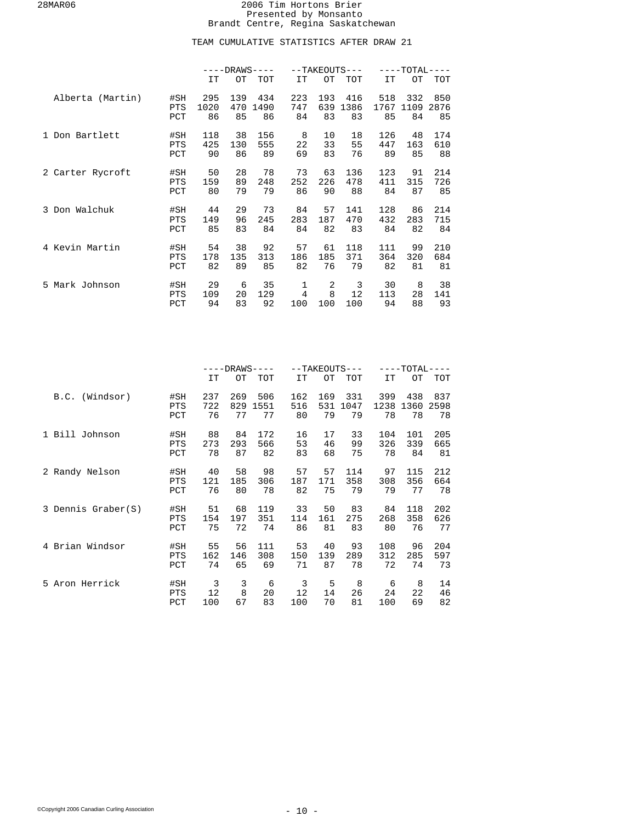# TEAM CUMULATIVE STATISTICS AFTER DRAW 21

|                  |                          | $---DRANS---$     |                  |                   |                  | --TAKEOUTS--- |                       | $---TOTAL---$     |                   |                   |
|------------------|--------------------------|-------------------|------------------|-------------------|------------------|---------------|-----------------------|-------------------|-------------------|-------------------|
|                  |                          | IT                | OТ               | <b>TOT</b>        | IT               | <b>OT</b>     | TOT                   | IT                | OТ                | TOT               |
| Alberta (Martin) | #SH<br><b>PTS</b><br>PCT | 295<br>1020<br>86 | 139<br>470<br>85 | 434<br>1490<br>86 | 223<br>747<br>84 | 193<br>83     | 416<br>639 1386<br>83 | 518<br>1767<br>85 | 332<br>1109<br>84 | 850<br>2876<br>85 |
| 1 Don Bartlett   | #SH                      | 118               | 38               | 156               | 8                | 10            | 18                    | 126               | 48                | 174               |
|                  | <b>PTS</b>               | 425               | 130              | 555               | 22               | 33            | 55                    | 447               | 163               | 610               |
|                  | PCT                      | 90                | 86               | 89                | 69               | 83            | 76                    | 89                | 85                | 88                |
| 2 Carter Rycroft | #SH                      | 50                | 28               | 78                | 73               | 63            | 136                   | 123               | 91                | 214               |
|                  | <b>PTS</b>               | 159               | 89               | 248               | 252              | 226           | 478                   | 411               | 315               | 726               |
|                  | PCT                      | 80                | 79               | 79                | 86               | 90            | 88                    | 84                | 87                | 85                |
| 3 Don Walchuk    | #SH                      | 44                | 29               | 73                | 84               | 57            | 141                   | 128               | 86                | 214               |
|                  | <b>PTS</b>               | 149               | 96               | 245               | 283              | 187           | 470                   | 432               | 283               | 715               |
|                  | PCT                      | 85                | 83               | 84                | 84               | 82            | 83                    | 84                | 82                | 84                |
| 4 Kevin Martin   | #SH                      | 54                | 38               | 92                | 57               | 61            | 118                   | 111               | 99                | 210               |
|                  | PTS                      | 178               | 135              | 313               | 186              | 185           | 371                   | 364               | 320               | 684               |
|                  | PCT                      | 82                | 89               | 85                | 82               | 76            | 79                    | 82                | 81                | 81                |
| 5 Mark Johnson   | #SH                      | 29                | 6                | 35                | 1                | 2             | 3                     | 30                | 8                 | 38                |
|                  | PTS                      | 109               | 20               | 129               | $\overline{4}$   | 8             | 12                    | 113               | 28                | 141               |
|                  | PCT                      | 94                | 83               | 92                | 100              | 100           | 100                   | 94                | 88                | 93                |

|                    |            | $---DRANS---$ |     |      |     | $--TAKEOUTS---$ |      | $---TOTAL$ | ---  |      |
|--------------------|------------|---------------|-----|------|-----|-----------------|------|------------|------|------|
|                    |            | IT            | OТ  | TOT  | IT  | OТ              | TOT  | IT         | OТ   | TOT  |
| B.C. (Windsor)     | #SH        | 237           | 269 | 506  | 162 | 169             | 331  | 399        | 438  | 837  |
|                    | <b>PTS</b> | 722           | 829 | 1551 | 516 | 531             | 1047 | 1238       | 1360 | 2598 |
|                    | PCT        | 76            | 77  | 77   | 80  | 79              | 79   | 78         | 78   | 78   |
| 1 Bill Johnson     | #SH        | 88            | 84  | 172  | 16  | 17              | 33   | 104        | 101  | 205  |
|                    | <b>PTS</b> | 273           | 293 | 566  | 53  | 46              | 99   | 326        | 339  | 665  |
|                    | PCT        | 78            | 87  | 82   | 83  | 68              | 75   | 78         | 84   | 81   |
| 2 Randy Nelson     | #SH        | 40            | 58  | 98   | 57  | 57              | 114  | 97         | 115  | 212  |
|                    | <b>PTS</b> | 121           | 185 | 306  | 187 | 171             | 358  | 308        | 356  | 664  |
|                    | PCT        | 76            | 80  | 78   | 82  | 75              | 79   | 79         | 77   | 78   |
| 3 Dennis Graber(S) | #SH        | 51            | 68  | 119  | 33  | 50              | 83   | 84         | 118  | 202  |
|                    | <b>PTS</b> | 154           | 197 | 351  | 114 | 161             | 275  | 268        | 358  | 626  |
|                    | PCT        | 75            | 72  | 74   | 86  | 81              | 83   | 80         | 76   | 77   |
| 4 Brian Windsor    | #SH        | 55            | 56  | 111  | 53  | 40              | 93   | 108        | 96   | 204  |
|                    | <b>PTS</b> | 162           | 146 | 308  | 150 | 139             | 289  | 312        | 285  | 597  |
|                    | PCT        | 74            | 65  | 69   | 71  | 87              | 78   | 72         | 74   | 73   |
| 5 Aron Herrick     | #SH        | 3             | 3   | 6    | 3   | 5               | 8    | 6          | 8    | 14   |
|                    | PTS        | 12            | 8   | 20   | 12  | 14              | 26   | 24         | 22   | 46   |
|                    | PCT        | 100           | 67  | 83   | 100 | 70              | 81   | 100        | 69   | 82   |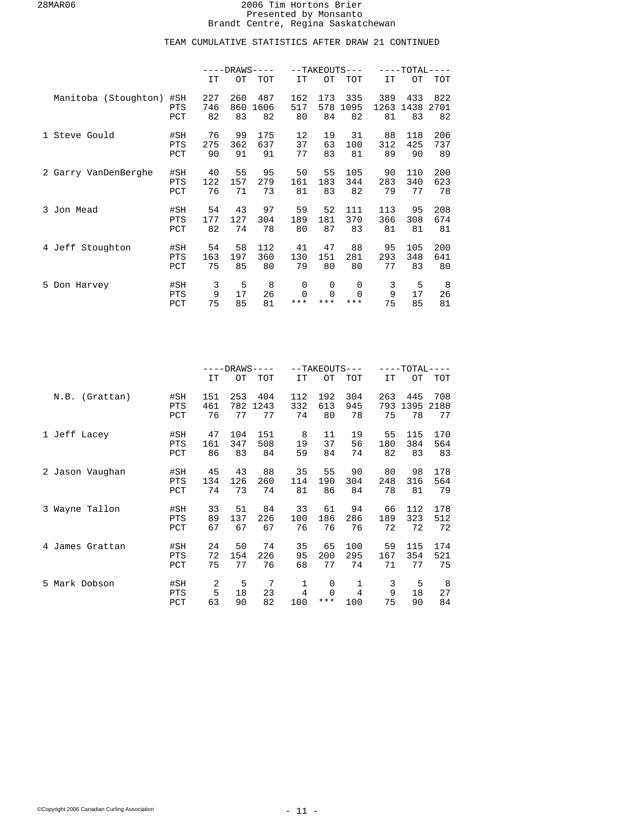|                      |                          | $---DRANS---$    |                  |                   |                        |                        | --TAKEOUTS---        |                   | ----TOTAL----     |                   |
|----------------------|--------------------------|------------------|------------------|-------------------|------------------------|------------------------|----------------------|-------------------|-------------------|-------------------|
|                      |                          | IT               | OТ               | <b>TOT</b>        | IT                     | OT                     | <b>TOT</b>           | IT                | OТ                | TOT               |
| Manitoba (Stoughton) | #SH<br><b>PTS</b><br>PCT | 227<br>746<br>82 | 260<br>860<br>83 | 487<br>1606<br>82 | 162<br>517<br>80       | 173<br>578<br>84       | 335<br>1095<br>82    | 389<br>1263<br>81 | 433<br>1438<br>83 | 822<br>2701<br>82 |
| 1 Steve Gould        | #SH<br><b>PTS</b><br>PCT | 76<br>275<br>90  | 99<br>362<br>91  | 175<br>637<br>91  | 12<br>37<br>77         | 19<br>63<br>83         | 31<br>100<br>81      | 88<br>312<br>89   | 118<br>425<br>90  | 206<br>737<br>89  |
| 2 Garry VanDenBerghe | #SH<br><b>PTS</b><br>PCT | 40<br>122<br>76  | 55<br>157<br>71  | 95<br>279<br>73   | 50<br>161<br>81        | 55<br>183<br>83        | 105<br>344<br>82     | 90<br>283<br>79   | 110<br>340<br>77  | 200<br>623<br>78  |
| 3 Jon Mead           | #SH<br><b>PTS</b><br>PCT | 54<br>177<br>82  | 43<br>127<br>74  | 97<br>304<br>78   | 59<br>189<br>80        | 52<br>181<br>87        | 111<br>370<br>83     | 113<br>366<br>81  | 95<br>308<br>81   | 208<br>674<br>81  |
| 4 Jeff Stoughton     | #SH<br><b>PTS</b><br>PCT | 54<br>163<br>75  | 58<br>197<br>85  | 112<br>360<br>80  | 41<br>130<br>79        | 47<br>151<br>80        | 88<br>281<br>80      | 95<br>293<br>77   | 105<br>348<br>83  | 200<br>641<br>80  |
| 5 Don Harvey         | #SH<br><b>PTS</b><br>PCT | 3<br>9<br>75     | 5<br>17<br>85    | 8<br>26<br>81     | 0<br>$\Omega$<br>$***$ | 0<br>$\Omega$<br>$***$ | 0<br>$\Omega$<br>*** | 3<br>9<br>75      | 5<br>17<br>85     | 8<br>26<br>81     |

|                    |                   | $---DRANS---$    |                  |                   |                  | $--TAKEOUTS---$  |                  | $---TOTAL-$<br>$---$ |                   |                   |
|--------------------|-------------------|------------------|------------------|-------------------|------------------|------------------|------------------|----------------------|-------------------|-------------------|
|                    |                   | IT               | OТ               | TOT               | <b>IT</b>        | OТ               | <b>TOT</b>       | IT                   | OТ                | TOT               |
| (Grattan)<br>N.B.  | #SH<br>PTS<br>PCT | 151<br>461<br>76 | 253<br>782<br>77 | 404<br>1243<br>77 | 112<br>332<br>74 | 192<br>613<br>80 | 304<br>945<br>78 | 263<br>793<br>75     | 445<br>1395<br>78 | 708<br>2188<br>77 |
| 1 Jeff Lacey       | #SH               | 47               | 104              | 151               | 8                | 11               | 19               | 55                   | 115               | 170               |
|                    | <b>PTS</b>        | 161              | 347              | 508               | 19               | 37               | 56               | 180                  | 384               | 564               |
|                    | PCT               | 86               | 83               | 84                | 59               | 84               | 74               | 82                   | 83                | 83                |
| 2 Jason Vaughan    | #SH               | 45               | 43               | 88                | 35               | 55               | 90               | 80                   | 98                | 178               |
|                    | <b>PTS</b>        | 134              | 126              | 260               | 114              | 190              | 304              | 248                  | 316               | 564               |
|                    | PCT               | 74               | 73               | 74                | 81               | 86               | 84               | 78                   | 81                | 79                |
| 3 Wayne Tallon     | #SH               | 33               | 51               | 84                | 33               | 61               | 94               | 66                   | 112               | 178               |
|                    | <b>PTS</b>        | 89               | 137              | 226               | 100              | 186              | 286              | 189                  | 323               | 512               |
|                    | PCT               | 67               | 67               | 67                | 76               | 76               | 76               | 72                   | 72                | 72                |
| James Grattan<br>4 | #SH<br>PTS<br>PCT | 24<br>72<br>75   | 50<br>154<br>77  | 74<br>226<br>76   | 35<br>95<br>68   | 65<br>200<br>77  | 100<br>295<br>74 | 59<br>167<br>71      | 115<br>354<br>77  | 174<br>521<br>75  |
| 5 Mark Dobson      | #SH               | 2                | 5                | 7                 | 1                | 0                | 1                | 3                    | 5                 | 8                 |
|                    | PTS               | 5                | 18               | 23                | $\overline{4}$   | $\Omega$         | $\overline{4}$   | 9                    | 18                | 27                |
|                    | PCT               | 63               | 90               | 82                | 100              | $***$            | 100              | 75                   | 90                | 84                |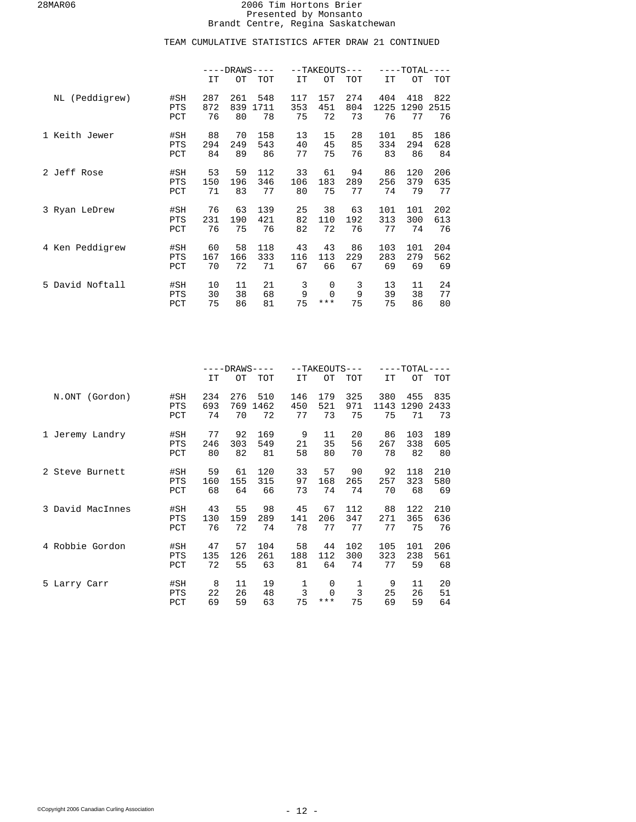|                 |            | $---DRANS---$ |     |      |     | --TAKEOUTS--- |            | $---TOTAL-$<br>--- |      |      |
|-----------------|------------|---------------|-----|------|-----|---------------|------------|--------------------|------|------|
|                 |            | IT            | OТ  | TOT  | IT  | OT            | <b>TOT</b> | <b>IT</b>          | OТ   | TOT  |
| NL (Peddigrew)  | #SH        | 287           | 261 | 548  | 117 | 157           | 274        | 404                | 418  | 822  |
|                 | PTS        | 872           | 839 | 1711 | 353 | 451           | 804        | 1225               | 1290 | 2515 |
|                 | PCT        | 76            | 80  | 78   | 75  | 72            | 73         | 76                 | 77   | 76   |
| 1 Keith Jewer   | #SH        | 88            | 70  | 158  | 13  | 15            | 28         | 101                | 85   | 186  |
|                 | PTS        | 294           | 249 | 543  | 40  | 45            | 85         | 334                | 294  | 628  |
|                 | PCT        | 84            | 89  | 86   | 77  | 75            | 76         | 83                 | 86   | 84   |
| 2 Jeff Rose     | #SH        | 53            | 59  | 112  | 33  | 61            | 94         | 86                 | 120  | 206  |
|                 | <b>PTS</b> | 150           | 196 | 346  | 106 | 183           | 289        | 256                | 379  | 635  |
|                 | PCT        | 71            | 83  | 77   | 80  | 75            | 77         | 74                 | 79   | 77   |
| 3 Ryan LeDrew   | #SH        | 76            | 63  | 139  | 25  | 38            | 63         | 101                | 101  | 202  |
|                 | PTS        | 231           | 190 | 421  | 82  | 110           | 192        | 313                | 300  | 613  |
|                 | PCT        | 76            | 75  | 76   | 82  | 72            | 76         | 77                 | 74   | 76   |
| 4 Ken Peddigrew | #SH        | 60            | 58  | 118  | 43  | 43            | 86         | 103                | 101  | 204  |
|                 | PTS        | 167           | 166 | 333  | 116 | 113           | 229        | 283                | 279  | 562  |
|                 | PCT        | 70            | 72  | 71   | 67  | 66            | 67         | 69                 | 69   | 69   |
| 5 David Noftall | #SH        | 10            | 11  | 21   | 3   | $\mathbf 0$   | 3          | 13                 | 11   | 24   |
|                 | PTS        | 30            | 38  | 68   | 9   | $\Omega$      | 9          | 39                 | 38   | 77   |
|                 | PCT        | 75            | 86  | 81   | 75  | ***           | 75         | 75                 | 86   | 80   |

|                  |                   | $---DRANS---$ |                |                |                           | $--TAKEOUTS---$ |                           | $---TOTAL-$<br>$---$ |                |                |
|------------------|-------------------|---------------|----------------|----------------|---------------------------|-----------------|---------------------------|----------------------|----------------|----------------|
|                  |                   | IT            | OТ             | TOT            | IT                        | OТ              | TOT                       | IT                   | OТ             | TOT            |
| N.ONT (Gordon)   | #SH               | 234           | 276            | 510            | 146                       | 179             | 325                       | 380                  | 455            | 835            |
|                  | PTS               | 693           | 769            | 1462           | 450                       | 521             | 971                       | 1143                 | 1290           | 2433           |
|                  | PCT               | 74            | 70             | 72             | 77                        | 73              | 75                        | 75                   | 71             | 73             |
| 1 Jeremy Landry  | #SH               | 77            | 92             | 169            | 9                         | 11              | 20                        | 86                   | 103            | 189            |
|                  | <b>PTS</b>        | 246           | 303            | 549            | 21                        | 35              | 56                        | 267                  | 338            | 605            |
|                  | PCT               | 80            | 82             | 81             | 58                        | 80              | 70                        | 78                   | 82             | 80             |
| 2 Steve Burnett  | #SH               | 59            | 61             | 120            | 33                        | 57              | 90                        | 92                   | 118            | 210            |
|                  | <b>PTS</b>        | 160           | 155            | 315            | 97                        | 168             | 265                       | 257                  | 323            | 580            |
|                  | PCT               | 68            | 64             | 66             | 73                        | 74              | 74                        | 70                   | 68             | 69             |
| 3 David MacInnes | #SH               | 43            | 55             | 98             | 45                        | 67              | 112                       | 88                   | 122            | 210            |
|                  | <b>PTS</b>        | 130           | 159            | 289            | 141                       | 206             | 347                       | 271                  | 365            | 636            |
|                  | PCT               | 76            | 72             | 74             | 78                        | 77              | 77                        | 77                   | 75             | 76             |
| 4 Robbie Gordon  | #SH               | 47            | 57             | 104            | 58                        | 44              | 102                       | 105                  | 101            | 206            |
|                  | <b>PTS</b>        | 135           | 126            | 261            | 188                       | 112             | 300                       | 323                  | 238            | 561            |
|                  | PCT               | 72            | 55             | 63             | 81                        | 64              | 74                        | 77                   | 59             | 68             |
| 5 Larry Carr     | #SH<br>PTS<br>PCT | 8<br>22<br>69 | 11<br>26<br>59 | 19<br>48<br>63 | 1<br>$\overline{3}$<br>75 | 0<br>***        | 1<br>$\overline{3}$<br>75 | 9<br>25<br>69        | 11<br>26<br>59 | 20<br>51<br>64 |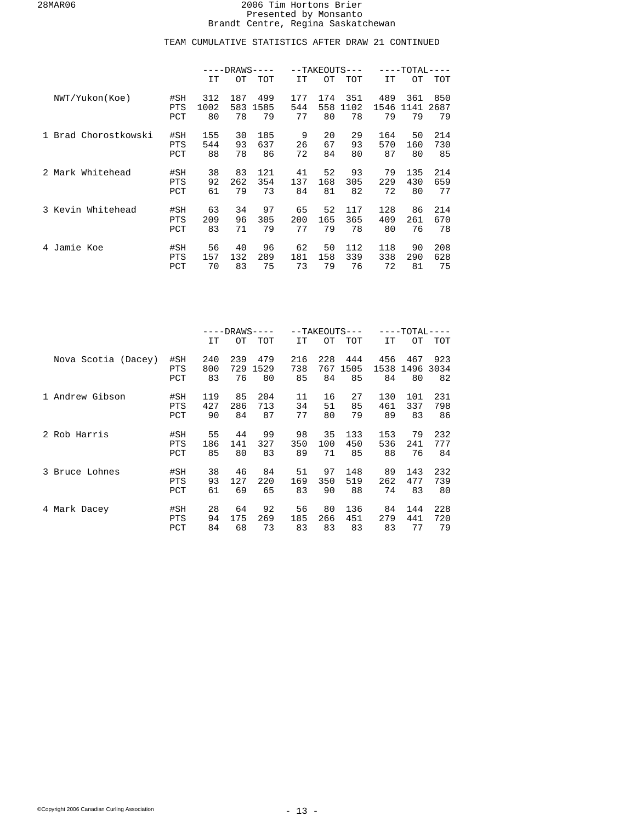|                      |                          | $---DRANS---$   |                 |                 |                 | $--TAKEOUTS---$ |                  | $-TOTAL-$<br>$---$ |                 |                  |
|----------------------|--------------------------|-----------------|-----------------|-----------------|-----------------|-----------------|------------------|--------------------|-----------------|------------------|
|                      |                          | IT              | OТ              | <b>TOT</b>      | IT              | OТ              | <b>TOT</b>       | <b>IT</b>          | OТ              | TOT              |
| NWT/Yukon(Koe)       | #SH                      | 312             | 187             | 499             | 177             | 174             | 351              | 489                | 361             | 850              |
|                      | <b>PTS</b>               | 1002            | 583             | 1585            | 544             | 558             | 1102             | 1546               | 1141            | 2687             |
|                      | PCT                      | 80              | 78              | 79              | 77              | 80              | 78               | 79                 | 79              | 79               |
| 1 Brad Chorostkowski | #SH                      | 155             | 30              | 185             | 9               | 20              | 29               | 164                | 50              | 214              |
|                      | <b>PTS</b>               | 544             | 93              | 637             | 26              | 67              | 93               | 570                | 160             | 730              |
|                      | PCT                      | 88              | 78              | 86              | 72              | 84              | 80               | 87                 | 80              | 85               |
| 2 Mark Whitehead     | #SH                      | 38              | 83              | 121             | 41              | 52              | 93               | 79                 | 135             | 214              |
|                      | <b>PTS</b>               | 92              | 262             | 354             | 137             | 168             | 305              | 229                | 430             | 659              |
|                      | PCT                      | 61              | 79              | 73              | 84              | 81              | 82               | 72                 | 80              | 77               |
| 3 Kevin Whitehead    | #SH                      | 63              | 34              | 97              | 65              | 52              | 117              | 128                | 86              | 214              |
|                      | <b>PTS</b>               | 209             | 96              | 305             | 200             | 165             | 365              | 409                | 261             | 670              |
|                      | PCT                      | 83              | 71              | 79              | 77              | 79              | 78               | 80                 | 76              | 78               |
| Jamie Koe<br>4       | #SH<br><b>PTS</b><br>PCT | 56<br>157<br>70 | 40<br>132<br>83 | 96<br>289<br>75 | 62<br>181<br>73 | 50<br>158<br>79 | 112<br>339<br>76 | 118<br>338<br>72   | 90<br>290<br>81 | 208<br>628<br>75 |

|                     |            | $---DRANS---$ |     |      |     |     | $--TAKEOUTS---$ | $---TOTAL·$ |      |      |  |
|---------------------|------------|---------------|-----|------|-----|-----|-----------------|-------------|------|------|--|
|                     |            | IT            | OТ  | TOT  | IT  | OТ  | TOT             | IT          | OТ   | TOT  |  |
| Nova Scotia (Dacey) | #SH        | 240           | 239 | 479  | 216 | 228 | 444             | 456         | 467  | 923  |  |
|                     | <b>PTS</b> | 800           | 729 | 1529 | 738 | 767 | 1505            | 1538        | 1496 | 3034 |  |
|                     | PCT        | 83            | 76  | 80   | 85  | 84  | 85              | 84          | 80   | 82   |  |
| 1 Andrew Gibson     | #SH        | 119           | 85  | 204  | 11  | 16  | 27              | 130         | 101  | 231  |  |
|                     | <b>PTS</b> | 427           | 286 | 713  | 34  | 51  | 85              | 461         | 337  | 798  |  |
|                     | PCT        | 90            | 84  | 87   | 77  | 80  | 79              | 89          | 83   | 86   |  |
| 2 Rob Harris        | #SH        | 55            | 44  | 99   | 98  | 35  | 133             | 153         | 79   | 232  |  |
|                     | <b>PTS</b> | 186           | 141 | 327  | 350 | 100 | 450             | 536         | 241  | 777  |  |
|                     | PCT        | 85            | 80  | 83   | 89  | 71  | 85              | 88          | 76   | 84   |  |
| 3 Bruce Lohnes      | #SH        | 38            | 46  | 84   | 51  | 97  | 148             | 89          | 143  | 232  |  |
|                     | <b>PTS</b> | 93            | 127 | 220  | 169 | 350 | 519             | 262         | 477  | 739  |  |
|                     | PCT        | 61            | 69  | 65   | 83  | 90  | 88              | 74          | 83   | 80   |  |
| 4 Mark Dacey        | #SH        | 28            | 64  | 92   | 56  | 80  | 136             | 84          | 144  | 228  |  |
|                     | <b>PTS</b> | 94            | 175 | 269  | 185 | 266 | 451             | 279         | 441  | 720  |  |
|                     | PCT        | 84            | 68  | 73   | 83  | 83  | 83              | 83          | 77   | 79   |  |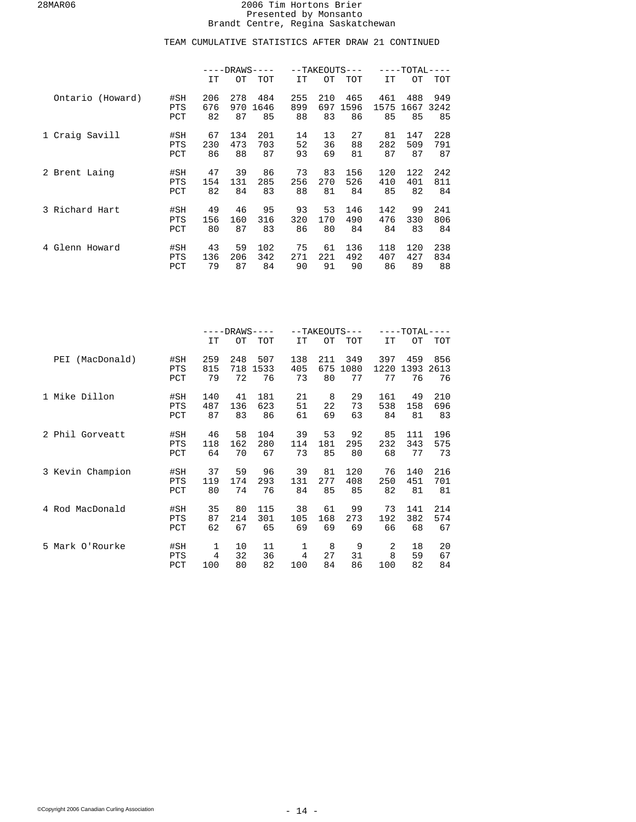|                   |                          | $---DRANS---$   |                 |                  |                 |                 | $--TAKEOUTS---$  | ----TOTAL----    |                  |                  |
|-------------------|--------------------------|-----------------|-----------------|------------------|-----------------|-----------------|------------------|------------------|------------------|------------------|
|                   |                          | IT              | OТ              | TOT              | IT.             | OТ              | TOT              | IT               | OT.              | TOT              |
| Ontario (Howard)  | #SH                      | 206             | 278             | 484              | 255             | 210             | 465              | 461              | 488              | 949              |
|                   | <b>PTS</b>               | 676             | 970             | 1646             | 899             | 697             | 1596             | 1575             | 1667             | 3242             |
|                   | PCT                      | 82              | 87              | 85               | 88              | 83              | 86               | 85               | 85               | 85               |
| 1 Craig Savill    | #SH                      | 67              | 134             | 201              | 14              | 13              | 27               | 81               | 147              | 228              |
|                   | <b>PTS</b>               | 230             | 473             | 703              | 52              | 36              | 88               | 282              | 509              | 791              |
|                   | PCT                      | 86              | 88              | 87               | 93              | 69              | 81               | 87               | 87               | 87               |
| 2 Brent Laing     | #SH                      | 47              | 39              | 86               | 73              | 83              | 156              | 120              | 122              | 242              |
|                   | <b>PTS</b>               | 154             | 131             | 285              | 256             | 270             | 526              | 410              | 401              | 811              |
|                   | PCT                      | 82              | 84              | 83               | 88              | 81              | 84               | 85               | 82               | 84               |
| 3 Richard Hart    | #SH                      | 49              | 46              | 95               | 93              | 53              | 146              | 142              | 99               | 241              |
|                   | <b>PTS</b>               | 156             | 160             | 316              | 320             | 170             | 490              | 476              | 330              | 806              |
|                   | PCT                      | 80              | 87              | 83               | 86              | 80              | 84               | 84               | 83               | 84               |
| Glenn Howard<br>4 | #SH<br><b>PTS</b><br>PCT | 43<br>136<br>79 | 59<br>206<br>87 | 102<br>342<br>84 | 75<br>271<br>90 | 61<br>221<br>91 | 136<br>492<br>90 | 118<br>407<br>86 | 120<br>427<br>89 | 238<br>834<br>88 |

|                    |                   | $---DRANS---$    |                  |                   |                  |                  | --TAKEOUTS---     | $---TOTAL-$<br>$---$ |                   |                   |
|--------------------|-------------------|------------------|------------------|-------------------|------------------|------------------|-------------------|----------------------|-------------------|-------------------|
|                    |                   | IT               | OТ               | TOT               | IT               | ОT               | TOT               | <b>IT</b>            | OТ                | TOT               |
| (MacDonald)<br>PEI | #SH<br>PTS<br>PCT | 259<br>815<br>79 | 248<br>718<br>72 | 507<br>1533<br>76 | 138<br>405<br>73 | 211<br>675<br>80 | 349<br>1080<br>77 | 397<br>1220<br>77    | 459<br>1393<br>76 | 856<br>2613<br>76 |
| 1 Mike Dillon      | #SH               | 140              | 41               | 181               | 21               | 8                | 29                | 161                  | 49                | 210               |
|                    | <b>PTS</b>        | 487              | 136              | 623               | 51               | 22               | 73                | 538                  | 158               | 696               |
|                    | PCT               | 87               | 83               | 86                | 61               | 69               | 63                | 84                   | 81                | 83                |
| 2 Phil Gorveatt    | #SH               | 46               | 58               | 104               | 39               | 53               | 92                | 85                   | 111               | 196               |
|                    | <b>PTS</b>        | 118              | 162              | 280               | 114              | 181              | 295               | 232                  | 343               | 575               |
|                    | PCT               | 64               | 70               | 67                | 73               | 85               | 80                | 68                   | 77                | 73                |
| 3 Kevin Champion   | #SH               | 37               | 59               | 96                | 39               | 81               | 120               | 76                   | 140               | 216               |
|                    | PTS               | 119              | 174              | 293               | 131              | 277              | 408               | 250                  | 451               | 701               |
|                    | PCT               | 80               | 74               | 76                | 84               | 85               | 85                | 82                   | 81                | 81                |
| 4 Rod MacDonald    | #SH               | 35               | 80               | 115               | 38               | 61               | 99                | 73                   | 141               | 214               |
|                    | PTS               | 87               | 214              | 301               | 105              | 168              | 273               | 192                  | 382               | 574               |
|                    | PCT               | 62               | 67               | 65                | 69               | 69               | 69                | 66                   | 68                | 67                |
| 5 Mark O'Rourke    | #SH               | 1                | 10               | 11                | 1                | 8                | 9                 | 2                    | 18                | 20                |
|                    | <b>PTS</b>        | 4                | 32               | 36                | 4                | 27               | 31                | 8                    | 59                | 67                |
|                    | PCT               | 100              | 80               | 82                | 100              | 84               | 86                | 100                  | 82                | 84                |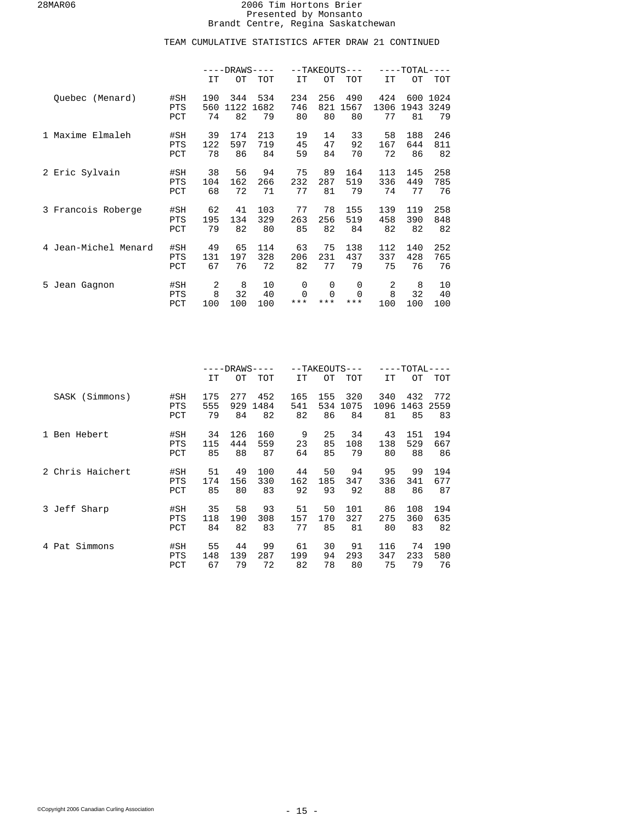|                         |                   | $---DRANS-$<br>$-- -$ |             |             |               | $--TAKEOUTS---$ |               | ----TOTAL·  |             |              |
|-------------------------|-------------------|-----------------------|-------------|-------------|---------------|-----------------|---------------|-------------|-------------|--------------|
|                         |                   | IT                    | OT          | TOT         | IT            | OТ              | <b>TOT</b>    | IT          | OТ          | TOT          |
| Quebec (Menard)         | #SH<br>PTS        | 190<br>560            | 344<br>1122 | 534<br>1682 | 234<br>746    | 256<br>821      | 490<br>1567   | 424<br>1306 | 600<br>1943 | 1024<br>3249 |
|                         | PCT               | 74                    | 82          | 79          | 80            | 80              | 80            | 77          | 81          | 79           |
| 1 Maxime Elmaleh        | #SH<br>PTS        | 39<br>122             | 174<br>597  | 213<br>719  | 19<br>45      | 14<br>47        | 33<br>92      | 58<br>167   | 188<br>644  | 246<br>811   |
|                         | PCT               | 78                    | 86          | 84          | 59            | 84              | 70            | 72          | 86          | 82           |
| 2 Eric Sylvain          | #SH<br>PTS        | 38<br>104             | 56<br>162   | 94<br>266   | 75<br>232     | 89<br>287       | 164<br>519    | 113<br>336  | 145<br>449  | 258<br>785   |
|                         | PCT               | 68                    | 72          | 71          | 77            | 81              | 79            | 74          | 77          | 76           |
| 3 Francois Roberge      | #SH<br>PTS        | 62<br>195             | 41<br>134   | 103<br>329  | 77<br>263     | 78<br>256       | 155<br>519    | 139<br>458  | 119<br>390  | 258<br>848   |
|                         | PCT               | 79                    | 82          | 80          | 85            | 82              | 84            | 82          | 82          | 82           |
| Jean-Michel Menard<br>4 | #SH<br><b>PTS</b> | 49<br>131             | 65<br>197   | 114<br>328  | 63<br>206     | 75<br>231       | 138<br>437    | 112<br>337  | 140<br>428  | 252<br>765   |
|                         | PCT               | 67                    | 76          | 72          | 82            | 77              | 79            | 75          | 76          | 76           |
| 5 Jean Gagnon           | #SH<br>PTS        | 2<br>8                | 8<br>32     | 10<br>40    | 0<br>$\Omega$ | 0<br>$\Omega$   | 0<br>$\Omega$ | 2<br>8      | 8<br>32     | 10<br>40     |
|                         | PCT               | 100                   | 100         | 100         | $***$         | ***             | $***$         | 100         | 100         | 100          |

|                  |                   | $---DRANS---$ |           |            |           |           | $--TAKEOUTS---$ | $-{\tt TOTAL}$ |            |            |
|------------------|-------------------|---------------|-----------|------------|-----------|-----------|-----------------|----------------|------------|------------|
|                  |                   | IT            | OТ        | <b>TOT</b> | IT        | ОT        | <b>TOT</b>      | IT             | OТ         | TOT        |
| SASK (Simmons)   | #SH               | 175           | 277       | 452        | 165       | 155       | 320             | 340            | 432        | 772        |
|                  | PTS<br>PCT        | 555<br>79     | 929<br>84 | 1484<br>82 | 541<br>82 | 534<br>86 | 1075<br>84      | 1096<br>81     | 1463<br>85 | 2559<br>83 |
| 1 Ben Hebert     | #SH               | 34            | 126       | 160        | 9         | 25        | 34              | 43             | 151        | 194        |
|                  | PTS<br>PCT        | 115<br>85     | 444<br>88 | 559<br>87  | 23<br>64  | 85<br>85  | 108<br>79       | 138<br>80      | 529<br>88  | 667<br>86  |
| 2 Chris Haichert | #SH<br><b>PTS</b> | 51<br>174     | 49<br>156 | 100<br>330 | 44<br>162 | 50<br>185 | 94<br>347       | 95<br>336      | 99<br>341  | 194<br>677 |
|                  | PCT               | 85            | 80        | 83         | 92        | 93        | 92              | 88             | 86         | 87         |
| 3 Jeff Sharp     | #SH<br>PTS        | 35<br>118     | 58<br>190 | 93<br>308  | 51<br>157 | 50<br>170 | 101<br>327      | 86<br>275      | 108<br>360 | 194<br>635 |
|                  | PCT               | 84            | 82        | 83         | 77        | 85        | 81              | 80             | 83         | 82         |
| Pat Simmons<br>4 | #SH<br><b>PTS</b> | 55<br>148     | 44<br>139 | 99<br>287  | 61<br>199 | 30<br>94  | 91<br>293       | 116<br>347     | 74<br>233  | 190<br>580 |
|                  | PCT               | 67            | 79        | 72         | 82        | 78        | 80              | 75             | 79         | 76         |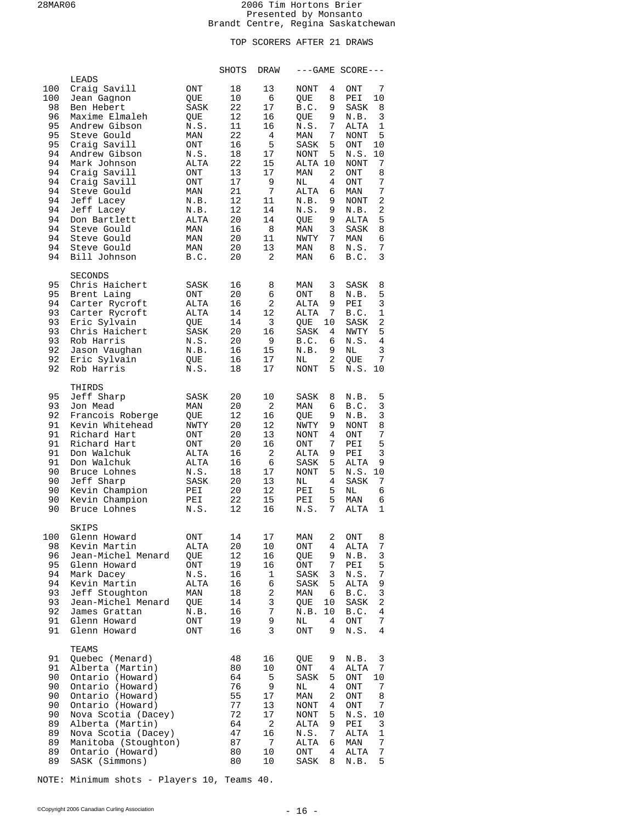# TOP SCORERS AFTER 21 DRAWS

|                                                                                                                  |                                                                                                                                                                                                                                                                                                               |                                                                                                                                                  | SHOTS                                                                                                          | DRAW                                                                                                    |                                                                                                                                                                                                                                                  | $---GAME SCORE---$                                                                                                                                                                                                                                     |
|------------------------------------------------------------------------------------------------------------------|---------------------------------------------------------------------------------------------------------------------------------------------------------------------------------------------------------------------------------------------------------------------------------------------------------------|--------------------------------------------------------------------------------------------------------------------------------------------------|----------------------------------------------------------------------------------------------------------------|---------------------------------------------------------------------------------------------------------|--------------------------------------------------------------------------------------------------------------------------------------------------------------------------------------------------------------------------------------------------|--------------------------------------------------------------------------------------------------------------------------------------------------------------------------------------------------------------------------------------------------------|
| 100<br>100<br>98<br>96<br>95<br>95<br>95<br>94<br>94<br>94<br>94<br>94<br>94<br>94<br>94<br>94<br>94<br>94<br>94 | LEADS<br>Craig Savill<br>Jean Gagnon<br>Ben Hebert<br>Maxime Elmaleh<br>Andrew Gibson<br>Steve Gould<br>Craig Savill<br>Andrew Gibson<br>Mark Johnson<br>Craig Savill<br>Craig Savill<br>Steve Gould<br>Jeff Lacey<br>Jeff Lacey<br>Don Bartlett<br>Steve Gould<br>Steve Gould<br>Steve Gould<br>Bill Johnson | ONT<br>QUE<br>SASK<br>QUE<br>N.S.<br>MAN<br>ONT<br>N.S.<br>ALTA<br>ONT<br><b>ONT</b><br>MAN<br>N.B.<br>N.B.<br>ALTA<br>MAN<br>MAN<br>MAN<br>B.C. | 18<br>10<br>22<br>12<br>11<br>22<br>16<br>18<br>22<br>13<br>17<br>21<br>12<br>12<br>20<br>16<br>20<br>20<br>20 | 13<br>6<br>17<br>16<br>16<br>4<br>5<br>17<br>15<br>17<br>9<br>7<br>11<br>14<br>14<br>8<br>11<br>13<br>2 | <b>NONT</b><br>4<br>8<br>QUE<br>9<br>B.C.<br>9<br>QUE<br>7<br>N.S.<br>7<br>MAN<br>5<br>SASK<br>NONT<br>5.<br>ALTA 10<br>2<br>MAN<br>NL<br>4<br>ALTA<br>6<br>9<br>N.B.<br>9<br>N.S.<br>9<br>QUE<br>3<br>MAN<br>7<br>NWTY<br>MAN<br>8<br>MAN<br>б. | 7<br>ONT<br>10<br>PEI<br>8<br>SASK<br>3<br>N.B.<br>1<br>ALTA<br>5<br>NONT<br>ONT<br>10<br>N.S.<br>10<br>7<br>NONT<br>ONT<br>8<br>7<br>ONT<br>7<br>MAN<br>2<br><b>NONT</b><br>2<br>N.B.<br>5<br>ALTA<br>SASK<br>8<br>6<br>MAN<br>7<br>N.S.<br>3<br>B.C. |
| 95<br>95<br>94<br>93<br>93<br>93<br>93<br>92<br>92<br>92                                                         | <b>SECONDS</b><br>Chris Haichert<br>Brent Laing<br>Carter Rycroft<br>Carter Rycroft<br>Eric Sylvain<br>Chris Haichert<br>Rob Harris<br>Jason Vaughan<br>Eric Sylvain<br>Rob Harris                                                                                                                            | SASK<br>ONT<br>ALTA<br>ALTA<br>QUE<br>SASK<br>N.S.<br>N.B.<br>QUE<br>N.S.                                                                        | 16<br>20<br>16<br>14<br>14<br>20<br>20<br>16<br>16<br>18                                                       | 8<br>6<br>2<br>12<br>$\overline{3}$<br>16<br>9<br>15<br>17<br>17                                        | 3<br>MAN<br>ONT<br>8<br>ALTA<br>9<br>7<br>ALTA<br>10<br>QUE<br>SASK<br>4<br>B.C.<br>6<br>9<br>N.B.<br>$\overline{2}$<br>NL<br>5<br>NONT                                                                                                          | SASK<br>8<br>5<br>N.B.<br>3<br>PEI<br>1<br>B.C.<br>2<br>SASK<br>5<br>NWTY<br>4<br>N.S.<br>3<br>NL<br>7<br>QUE<br>10<br>N.S.                                                                                                                            |
| 95<br>93<br>92<br>91<br>91<br>91<br>91<br>91<br>90<br>90<br>90<br>90<br>90                                       | THIRDS<br>Jeff Sharp<br>Jon Mead<br>Francois Roberge<br>Kevin Whitehead<br>Richard Hart<br>Richard Hart<br>Don Walchuk<br>Don Walchuk<br>Bruce Lohnes<br>Jeff Sharp<br>Kevin Champion<br>Kevin Champion<br>Bruce Lohnes                                                                                       | SASK<br>MAN<br>QUE<br>NWTY<br>ONT<br>ONT<br>ALTA<br>ALTA<br>N.S.<br>SASK<br>PEI<br>PEI<br>N.S.                                                   | 20<br>20<br>12<br>20<br>20<br>20<br>16<br>16<br>18<br>20<br>20<br>22<br>12                                     | 10<br>2<br>16<br>12<br>13<br>16<br>2<br>6<br>17<br>13<br>12<br>15<br>16                                 | 8<br>SASK<br>б.<br>MAN<br>9<br>QUE<br>9<br>NWTY<br>4<br>NONT<br>7<br>ONT<br>ALTA<br>9<br>5<br>SASK<br>5<br>NONT<br>$\overline{4}$<br>NL<br>5<br>PEI<br>5<br>PEI<br>$7\overline{ }$<br>N.S.                                                       | 5<br>N.B.<br>3<br>B.C.<br>3<br>N.B.<br>8<br>NONT<br>7<br>ONT<br>5<br>PEI<br>3<br>PEI<br>9<br>ALTA<br>10<br>N.S.<br>7<br>SASK<br>ΝL<br>6<br>6<br>MAN<br><b>ALTA</b><br>1                                                                                |
| 100<br>98<br>96<br>95<br>94<br>94<br>93<br>93<br>92<br>91<br>91                                                  | SKIPS<br>Glenn Howard<br>Kevin Martin<br>Jean-Michel Menard<br>Glenn Howard<br>Mark Dacey<br>Kevin Martin<br>Jeff Stoughton<br>Jean-Michel Menard<br>James Grattan<br>Glenn Howard<br>Glenn Howard                                                                                                            | ONT<br>ALTA<br>QUE<br>ONT<br>N.S.<br>ALTA<br>MAN<br>QUE<br>N.B.<br>ONT<br>ONT                                                                    | 14<br>20<br>12<br>19<br>16<br>16<br>18<br>14<br>16<br>19<br>16                                                 | 17<br>10<br>16<br>16<br>$1\,$<br>б<br>2<br>3<br>7<br>9<br>3                                             | 2<br>MAN<br>ONT<br>4<br>9<br>QUE<br>7<br>ONT<br>3<br>SASK<br>5<br>SASK<br>MAN<br>6<br>QUE<br>10<br>N.B.<br>10<br>ΝL<br>4<br>9<br>ONT                                                                                                             | ONT<br>8<br>$\overline{7}$<br>ALTA<br>3<br>N.B.<br>5<br>PEI<br>$\boldsymbol{7}$<br>N.S.<br>9<br>ALTA<br>$\mathsf 3$<br>B.C.<br>SASK<br>2<br>4<br>B.C.<br>7<br>ONT<br>4<br>N.S.                                                                         |
| 91<br>91<br>90<br>90<br>90<br>90<br>90<br>89<br>89<br>89<br>89<br>89                                             | TEAMS<br>Quebec (Menard)<br>Alberta (Martin)<br>Ontario (Howard)<br>Ontario (Howard)<br>Ontario (Howard)<br>Ontario (Howard)<br>Nova Scotia (Dacey)<br>Alberta (Martin)<br>Nova Scotia (Dacey)<br>Manitoba (Stoughton)<br>Ontario (Howard)<br>SASK (Simmons)                                                  |                                                                                                                                                  | 48<br>80<br>64<br>76<br>55<br>77<br>72<br>64<br>47<br>87<br>80<br>80                                           | 16<br>10<br>5<br>9<br>17<br>13<br>17<br>2<br>16<br>7<br>10<br>10                                        | 9<br>QUE<br>ONT<br>4<br>SASK<br>5<br>4<br>ΝL<br>2<br>MAN<br>NONT<br>4<br>NONT<br>5<br>9<br>ALTA<br>7<br>N.S.<br>ALTA<br>6<br>$\mathop{\rm ONT}\nolimits$<br>4<br>8<br>SASK                                                                       | 3<br>N.B.<br>ALTA<br>7<br>$\rm ONT$<br>10<br>7<br>$\rm ONT$<br>$\rm ONT$<br>8<br>$\overline{7}$<br>$\rm ONT$<br>N.S.<br>10<br>3<br>PEI<br>ALTA<br>1<br>7<br>MAN<br>7<br>ALTA<br>5<br>N.B.                                                              |

NOTE: Minimum shots - Players 10, Teams 40.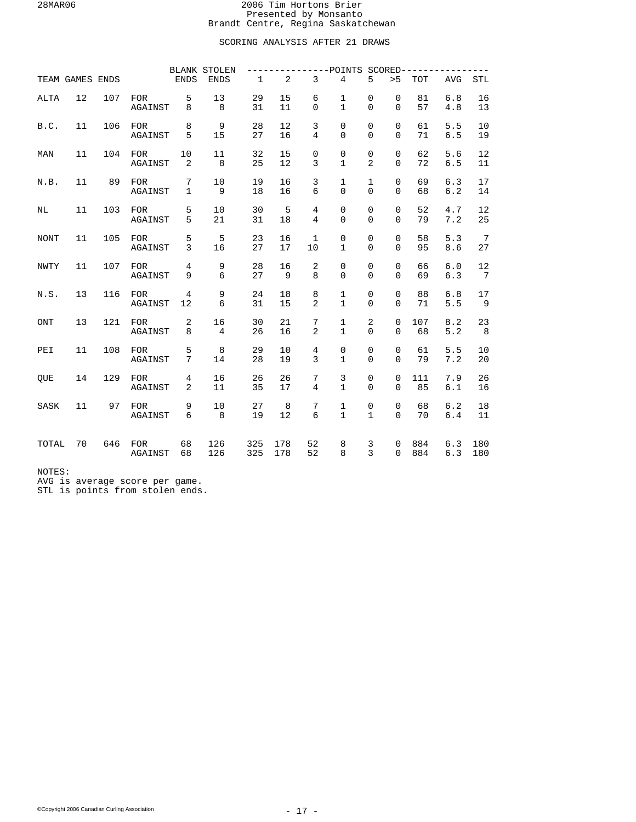# SCORING ANALYSIS AFTER 21 DRAWS

|             |                 |     |                       |                     | <b>BLANK STOLEN</b>  |             |                |                     | ---POINTS SCORED--------     |                               |                            |            |            |                       |
|-------------|-----------------|-----|-----------------------|---------------------|----------------------|-------------|----------------|---------------------|------------------------------|-------------------------------|----------------------------|------------|------------|-----------------------|
|             | TEAM GAMES ENDS |     |                       | ENDS                | <b>ENDS</b>          | $\mathbf 1$ | $\overline{2}$ | $\overline{3}$      | $\overline{4}$               | 5                             | > 5                        | <b>TOT</b> | <b>AVG</b> | <b>STL</b>            |
| <b>ALTA</b> | 12              | 107 | <b>FOR</b><br>AGAINST | 5<br>8              | 13<br>8              | 29<br>31    | 15<br>11       | 6<br>0              | 1<br>$\mathbf{1}$            | 0<br>$\mathbf 0$              | $\mathbf 0$<br>$\Omega$    | 81<br>57   | 6.8<br>4.8 | 16<br>13              |
| B.C.        | 11              | 106 | <b>FOR</b><br>AGAINST | 8<br>5              | 9<br>15              | 28<br>27    | 12<br>16       | 3<br>$\overline{4}$ | 0<br>$\Omega$                | $\mathbf 0$<br>$\Omega$       | $\mathbf 0$<br>$\Omega$    | 61<br>71   | 5.5<br>6.5 | 10<br>19              |
| MAN         | 11              | 104 | FOR<br>AGAINST        | 10<br>2             | 11<br>8              | 32<br>25    | 15<br>12       | 0<br>3              | 0<br>$\mathbf{1}$            | $\mathbf 0$<br>$\overline{2}$ | $\Omega$<br>$\Omega$       | 62<br>72   | 5.6<br>6.5 | 12<br>11              |
| N.B.        | 11              | 89  | FOR<br>AGAINST        | 7<br>$\mathbf{1}$   | 10<br>9              | 19<br>18    | 16<br>16       | 3<br>6              | $\mathbf 1$<br>$\Omega$      | $\mathbf{1}$<br>$\Omega$      | $\mathbf 0$<br>$\Omega$    | 69<br>68   | 6.3<br>6.2 | 17<br>14              |
| NL          | 11              | 103 | <b>FOR</b><br>AGAINST | 5<br>5              | 10<br>21             | 30<br>31    | 5<br>18        | $\overline{4}$<br>4 | 0<br>$\mathbf 0$             | $\mathsf 0$<br>$\Omega$       | $\mathbf 0$<br>$\Omega$    | 52<br>79   | 4.7<br>7.2 | 12<br>25              |
| <b>NONT</b> | 11              | 105 | <b>FOR</b><br>AGAINST | 5<br>3              | 5<br>16              | 23<br>27    | 16<br>17       | 1<br>10             | 0<br>$\mathbf{1}$            | $\mathbf 0$<br>$\mathbf 0$    | $\mathbf 0$<br>$\Omega$    | 58<br>95   | 5.3<br>8.6 | $7\overline{ }$<br>27 |
| <b>NWTY</b> | 11              | 107 | <b>FOR</b><br>AGAINST | $\overline{4}$<br>9 | 9<br>6               | 28<br>27    | 16<br>9        | $\overline{2}$<br>8 | 0<br>$\Omega$                | $\mathbf 0$<br>$\Omega$       | $\Omega$<br>$\Omega$       | 66<br>69   | 6.0<br>6.3 | 12<br>7               |
| N.S.        | 13              | 116 | <b>FOR</b><br>AGAINST | 4<br>12             | 9<br>6               | 24<br>31    | 18<br>15       | 8<br>2              | $\mathbf{1}$<br>$\mathbf{1}$ | $\mathsf 0$<br>$\Omega$       | $\mathbf 0$<br>$\Omega$    | 88<br>71   | 6.8<br>5.5 | 17<br>- 9             |
| ONT         | 13              | 121 | FOR<br>AGAINST        | 2<br>8              | 16<br>$\overline{4}$ | 30<br>26    | 21<br>16       | 7<br>$\overline{2}$ | $\mathbf 1$<br>$\mathbf{1}$  | $\overline{2}$<br>$\Omega$    | $\mathsf 0$<br>$\Omega$    | 107<br>68  | 8.2<br>5.2 | 23<br>8               |
| PEI         | 11              | 108 | <b>FOR</b><br>AGAINST | 5<br>7              | 8<br>14              | 29<br>28    | 10<br>19       | $\overline{4}$<br>3 | $\mathsf 0$<br>$\mathbf{1}$  | $\mathsf 0$<br>$\Omega$       | $\mathbf 0$<br>$\Omega$    | 61<br>79   | 5.5<br>7.2 | 10<br>20              |
| <b>OUE</b>  | 14              | 129 | <b>FOR</b><br>AGAINST | 4<br>2              | 16<br>11             | 26<br>35    | 26<br>17       | 7<br>$\overline{4}$ | 3<br>$\mathbf{1}$            | $\mathbf 0$<br>$\mathbf 0$    | $\mathbf 0$<br>$\mathbf 0$ | 111<br>85  | 7.9<br>6.1 | 26<br>16              |
| SASK        | 11              | 97  | <b>FOR</b><br>AGAINST | 9<br>6              | 10<br>8              | 27<br>19    | 8<br>12        | 7<br>6              | 1<br>$\mathbf{1}$            | 0<br>$\mathbf{1}$             | $\mathbf 0$<br>$\Omega$    | 68<br>70   | 6.2<br>6.4 | 18<br>11              |
| TOTAL       | 70              | 646 | <b>FOR</b><br>AGAINST | 68<br>68            | 126<br>126           | 325<br>325  | 178<br>178     | 52<br>52            | 8<br>8                       | 3<br>$\overline{3}$           | 0<br>$\Omega$              | 884<br>884 | 6.3<br>6.3 | 180<br>180            |

NOTES:

AVG is average score per game.

STL is points from stolen ends.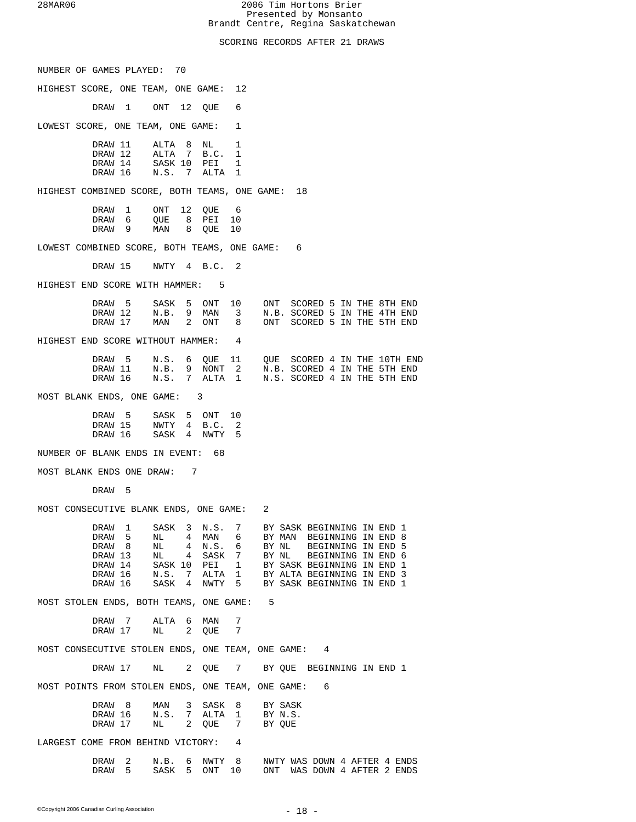SCORING RECORDS AFTER 21 DRAWS

| NUMBER OF GAMES PLAYED: 70                                                                           |                                                    |            |         |                   |                                                          |                                                             |
|------------------------------------------------------------------------------------------------------|----------------------------------------------------|------------|---------|-------------------|----------------------------------------------------------|-------------------------------------------------------------|
| HIGHEST SCORE, ONE TEAM, ONE GAME: 12                                                                |                                                    |            |         |                   |                                                          |                                                             |
| DRAW 1 ONT 12 QUE                                                                                    |                                                    |            | 6       |                   |                                                          |                                                             |
| LOWEST SCORE, ONE TEAM, ONE GAME:                                                                    |                                                    |            | 1       |                   |                                                          |                                                             |
| DRAW 11 ALTA 8 NL 1                                                                                  |                                                    |            |         |                   |                                                          |                                                             |
| DRAW 12 ALTA 7 B.C. 1<br>DRAW 14 SASK 10 PEI 1<br>DRAW 16 N.S. 7 ALTA 1                              |                                                    |            |         |                   |                                                          |                                                             |
| HIGHEST COMBINED SCORE, BOTH TEAMS, ONE GAME: 18                                                     |                                                    |            |         |                   |                                                          |                                                             |
| DRAW 1                                                                                               | ONT 12 QUE 6                                       |            |         |                   |                                                          |                                                             |
| DRAW $\overline{6}$ QUE $\overline{8}$ PEI<br>DRAW 9 MAN 8 QUE 10                                    |                                                    |            | 10      |                   |                                                          |                                                             |
| LOWEST COMBINED SCORE, BOTH TEAMS, ONE GAME: 6                                                       |                                                    |            |         |                   |                                                          |                                                             |
| DRAW 15 NWTY 4 B.C. 2                                                                                |                                                    |            |         |                   |                                                          |                                                             |
| HIGHEST END SCORE WITH HAMMER: 5                                                                     |                                                    |            |         |                   |                                                          |                                                             |
| DRAW 5 SASK 5 ONT 10<br>DRAW 12 N.B. 9 MAN 3 N.B. SCORED 5 IN THE 4TH END                            |                                                    |            |         |                   |                                                          | ONT SCORED 5 IN THE 8TH END                                 |
| DRAW 17 MAN 2 ONT 8 ONT SCORED 5 IN THE 5TH END                                                      |                                                    |            |         |                   |                                                          |                                                             |
| HIGHEST END SCORE WITHOUT HAMMER: 4                                                                  |                                                    |            |         |                   |                                                          |                                                             |
| DRAW 5 N.S. 6 QUE 11 QUE SCORED 4 IN THE 10TH END DRAW 11 N.B. 9 NONT 2 N.B. SCORED 4 IN THE 5TH END |                                                    |            |         |                   |                                                          |                                                             |
| DRAW 16 N.S. 7 ALTA 1 N.S. SCORED 4 IN THE 5TH END                                                   |                                                    |            |         |                   |                                                          |                                                             |
| MOST BLANK ENDS, ONE GAME: 3                                                                         |                                                    |            |         |                   |                                                          |                                                             |
| DRAW 5 SASK 5 ONT 10<br>DRAW 15 NWTY 4 B.C. 2                                                        |                                                    |            |         |                   |                                                          |                                                             |
| DRAW 16 SASK 4 NWTY 5                                                                                |                                                    |            |         |                   |                                                          |                                                             |
| NUMBER OF BLANK ENDS IN EVENT: 68                                                                    |                                                    |            |         |                   |                                                          |                                                             |
| MOST BLANK ENDS ONE DRAW: 7                                                                          |                                                    |            |         |                   |                                                          |                                                             |
| DRAW 5                                                                                               |                                                    |            |         |                   |                                                          |                                                             |
| MOST CONSECUTIVE BLANK ENDS, ONE GAME: 2                                                             |                                                    |            |         |                   |                                                          |                                                             |
| DRAW 1<br>DRAW 5                                                                                     | SASK 3 N.S. 7 BY SASK BEGINNING IN END 1<br>$NL$ 4 | MAN 6      |         |                   | BY MAN BEGINNING IN END 8                                |                                                             |
| DRAW <sub>8</sub><br>DRAW 13                                                                         | $\overline{4}$<br>NL<br>NL 4 SASK 7                | N.S. 6     |         |                   | BY NL BEGINNING IN END 5<br>BY NL BEGINNING IN END 6     |                                                             |
| DRAW 14                                                                                              | SASK 10                                            | PEI 1      |         |                   | BY SASK BEGINNING IN END 1                               |                                                             |
| DRAW 16<br>DRAW 16                                                                                   | N.S. 7 ALTA 1<br>SASK 4                            | NWTY 5     |         |                   | BY ALTA BEGINNING IN END 3<br>BY SASK BEGINNING IN END 1 |                                                             |
| MOST STOLEN ENDS, BOTH TEAMS, ONE GAME: 5                                                            |                                                    |            |         |                   |                                                          |                                                             |
| DRAW 7<br>DRAW 17                                                                                    | ALTA<br>6<br>2<br>NL                               | MAN<br>QUE | -7<br>7 |                   |                                                          |                                                             |
| MOST CONSECUTIVE STOLEN ENDS, ONE TEAM, ONE GAME: 4                                                  |                                                    |            |         |                   |                                                          |                                                             |
| DRAW 17                                                                                              | NL 1                                               |            |         |                   | 2 QUE 7 BY QUE BEGINNING IN END 1                        |                                                             |
| MOST POINTS FROM STOLEN ENDS, ONE TEAM, ONE GAME: 6                                                  |                                                    |            |         |                   |                                                          |                                                             |
| DRAW <sub>8</sub>                                                                                    | MAN 3 SASK 8 BY SASK                               |            |         |                   |                                                          |                                                             |
| DRAW 16                                                                                              | N.S. 7 ALTA 1<br>NL 2 QUE 7                        |            |         | BY N.S.<br>BY QUE |                                                          |                                                             |
| LARGEST COME FROM BEHIND VICTORY: 4                                                                  |                                                    |            |         |                   |                                                          |                                                             |
| DRAW <sub>2</sub><br>5<br>DRAW                                                                       | N.B. 6 NWTY 8<br>SASK 5                            | ONT        | 10      |                   |                                                          | NWTY WAS DOWN 4 AFTER 4 ENDS<br>ONT WAS DOWN 4 AFTER 2 ENDS |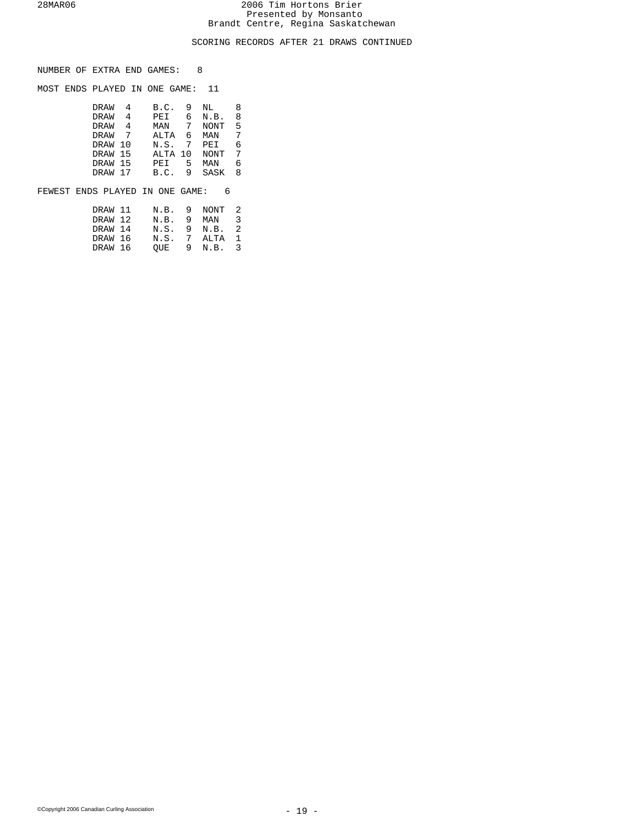# SCORING RECORDS AFTER 21 DRAWS CONTINUED

| NUMBER OF EXTRA END GAMES: |  |  |  |  |  |
|----------------------------|--|--|--|--|--|
|----------------------------|--|--|--|--|--|

MOST ENDS PLAYED IN ONE GAME: 11

| DRAW        | 4 | B.C.    | 9 | NL          | 8  |
|-------------|---|---------|---|-------------|----|
| <b>DRAW</b> | 4 | PEI     | 6 | N.B.        | 8  |
| DRAW        | 4 | MAN     | 7 | NONT        | .5 |
| DRAW        |   | ALTA    | 6 | MAN         | 7  |
| DRAW 10     |   | N.S.    | 7 | PEI         | 6  |
| DRAW 15     |   | ALTA 10 |   | <b>NONT</b> | 7  |
| DRAW 15     |   | PEI     | 5 | MAN         | 6  |
| DRAW 17     |   | B.C.    | 9 | SASK        | 8  |
|             |   |         |   |             |    |

## FEWEST ENDS PLAYED IN ONE GAME: 6

| DRAW 11 |             | N.B. 9 NONT 2 |                         |
|---------|-------------|---------------|-------------------------|
| DRAW 12 | N.B.        | 9 MAN         | $\overline{\mathbf{3}}$ |
| DRAW 14 | N.S.        | 9 N.B. 2      |                         |
| DRAW 16 | N.S. 7 ALTA |               | $\overline{1}$          |
| DRAW 16 | OUE         | 9 N.B. 3      |                         |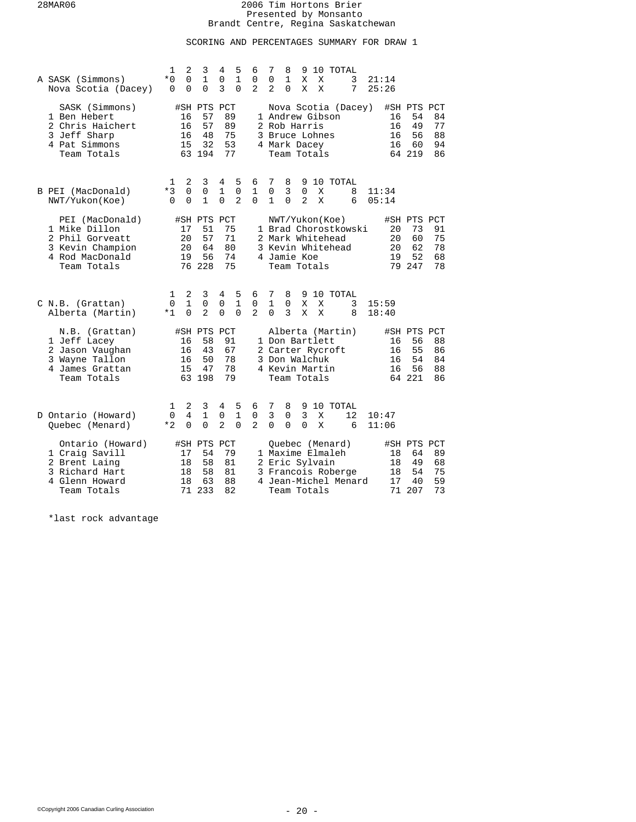# SCORING AND PERCENTAGES SUMMARY FOR DRAW 1

| A SASK (Simmons)<br>Nova Scotia (Dacey)                                                                   | 1<br>$*0$<br>$\Omega$    | 2<br>$\mathbf 0$<br>$\Omega$  | 3<br>1<br>$\Omega$                            | 4<br>0<br>3                       | 5<br>$\mathbf{1}$<br>$\Omega$      | 6<br>0<br>$\overline{a}$           | 7<br>0<br>$\overline{a}$      | 8<br>1<br>$\Omega$                                               | 9<br>Χ<br>X                        | X<br>X | 10 TOTAL<br>3<br>7                                                                | 21:14<br>25:26 |                            |                                               |                            |
|-----------------------------------------------------------------------------------------------------------|--------------------------|-------------------------------|-----------------------------------------------|-----------------------------------|------------------------------------|------------------------------------|-------------------------------|------------------------------------------------------------------|------------------------------------|--------|-----------------------------------------------------------------------------------|----------------|----------------------------|-----------------------------------------------|----------------------------|
| SASK (Simmons)<br>1 Ben Hebert<br>2 Chris Haichert<br>3 Jeff Sharp<br>4 Pat Simmons<br>Team Totals        |                          | 16<br>16<br>16<br>15          | #SH PTS PCT<br>57<br>57<br>48<br>32<br>63 194 | 89<br>89<br>75<br>53<br>77        |                                    |                                    |                               | 2 Rob Harris<br>3 Bruce Lohnes<br>4 Mark Dacey<br>Team Totals    |                                    |        | Nova Scotia (Dacey)<br>1 Andrew Gibson                                            |                | 16<br>16<br>16<br>16       | #SH PTS PCT<br>54<br>49<br>56<br>60<br>64 219 | 84<br>77<br>88<br>94<br>86 |
| B PEI (MacDonald)<br>NWT/Yukon(Koe)                                                                       | 1<br>$*3$<br>$\Omega$    | 2<br>$\Omega$<br>$\Omega$     | 3<br>$\mathbf 0$<br>$\mathbf{1}$              | 4<br>$\mathbf{1}$<br>$\Omega$     | 5<br>$\mathbf 0$<br>$\overline{a}$ | 6<br>$\mathbf{1}$<br>$\Omega$      | 7<br>0<br>$\mathbf{1}$        | 8<br>3<br>$\Omega$                                               | 9<br>$\mathbf 0$<br>$\overline{a}$ | Χ<br>X | 10 TOTAL<br>8<br>6                                                                | 11:34<br>05:14 |                            |                                               |                            |
| PEI (MacDonald)<br>1 Mike Dillon<br>2 Phil Gorveatt<br>3 Kevin Champion<br>4 Rod MacDonald<br>Team Totals |                          | 17<br>20<br>20<br>19          | #SH PTS<br>51<br>57<br>64<br>56<br>76 228     | PCT<br>75<br>71<br>80<br>74<br>75 |                                    |                                    |                               | 4 Jamie Koe<br>Team Totals                                       |                                    |        | NWT/Yukon(Koe)<br>1 Brad Chorostkowski<br>2 Mark Whitehead<br>3 Kevin Whitehead   |                | 20<br>20<br>20<br>19       | #SH PTS PCT<br>73<br>60<br>62<br>52<br>79 247 | 91<br>75<br>78<br>68<br>78 |
| C N.B. (Grattan)<br>Alberta (Martin)                                                                      | 1<br>$\mathbf 0$<br>$*1$ | 2<br>$\mathbf{1}$<br>$\Omega$ | 3<br>0<br>$\overline{a}$                      | 4<br>0<br>$\Omega$                | 5<br>$\mathbf{1}$<br>$\Omega$      | 6<br>$\mathsf 0$<br>$\overline{2}$ | 7<br>$\mathbf{1}$<br>$\Omega$ | 8<br>$\Omega$<br>3                                               | 9<br>Χ<br>X                        | Χ<br>X | 10 TOTAL<br>3<br>8                                                                | 15:59<br>18:40 |                            |                                               |                            |
| N.B. (Grattan)<br>1 Jeff Lacey<br>2 Jason Vaughan<br>3 Wayne Tallon<br>4 James Grattan<br>Team Totals     |                          | 16<br>16<br>16<br>15          | #SH PTS<br>58<br>43<br>50<br>47<br>63 198     | PCT<br>91<br>67<br>78<br>78<br>79 |                                    |                                    |                               | 1 Don Bartlett<br>3 Don Walchuk<br>4 Kevin Martin<br>Team Totals |                                    |        | Alberta (Martin)<br>2 Carter Rycroft                                              |                | 16<br>16<br>16<br>16       | #SH PTS PCT<br>56<br>55<br>54<br>56<br>64 221 | 88<br>86<br>84<br>88<br>86 |
| D Ontario (Howard)<br>Quebec (Menard)                                                                     | 1<br>$\mathbf 0$<br>$*2$ | 2<br>4<br>$\Omega$            | 3<br>$\mathbf{1}$<br>$\Omega$                 | 4<br>0<br>$\overline{2}$          | 5<br>$\mathbf{1}$<br>$\Omega$      | 6<br>0<br>$\overline{a}$           | 7<br>3<br>0                   | 8<br>0<br>0                                                      | 9<br>$\overline{3}$<br>0           | X<br>X | 10 TOTAL<br>12<br>6                                                               | 10:47<br>11:06 |                            |                                               |                            |
| Ontario (Howard)<br>1 Craig Savill<br>2 Brent Laing<br>3 Richard Hart<br>4 Glenn Howard<br>Team Totals    |                          | 17<br>18<br>18<br>18<br>71    | #SH PTS<br>54<br>58<br>58<br>63<br>233        | PCT<br>79<br>81<br>81<br>88<br>82 |                                    |                                    |                               | 2 Eric Sylvain<br>Team Totals                                    |                                    |        | Ouebec (Menard)<br>1 Maxime Elmaleh<br>3 Francois Roberge<br>4 Jean-Michel Menard |                | 18<br>18<br>18<br>17<br>71 | #SH PTS PCT<br>64<br>49<br>54<br>40<br>207    | 89<br>68<br>75<br>59<br>73 |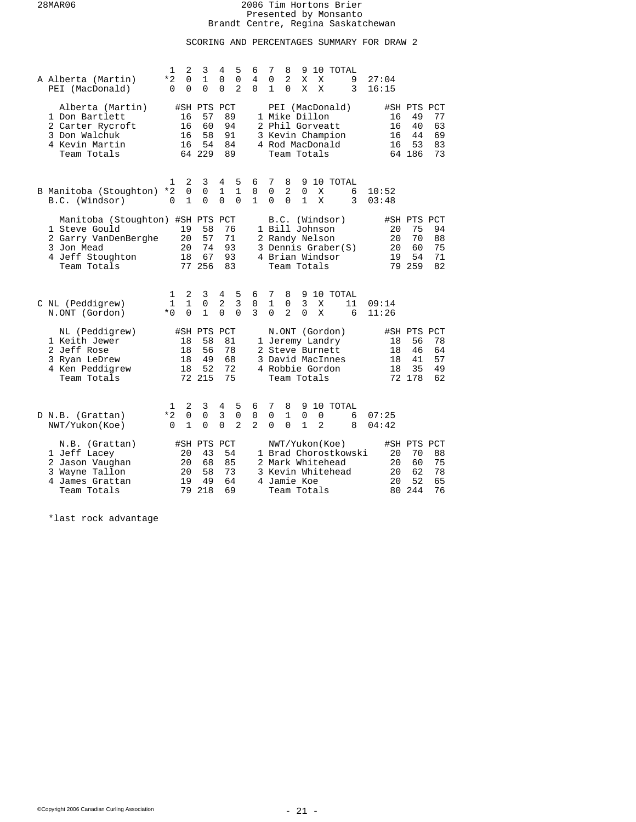# SCORING AND PERCENTAGES SUMMARY FOR DRAW 2

| A Alberta (Martin)<br>PEI (MacDonald)                                                                                      | 1<br>*2<br>$\Omega$       | 2<br>$\mathbf 0$<br>$\Omega$     | 3<br>$\mathbf{1}$<br>$\Omega$                 | 4<br>$\mathbf 0$<br>$\mathbf 0$ | 5<br>$\mathbf 0$<br>$\overline{2}$ | 6<br>4<br>$\Omega$                | 7<br>0<br>1                  | 8<br>2<br>$\Omega$                              | 9<br>X<br>X                      | X<br>X              | 10 TOTAL                                                                                    | 9<br>3                | 27:04<br>16:15             |                                               |                            |
|----------------------------------------------------------------------------------------------------------------------------|---------------------------|----------------------------------|-----------------------------------------------|---------------------------------|------------------------------------|-----------------------------------|------------------------------|-------------------------------------------------|----------------------------------|---------------------|---------------------------------------------------------------------------------------------|-----------------------|----------------------------|-----------------------------------------------|----------------------------|
| Alberta (Martin)<br>1 Don Bartlett<br>2 Carter Rycroft<br>3 Don Walchuk<br>4 Kevin Martin<br>Team Totals                   |                           | 16<br>16<br>16<br>16             | #SH PTS PCT<br>57<br>60<br>58<br>54<br>64 229 | 89<br>94<br>91<br>84<br>89      |                                    |                                   |                              | 1 Mike Dillon<br>Team Totals                    |                                  |                     | PEI (MacDonald)<br>2 Phil Gorveatt<br>3 Kevin Champion<br>4 Rod MacDonald                   |                       | 16<br>16<br>16<br>16       | #SH PTS PCT<br>49<br>40<br>44<br>53<br>64 186 | 77<br>63<br>69<br>83<br>73 |
| B Manitoba (Stoughton)<br>B.C. (Windsor)                                                                                   | 1<br>*2<br>$\Omega$       | 2<br>$\mathbf 0$<br>$\mathbf{1}$ | 3<br>$\mathbf 0$<br>$\Omega$                  | 4<br>$\mathbf{1}$<br>$\Omega$   | 5<br>$\mathbf{1}$<br>$\Omega$      | 6<br>$\mathsf{O}$<br>$\mathbf{1}$ | 7<br>$\mathbf 0$<br>$\Omega$ | 8<br>2<br>$\Omega$                              | 9<br>$\mathbf 0$<br>$\mathbf{1}$ | X<br>X              |                                                                                             | 10 TOTAL<br>6<br>3    | 10:52<br>03:48             |                                               |                            |
| Manitoba (Stoughton) #SH PTS PCT<br>1 Steve Gould<br>2 Garry VanDenBerghe<br>3 Jon Mead<br>4 Jeff Stoughton<br>Team Totals |                           | 19<br>20<br>20<br>18             | 58<br>57<br>74<br>67<br>77 256                | 76<br>71<br>93<br>93<br>83      |                                    |                                   |                              | 1 Bill Johnson<br>2 Randy Nelson<br>Team Totals |                                  |                     | B.C. (Windsor)<br>3 Dennis Graber(S)<br>4 Brian Windsor                                     |                       | 20<br>20<br>20<br>19       | #SH PTS PCT<br>75<br>70<br>60<br>54<br>79 259 | 94<br>88<br>75<br>71<br>82 |
| C NL (Peddigrew)<br>N.ONT (Gordon)                                                                                         | 1<br>$\mathbf{1}$<br>$*0$ | 2<br>$\mathbf{1}$<br>$\Omega$    | 3<br>$\overline{0}$<br>$\mathbf{1}$           | 4<br>2<br>$\Omega$              | 5<br>$\overline{3}$<br>$\Omega$    | 6<br>$\mathsf 0$<br>3             | 7<br>1<br>$\Omega$           | 8<br>0<br>$\overline{a}$                        | $\overline{3}$<br>$\Omega$       | Χ<br>X              |                                                                                             | 9 10 TOTAL<br>11<br>6 | 09:14<br>11:26             |                                               |                            |
| NL (Peddigrew)<br>1 Keith Jewer<br>2 Jeff Rose<br>3 Ryan LeDrew<br>4 Ken Peddigrew<br>Team Totals                          |                           | 18<br>18<br>18<br>18             | #SH PTS PCT<br>58<br>56<br>49<br>52<br>72 215 | 81<br>78<br>68<br>72<br>75      |                                    |                                   |                              | Team Totals                                     |                                  |                     | N.ONT (Gordon)<br>1 Jeremy Landry<br>2 Steve Burnett<br>3 David MacInnes<br>4 Robbie Gordon |                       | 18<br>18<br>18<br>18       | #SH PTS PCT<br>56<br>46<br>41<br>35<br>72 178 | 78<br>64<br>57<br>49<br>62 |
| D N.B. (Grattan)<br>NWT/Yukon(Koe)                                                                                         | 1<br>$*2$<br>$\Omega$     | 2<br>$\mathbf 0$<br>$\mathbf{1}$ | 3<br>$\mathbf 0$<br>$\Omega$                  | 4<br>3<br>$\Omega$              | 5<br>$\mathbf 0$<br>$\overline{a}$ | 6<br>0<br>$\mathbf{2}$            | 7<br>0<br>$\Omega$           | 8<br>$\mathbf{1}$<br>$\Omega$                   | 9<br>0<br>$\mathbf{1}$           | 0<br>$\overline{a}$ |                                                                                             | 10 TOTAL<br>6<br>8    | 07:25<br>04:42             |                                               |                            |
| N.B. (Grattan)<br>1 Jeff Lacey<br>2 Jason Vaughan<br>3 Wayne Tallon<br>4 James Grattan<br>Team Totals                      |                           | 20<br>20<br>20<br>19<br>79       | #SH PTS PCT<br>43<br>68<br>58<br>49<br>218    | 54<br>85<br>73<br>64<br>69      |                                    |                                   |                              | 4 Jamie Koe<br>Team Totals                      |                                  |                     | NWT/Yukon(Koe)<br>2 Mark Whitehead<br>3 Kevin Whitehead                                     | 1 Brad Chorostkowski  | 20<br>20<br>20<br>20<br>80 | #SH PTS PCT<br>70<br>60<br>62<br>52<br>244    | 88<br>75<br>78<br>65<br>76 |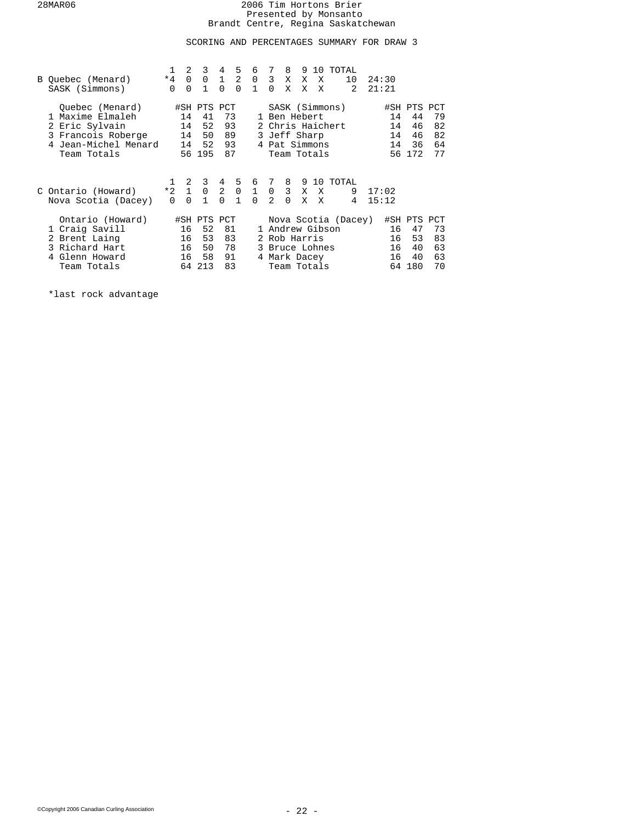# SCORING AND PERCENTAGES SUMMARY FOR DRAW 3

| B Quebec (Menard)<br>SASK (Simmons)                                                                              | $*4$<br>$\Omega$              | 2<br>$\Omega$<br>$\Omega$  | 3<br>$\Omega$<br>$\mathbf{1}$                 | 4<br>$\mathbf{1}$<br>$\Omega$ | 5<br>2<br>$\Omega$                       | 6<br>$\mathbf 0$<br>$\mathbf{1}$ | 7<br>3 <sup>1</sup><br>$\Omega$                                                                    | 8<br>X<br>X   | 9<br>X<br>X     | 10<br>X<br>X                                                     | TOTAL<br>10<br>$\mathfrak{D}$ | 24:30<br>21:21                             |                            |                                            |                            |
|------------------------------------------------------------------------------------------------------------------|-------------------------------|----------------------------|-----------------------------------------------|-------------------------------|------------------------------------------|----------------------------------|----------------------------------------------------------------------------------------------------|---------------|-----------------|------------------------------------------------------------------|-------------------------------|--------------------------------------------|----------------------------|--------------------------------------------|----------------------------|
| Ouebec (Menard)<br>1 Maxime Elmaleh<br>2 Eric Sylvain<br>3 Francois Roberge<br>Jean-Michel Menard<br>Team Totals |                               | 14<br>14<br>14<br>14       | #SH PTS PCT<br>41<br>52<br>50<br>52<br>56 195 | 73<br>93<br>89<br>93<br>87    |                                          |                                  | SASK (Simmons)<br>1 Ben Hebert<br>2 Chris Haichert<br>3 Jeff Sharp<br>4 Pat Simmons<br>Team Totals |               |                 |                                                                  | 14<br>14<br>14<br>14<br>56    | #SH PTS PCT<br>44<br>46<br>46<br>36<br>172 | 79<br>82<br>82<br>64<br>77 |                                            |                            |
| C Ontario (Howard)<br>Nova Scotia (Dacey)                                                                        | 1<br>$*2 \quad 1$<br>$\Omega$ | 2<br>$\Omega$              | 3<br>$\mathbf 0$<br>$\mathbf{1}$              | 4<br>$\cap$                   | 5<br>$2 \quad 0 \quad 1$<br>$\mathbf{1}$ | 6<br>$\Omega$                    | 7<br>$\overline{0}$<br>2                                                                           | 8<br>$\Omega$ | $3 \times$<br>X | X<br>$\mathbf{x}$                                                | 9 10 TOTAL<br>9<br>4          | 17:02<br>15:12                             |                            |                                            |                            |
| Ontario (Howard)<br>1 Craig Savill<br>2 Brent Laing<br>3 Richard Hart<br>Glenn Howard<br>4<br>Team Totals        |                               | 16<br>16<br>16<br>16<br>64 | #SH PTS PCT<br>52<br>53<br>50<br>58<br>213    | 81<br>83<br>78<br>91<br>83    |                                          |                                  |                                                                                                    |               | 2 Rob Harris    | 1 Andrew Gibson<br>3 Bruce Lohnes<br>4 Mark Dacey<br>Team Totals | Nova Scotia (Dacey)           |                                            | 16<br>16<br>16<br>16<br>64 | #SH PTS PCT<br>47<br>53<br>40<br>40<br>180 | 73<br>83<br>63<br>63<br>70 |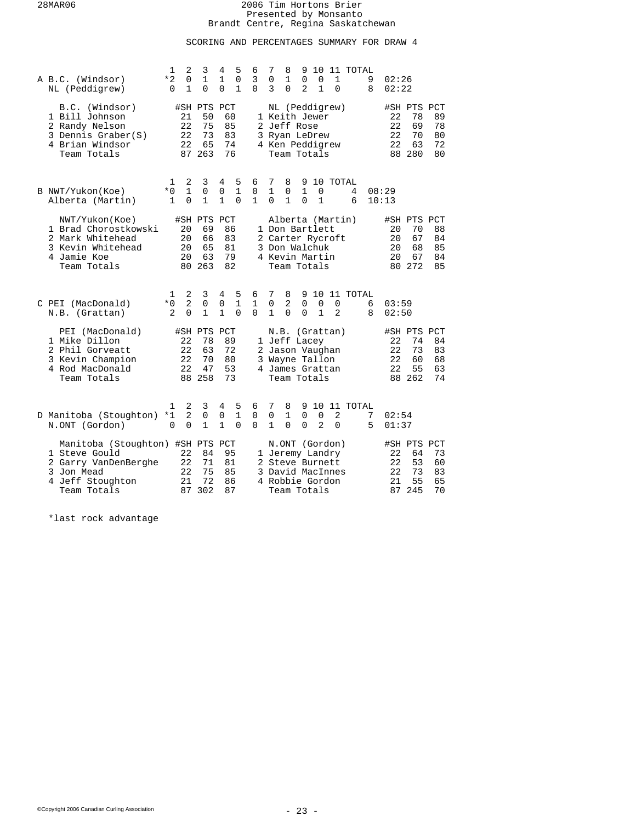# SCORING AND PERCENTAGES SUMMARY FOR DRAW 4

| A B.C. (Windsor)<br>NL (Peddigrew)                                                                                         | 1<br>*2<br>0        | 2<br>0<br>$\mathbf 1$           | 3<br>$\mathbf{1}$<br>$\Omega$                 | 4<br>$\mathbf 1$<br>$\Omega$     | 5<br>$\mathsf 0$<br>$\mathbf{1}$ | 6<br>3<br>$\Omega$     | 7<br>0<br>3                      | 8<br>1<br>0                                                                                                | 9<br>0<br>$\overline{a}$      | 0<br>$\mathbf{1}$   | 10 11 TOTAL | 1<br>$\Omega$       |        | 9<br>8 | 02:26<br>02:22             |                                               |                            |
|----------------------------------------------------------------------------------------------------------------------------|---------------------|---------------------------------|-----------------------------------------------|----------------------------------|----------------------------------|------------------------|----------------------------------|------------------------------------------------------------------------------------------------------------|-------------------------------|---------------------|-------------|---------------------|--------|--------|----------------------------|-----------------------------------------------|----------------------------|
| B.C. (Windsor)<br>1 Bill Johnson<br>2 Randy Nelson<br>3 Dennis Graber(S)<br>4 Brian Windsor<br>Team Totals                 |                     | 21<br>22<br>22<br>22            | #SH PTS PCT<br>50<br>75<br>73<br>65<br>87 263 |                                  | 60<br>85<br>83<br>74<br>76       |                        |                                  | NL (Peddigrew)<br>1 Keith Jewer<br>2 Jeff Rose<br>3 Ryan LeDrew<br>4 Ken Peddigrew<br>Team Totals          |                               |                     |             |                     |        |        | 22<br>22<br>22<br>22       | #SH PTS PCT<br>78<br>69<br>70<br>63<br>88 280 | 89<br>78<br>80<br>72<br>80 |
| B NWT/Yukon(Koe)<br>Alberta (Martin)                                                                                       | 1<br>$*0$<br>1      | 2<br>$\mathbf{1}$<br>$\Omega$   | 3<br>0<br>$\mathbf{1}$                        | 4<br>0<br>$\mathbf{1}$           | 5<br>$\mathbf{1}$<br>$\Omega$    | 6<br>0<br>$\mathbf{1}$ | 7<br>$\mathbf{1}$<br>$\Omega$    | 8<br>0<br>$\mathbf{1}$                                                                                     | 9<br>$\mathbf{1}$<br>$\Omega$ | 0<br>$\mathbf{1}$   | 10 TOTAL    |                     | 4<br>6 |        | 08:29<br>10:13             |                                               |                            |
| NWT/Yukon(Koe)<br>1 Brad Chorostkowski<br>2 Mark Whitehead<br>3 Kevin Whitehead<br>4 Jamie Koe<br>Team Totals              |                     | 20<br>20<br>20<br>20<br>80      | #SH PTS PCT<br>69<br>66<br>65<br>63<br>263    |                                  | 86<br>83<br>81<br>79<br>82       |                        |                                  | Alberta (Martin)<br>1 Don Bartlett<br>2 Carter Rycroft<br>3 Don Walchuk<br>4 Kevin Martin<br>Team Totals   |                               |                     |             |                     |        |        | 20<br>20<br>20<br>20       | #SH PTS PCT<br>70<br>67<br>68<br>67<br>80 272 | 88<br>84<br>85<br>84<br>85 |
| C PEI (MacDonald)<br>N.B. (Grattan)                                                                                        | 1<br>$*0$<br>2      | 2<br>$\overline{2}$<br>$\Omega$ | 3<br>0<br>$\mathbf{1}$                        | 4<br>$\mathsf 0$<br>$\mathbf{1}$ | 5<br>1<br>$\Omega$               | 6<br>1<br>$\Omega$     | 7<br>$\mathbf 0$<br>$\mathbf{1}$ | 8<br>2<br>$\Omega$                                                                                         | 9<br>$\mathbf 0$<br>$\Omega$  | 0<br>$\mathbf{1}$   | 10 11 TOTAL | 0<br>$\overline{a}$ |        | 6<br>8 | 03:59<br>02:50             |                                               |                            |
| PEI (MacDonald)<br>1 Mike Dillon<br>2 Phil Gorveatt<br>3 Kevin Champion<br>4 Rod MacDonald<br>Team Totals                  |                     | 22<br>22<br>22<br>22            | #SH PTS<br>78<br>63<br>70<br>47<br>88 258     | PCT<br>89<br>72                  | 80<br>53<br>73                   |                        |                                  | N.B.<br>1 Jeff Lacey<br>2 Jason Vaughan<br>3 Wayne Tallon<br>4 James Grattan<br>Team Totals                | (Grattan)                     |                     |             |                     |        |        | 22<br>22<br>22<br>22       | #SH PTS PCT<br>74<br>73<br>60<br>55<br>88 262 | 84<br>83<br>68<br>63<br>74 |
| D Manitoba (Stoughton)<br>N.ONT (Gordon)                                                                                   | 1<br>*1<br>$\Omega$ | 2<br>2<br>$\Omega$              | 3<br>0<br>$\mathbf{1}$                        | 4<br>0<br>$\mathbf{1}$           | 5<br>1<br>$\Omega$               | 6<br>0<br>$\Omega$     | 7<br>0<br>$\mathbf{1}$           | 8<br>1<br>$\Omega$                                                                                         | 9.<br>0<br>$\Omega$           | 0<br>$\overline{2}$ | 10 11 TOTAL | 2<br>$\Omega$       |        | 7<br>5 | 02:54<br>01:37             |                                               |                            |
| Manitoba (Stoughton) #SH PTS PCT<br>1 Steve Gould<br>2 Garry VanDenBerghe<br>3 Jon Mead<br>4 Jeff Stoughton<br>Team Totals |                     | 22<br>22<br>22<br>21<br>87      | 84<br>71<br>75<br>72<br>302                   | 87                               | 95<br>81<br>85<br>86             |                        |                                  | N.ONT (Gordon)<br>1 Jeremy Landry<br>2 Steve Burnett<br>3 David MacInnes<br>4 Robbie Gordon<br>Team Totals |                               |                     |             |                     |        |        | 22<br>22<br>22<br>21<br>87 | #SH PTS PCT<br>64<br>53<br>73<br>55<br>245    | 73<br>60<br>83<br>65<br>70 |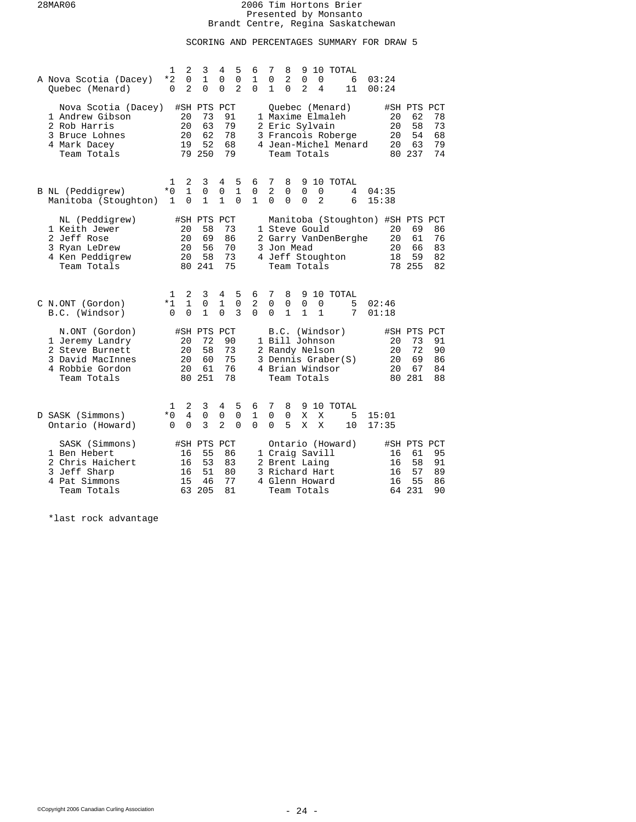# SCORING AND PERCENTAGES SUMMARY FOR DRAW 5

| A Nova Scotia (Dacey)<br>Quebec (Menard)                                                                   | 1<br>*2<br>0          | 2<br>0<br>$\overline{2}$     | 3<br>1<br>$\Omega$                            | 4<br>0<br>$\Omega$            | 5<br>$\mathsf 0$<br>$\overline{2}$ | 6<br>1<br>$\Omega$              | 7<br>0<br>1               | 8<br>2<br>$\Omega$                                                                 | 9<br>0<br>$\overline{2}$ | 10<br>0<br>4      |           | TOTAL<br>6<br>11                           | 03:24<br>00:24                   |                      |                                               |                            |
|------------------------------------------------------------------------------------------------------------|-----------------------|------------------------------|-----------------------------------------------|-------------------------------|------------------------------------|---------------------------------|---------------------------|------------------------------------------------------------------------------------|--------------------------|-------------------|-----------|--------------------------------------------|----------------------------------|----------------------|-----------------------------------------------|----------------------------|
| Nova Scotia (Dacey)<br>1 Andrew Gibson<br>2 Rob Harris<br>3 Bruce Lohnes<br>4 Mark Dacey<br>Team Totals    |                       | 20<br>20<br>20<br>19         | #SH PTS PCT<br>73<br>63<br>62<br>52<br>79 250 |                               | 91<br>79<br>78<br>68<br>79         |                                 |                           | Ouebec (Menard)<br>1 Maxime Elmaleh<br>2 Eric Sylvain<br>Team Totals               |                          |                   |           | 3 Francois Roberge<br>4 Jean-Michel Menard |                                  | 20<br>20<br>20<br>20 | #SH PTS PCT<br>62<br>58<br>54<br>63<br>80 237 | 78<br>73<br>68<br>79<br>74 |
| B NL (Peddigrew)<br>Manitoba (Stoughton)                                                                   | 1<br>$*0$<br>1        | 2<br>$\mathbf{1}$<br>0       | 3<br>0<br>1                                   | 4<br>0<br>$\mathbf{1}$        | 5<br>$\mathbf{1}$<br>$\mathbf 0$   | 6<br>0<br>1                     | 7<br>2<br>$\Omega$        | 8<br>0<br>0                                                                        | 9<br>0<br>$\Omega$       | 0<br>2            |           | 10 TOTAL<br>4<br>6                         | 04:35<br>15:38                   |                      |                                               |                            |
| NL (Peddigrew)<br>1 Keith Jewer<br>2 Jeff Rose<br>3 Ryan LeDrew<br>4 Ken Peddigrew<br>Team Totals          |                       | 20<br>20<br>20<br>20<br>80   | #SH PTS PCT<br>58<br>69<br>56<br>58<br>241    |                               | 73<br>86<br>70<br>73<br>75         | $\overline{a}$                  |                           | 1 Steve Gould<br>3 Jon Mead<br>4 Jeff Stoughton<br>Team Totals                     |                          |                   |           | Garry VanDenBerghe                         | Manitoba (Stoughton) #SH PTS PCT | 20<br>20<br>20<br>18 | 69<br>61<br>66<br>59<br>78 255                | 86<br>76<br>83<br>82<br>82 |
| C N.ONT (Gordon)<br>B.C. (Windsor)                                                                         | 1<br>*1<br>$\Omega$   | 2<br>$\mathbf 1$<br>$\Omega$ | 3<br>0<br>$\mathbf{1}$                        | 4<br>$\mathbf{1}$<br>$\Omega$ | 5<br>$\mathbf 0$<br>3              | 6<br>$\overline{2}$<br>$\Omega$ | 7<br>0<br>$\Omega$        | 8<br>0<br>$\mathbf{1}$                                                             | 9<br>0<br>1              | 0<br>$\mathbf{1}$ |           | 10 TOTAL<br>5<br>7                         | 02:46<br>01:18                   |                      |                                               |                            |
| N.ONT (Gordon)<br>1 Jeremy Landry<br>2 Steve Burnett<br>3 David MacInnes<br>4 Robbie Gordon<br>Team Totals |                       | 20<br>20<br>20<br>20<br>80   | #SH PTS PCT<br>72<br>58<br>60<br>61<br>251    |                               | 90<br>73<br>75<br>76<br>78         |                                 |                           | B.C.<br>1 Bill Johnson<br>2 Randy Nelson<br>4 Brian Windsor<br>Team Totals         |                          |                   | (Windsor) | 3 Dennis Graber(S)                         |                                  | 20<br>20<br>20<br>20 | #SH PTS PCT<br>73<br>72<br>69<br>67<br>80 281 | 91<br>90<br>86<br>84<br>88 |
| D SASK (Simmons)<br>Ontario (Howard)                                                                       | 1<br>$*0$<br>$\Omega$ | 2<br>4<br>0                  | 3<br>$\mathbf 0$<br>3                         | 4<br>0<br>2                   | 5<br>$\mathbf 0$<br>0              | 6<br>$\mathbf{1}$<br>$\Omega$   | 7<br>$\Omega$<br>$\Omega$ | 8<br>0<br>5                                                                        | 9<br>X<br>X              | X<br>X            |           | 10 TOTAL<br>5<br>10                        | 15:01<br>17:35                   |                      |                                               |                            |
| SASK (Simmons)<br>1 Ben Hebert<br>2 Chris Haichert<br>3 Jeff Sharp<br>4 Pat Simmons<br>Team Totals         |                       | 16<br>16<br>16<br>15<br>63   | #SH PTS<br>55<br>53<br>51<br>46<br>205        | PCT                           | 86<br>83<br>80<br>77<br>81         |                                 |                           | 1 Craig Savill<br>2 Brent Laing<br>3 Richard Hart<br>4 Glenn Howard<br>Team Totals |                          |                   |           | Ontario (Howard)                           |                                  | 16<br>16<br>16<br>16 | #SH PTS PCT<br>61<br>58<br>57<br>55<br>64 231 | 95<br>91<br>89<br>86<br>90 |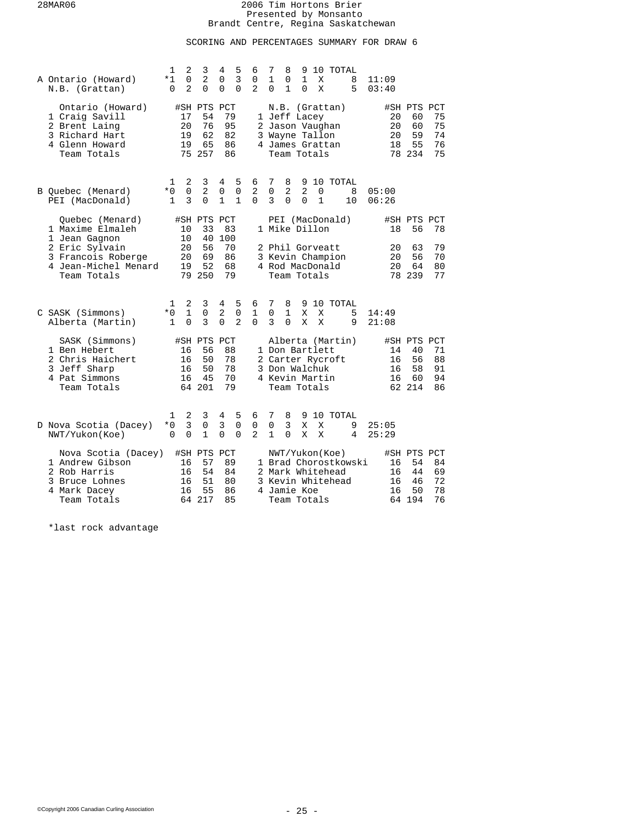# SCORING AND PERCENTAGES SUMMARY FOR DRAW 6

| A Ontario (Howard)<br>N.B. (Grattan)                                                                    | $\mathbf{1}$<br>*1<br>0 | 2<br>3<br>$\Omega$<br>2<br>2<br>$\Omega$                              | 5<br>4<br>3<br>$\mathbf 0$<br>$\Omega$<br>$\Omega$                   | 6<br>0<br>$\mathbf{2}$   | 7<br>8<br>9<br>10<br>TOTAL<br>1<br>0<br>1<br>X<br>8<br>11:09<br>$\mathbf{1}$<br>X<br>5<br>$\Omega$<br>$\Omega$<br>03:40                                                                                              |
|---------------------------------------------------------------------------------------------------------|-------------------------|-----------------------------------------------------------------------|----------------------------------------------------------------------|--------------------------|----------------------------------------------------------------------------------------------------------------------------------------------------------------------------------------------------------------------|
| Ontario (Howard)<br>1 Craig Savill<br>2 Brent Laing<br>3 Richard Hart<br>4 Glenn Howard<br>Team Totals  |                         | #SH PTS PCT<br>17<br>54<br>20<br>76<br>19<br>62<br>19<br>65<br>75 257 | 79<br>95<br>82<br>86<br>86                                           | 3                        | #SH PTS PCT<br>N.B. (Grattan)<br>75<br>1 Jeff Lacey<br>20<br>60<br>75<br>2 Jason Vaughan<br>60<br>20<br>Wayne Tallon<br>59<br>74<br>20<br>55<br>76<br>4 James Grattan<br>18<br>78 234<br>75<br>Team Totals           |
| B Ouebec (Menard)<br>PEI (MacDonald)                                                                    | 1<br>$*0$<br>1          | 2<br>3<br>$\overline{0}$<br>$\overline{2}$<br>3<br>$\Omega$           | 4<br>5<br>$\mathbf 0$<br>$\mathbf 0$<br>$\mathbf{1}$<br>$\mathbf{1}$ | 6<br>2<br>$\Omega$       | 7<br>9 10 TOTAL<br>8<br>$\overline{2}$<br>$\mathbf 0$<br>2<br>0<br>8<br>05:00<br>3<br>$\Omega$<br>$\Omega$<br>$\mathbf 1$<br>10<br>06:26                                                                             |
| Ouebec (Menard)<br>1 Maxime Elmaleh                                                                     |                         | #SH PTS PCT<br>33<br>10<br>10<br>40                                   | 83<br>100                                                            |                          | PEI (MacDonald)<br>#SH PTS PCT<br>1 Mike Dillon<br>18<br>56<br>78                                                                                                                                                    |
| 1 Jean Gagnon<br>2 Eric Sylvain<br>3 Francois Roberge<br>4 Jean-Michel Menard<br>Team Totals            |                         | 20<br>56<br>20<br>69<br>52<br>19<br>79 250                            | 70<br>86<br>68<br>79                                                 |                          | 79<br>63<br>2 Phil Gorveatt<br>20<br>3 Kevin Champion<br>56<br>70<br>20<br>4 Rod MacDonald<br>80<br>20<br>64<br>78 239<br>77<br>Team Totals                                                                          |
| C SASK (Simmons)<br>Alberta (Martin)                                                                    | 1<br>$*0$<br>1          | 2<br>3<br>$\mathbf{1}$<br>$\mathbf 0$<br>$\Omega$<br>3                | 5<br>4<br>2<br>0<br>$\Omega$<br>$\overline{a}$                       | 6<br>1<br>$\Omega$       | 7<br>8<br>10 TOTAL<br>9<br>0<br>1<br>X<br>X<br>14:49<br>5<br>3<br>$\Omega$<br>X<br>X<br>9<br>21:08                                                                                                                   |
| SASK (Simmons)<br>1 Ben Hebert<br>2 Chris Haichert<br>3 Jeff Sharp<br>4 Pat Simmons<br>Team Totals      |                         | #SH PTS<br>56<br>16<br>50<br>16<br>50<br>16<br>45<br>16<br>64 201     | PCT<br>88<br>78<br>78<br>70<br>79                                    |                          | Alberta (Martin)<br>#SH PTS PCT<br>1 Don Bartlett<br>40<br>71<br>14<br>2 Carter Rycroft<br>56<br>88<br>16<br>3 Don Walchuk<br>58<br>91<br>16<br>4 Kevin Martin<br>94<br>16<br>60<br>62 214<br>86<br>Team Totals      |
| D Nova Scotia (Dacey)<br>NWT/Yukon(Koe)                                                                 | 1<br>*0<br>$\Omega$     | 2<br>3<br>3<br>$\mathbf 0$<br>$\Omega$<br>$\mathbf{1}$                | 5<br>4<br>3<br>$\overline{0}$<br>$\mathbf 0$<br>$\Omega$             | 6<br>0<br>$\overline{a}$ | 10 TOTAL<br>7<br>8<br>9<br>3<br>0<br>X<br>X<br>9<br>25:05<br>1<br>0<br>Χ<br>X<br>4<br>25:29                                                                                                                          |
| Nova Scotia (Dacey)<br>1 Andrew Gibson<br>2 Rob Harris<br>3 Bruce Lohnes<br>4 Mark Dacey<br>Team Totals |                         | #SH PTS<br>16<br>57<br>16<br>54<br>51<br>16<br>55<br>16<br>64 217     | PCT<br>89<br>84<br>80<br>86<br>85                                    |                          | NWT/Yukon(Koe)<br>#SH PTS PCT<br>1 Brad Chorostkowski<br>54<br>84<br>16<br>2 Mark Whitehead<br>69<br>16<br>44<br>72<br>3 Kevin Whitehead<br>16<br>46<br>4 Jamie Koe<br>50<br>78<br>16<br>64 194<br>76<br>Team Totals |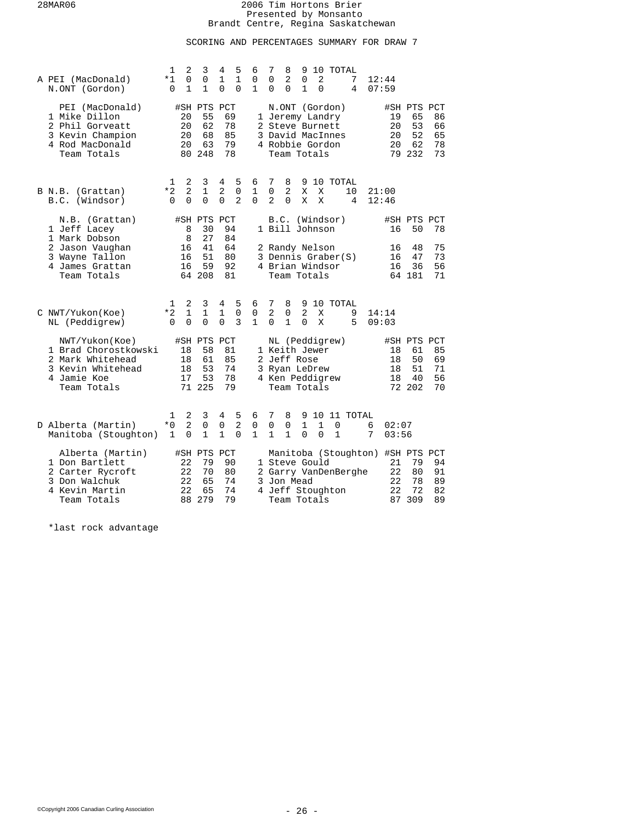# SCORING AND PERCENTAGES SUMMARY FOR DRAW 7

| A PEI (MacDonald)<br>N.ONT (Gordon)                                                                           | 1<br>*1<br>0               | $\overline{2}$<br>3<br>0<br>0<br>1<br>$\mathbf{1}$            | 5<br>4<br>1<br>$\mathbf{1}$<br>0<br>$\Omega$              | 6<br>7<br>8<br>9<br>10 TOTAL<br>$\overline{2}$<br>$\mathbf 0$<br>0<br>$\mathbf 0$<br>2<br>7<br>12:44<br>$\mathbf{1}$<br>$\mathbf{1}$<br>$\Omega$<br>$\mathbf 0$<br>$\Omega$<br>4<br>07:59                             |
|---------------------------------------------------------------------------------------------------------------|----------------------------|---------------------------------------------------------------|-----------------------------------------------------------|-----------------------------------------------------------------------------------------------------------------------------------------------------------------------------------------------------------------------|
| PEI (MacDonald)<br>1 Mike Dillon<br>2 Phil Gorveatt<br>3 Kevin Champion<br>4 Rod MacDonald<br>Team Totals     | 20<br>20<br>20<br>20       | #SH PTS PCT<br>55<br>62<br>68<br>63<br>80 248                 | 69<br>78<br>85<br>79<br>78                                | N.ONT (Gordon)<br>#SH PTS PCT<br>19<br>65<br>86<br>1 Jeremy Landry<br>53<br>2 Steve Burnett<br>20<br>66<br>52<br>3 David MacInnes<br>20<br>65<br>4 Robbie Gordon<br>20<br>62<br>78<br>79 232<br>73<br>Team Totals     |
| B N.B. (Grattan)<br>(Windsor)<br>B.C.                                                                         | 1<br>$*2$<br>$\Omega$      | 2<br>3<br>2<br>1<br>$\Omega$<br>$\Omega$                      | 4<br>5<br>2<br>$\mathbf 0$<br>$\Omega$<br>$\overline{2}$  | 6<br>7<br>8<br>10 TOTAL<br>9<br>$\mathbf 0$<br>2<br>1<br>X<br>X<br>10<br>21:00<br>$\Omega$<br>$\overline{a}$<br>$\Omega$<br>X<br>X<br>4<br>12:46                                                                      |
| N.B. (Grattan)<br>1 Jeff Lacey<br>1 Mark Dobson                                                               |                            | #SH PTS PCT<br>8<br>30<br>8<br>27                             | 94<br>84                                                  | B.C.<br>(Windsor)<br>#SH PTS PCT<br>1 Bill Johnson<br>50<br>78<br>16                                                                                                                                                  |
| 2 Jason Vaughan<br>3 Wayne Tallon<br>4 James Grattan<br>Team Totals                                           | 16<br>16<br>16             | 41<br>51<br>59<br>64 208                                      | 64<br>80<br>92<br>81                                      | 48<br>75<br>2 Randy Nelson<br>16<br>3 Dennis Graber(S)<br>47<br>73<br>16<br>36<br>56<br>4 Brian Windsor<br>16<br>64 181<br>71<br>Team Totals                                                                          |
| C NWT/Yukon(Koe)<br>NL (Peddigrew)                                                                            | 1<br>*2<br>$\Omega$        | 2<br>3<br>$\mathbf{1}$<br>$\mathbf 1$<br>$\Omega$<br>$\Omega$ | 5<br>4<br>1<br>0<br>3<br>$\Omega$                         | 6<br>7<br>8<br>9<br>10 TOTAL<br>$\overline{2}$<br>$\overline{2}$<br>0<br>0<br>X<br>9<br>14:14<br>$\mathbf{1}$<br>$\Omega$<br>$\mathbf{1}$<br>$\Omega$<br>X<br>5<br>09:03                                              |
| NWT/Yukon(Koe)<br>1 Brad Chorostkowski<br>2 Mark Whitehead<br>3 Kevin Whitehead<br>4 Jamie Koe<br>Team Totals | 18<br>18<br>18<br>17       | #SH PTS PCT<br>58<br>61<br>53<br>53<br>71 225                 | 81<br>85<br>74<br>78<br>79                                | NL (Peddigrew)<br>#SH PTS PCT<br>1 Keith Jewer<br>18<br>61<br>85<br>2 Jeff Rose<br>18<br>50<br>69<br>51<br>71<br>3 Ryan LeDrew<br>18<br>4 Ken Peddigrew<br>56<br>18<br>40<br>72 202<br>70<br>Team Totals              |
| D Alberta (Martin)<br>Manitoba (Stoughton)                                                                    | 1<br>$*0$<br>1             | 2<br>3<br>2<br>0<br>$\mathbf{1}$<br>$\Omega$                  | 5<br>4<br>$\overline{a}$<br>0<br>$\mathbf{1}$<br>$\Omega$ | 7<br>10 11 TOTAL<br>6<br>8<br>9<br>1<br>0<br>0<br>0<br>1<br>0<br>6<br>02:07<br>$\mathbf{1}$<br>$\mathbf{1}$<br>$\mathbf{1}$<br>$\Omega$<br>$\Omega$<br>$\mathbf{1}$<br>7<br>03:56                                     |
| Alberta (Martin)<br>1 Don Bartlett<br>2 Carter Rycroft<br>3 Don Walchuk<br>4 Kevin Martin<br>Team Totals      | 22<br>22<br>22<br>22<br>88 | #SH PTS<br>79<br>70<br>65<br>65<br>279                        | PCT<br>90<br>80<br>74<br>74<br>79                         | Manitoba (Stoughton) #SH PTS PCT<br>1 Steve Gould<br>21<br>79<br>94<br>2 Garry VanDenBerghe<br>22<br>80<br>91<br>78<br>3 Jon Mead<br>22<br>89<br>72<br>4 Jeff Stoughton<br>22<br>82<br>309<br>89<br>Team Totals<br>87 |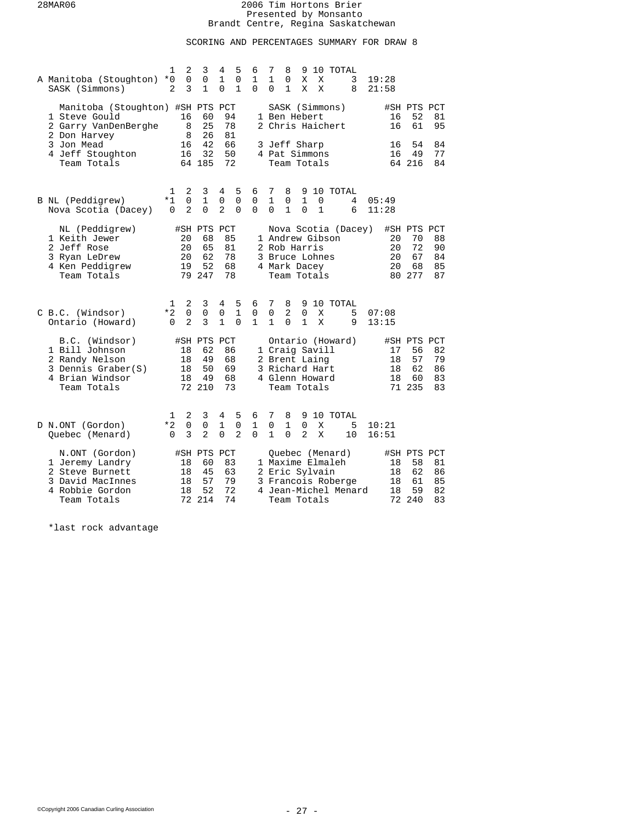# SCORING AND PERCENTAGES SUMMARY FOR DRAW 8

| A Manitoba (Stoughton)<br>SASK (Simmons)                                                                   | $\mathbf{1}$<br>$*0$<br>2 | $\overline{2}$<br>$\mathbf 0$<br>3 | 3<br>0<br>$\mathbf{1}$                        | 4<br>1<br>$\Omega$               | 5<br>0<br>$\mathbf{1}$             | 6<br>1<br>$\Omega$               | 7<br>$\mathbf{1}$<br>$\Omega$    | 8<br>0<br>$\mathbf{1}$          | 9<br>Χ<br>X                                                                        | Χ<br>X            |                                     | 10 TOTAL<br>3<br>8                         | 19:28<br>21:58 |                      |                                               |                            |
|------------------------------------------------------------------------------------------------------------|---------------------------|------------------------------------|-----------------------------------------------|----------------------------------|------------------------------------|----------------------------------|----------------------------------|---------------------------------|------------------------------------------------------------------------------------|-------------------|-------------------------------------|--------------------------------------------|----------------|----------------------|-----------------------------------------------|----------------------------|
| Manitoba (Stoughton) #SH PTS PCT<br>1 Steve Gould<br>2 Garry VanDenBerghe                                  |                           | 16<br>8<br>8                       | 60<br>25<br>26                                | 94<br>78<br>81                   |                                    |                                  |                                  |                                 | 1 Ben Hebert                                                                       |                   | SASK (Simmons)<br>2 Chris Haichert  |                                            |                | 16<br>16             | #SH PTS PCT<br>52<br>61                       | 81<br>95                   |
| 2 Don Harvey<br>3 Jon Mead<br>4 Jeff Stoughton<br>Team Totals                                              |                           | 16<br>16                           | 42<br>32<br>64 185                            | 66<br>50<br>72                   |                                    |                                  |                                  |                                 | 3 Jeff Sharp<br>4 Pat Simmons<br>Team Totals                                       |                   |                                     |                                            |                | 16<br>16             | 54<br>49<br>64 216                            | 84<br>77<br>84             |
| B NL (Peddigrew)<br>Nova Scotia (Dacey)                                                                    | 1<br>$*1$<br>0            | 2<br>0<br>2                        | 3<br>$\mathbf 1$<br>0                         | 4<br>0<br>2                      | 5<br>$\mathbf 0$<br>0              | 6<br>0<br>$\Omega$               | 7<br>$\mathbf{1}$<br>$\Omega$    | 8<br>0<br>1                     | $\mathbf{1}$<br>$\Omega$                                                           | 0<br>$\mathbf{1}$ |                                     | 9 10 TOTAL<br>4<br>6                       | 05:49<br>11:28 |                      |                                               |                            |
| NL (Peddigrew)<br>1 Keith Jewer<br>2 Jeff Rose<br>3 Ryan LeDrew<br>4 Ken Peddigrew<br>Team Totals          |                           | 20<br>20<br>20<br>19               | #SH PTS PCT<br>68<br>65<br>62<br>52<br>79 247 | 85<br>81<br>78<br>68<br>78       |                                    |                                  |                                  |                                 | 2 Rob Harris<br>3 Bruce Lohnes<br>4 Mark Dacey<br>Team Totals                      |                   | 1 Andrew Gibson                     | Nova Scotia (Dacey)                        |                | 20<br>20<br>20<br>20 | #SH PTS PCT<br>70<br>72<br>67<br>68<br>80 277 | 88<br>90<br>84<br>85<br>87 |
| C B.C. (Windsor)<br>Ontario (Howard)                                                                       | 1<br>$*2$<br>$\Omega$     | 2<br>$\mathbf 0$<br>$\overline{2}$ | 3<br>$\mathsf 0$<br>3                         | 4<br>$\mathbf 0$<br>$\mathbf{1}$ | 5<br>$\mathbf{1}$<br>$\Omega$      | 6<br>$\mathsf 0$<br>$\mathbf{1}$ | 7<br>$\mathbf 0$<br>$\mathbf{1}$ | 8<br>$\overline{a}$<br>$\Omega$ | $\mathbf 0$<br>$\mathbf{1}$                                                        | X<br>X            |                                     | 9 10 TOTAL<br>5<br>9                       | 07:08<br>13:15 |                      |                                               |                            |
| B.C. (Windsor)<br>1 Bill Johnson<br>2 Randy Nelson<br>3 Dennis Graber(S)<br>4 Brian Windsor<br>Team Totals |                           | 18<br>18<br>18<br>18               | #SH PTS PCT<br>62<br>49<br>50<br>49<br>72 210 | 86<br>68<br>69<br>68<br>73       |                                    |                                  |                                  |                                 | 1 Craig Savill<br>2 Brent Laing<br>3 Richard Hart<br>4 Glenn Howard<br>Team Totals |                   |                                     | Ontario (Howard)                           |                | 17<br>18<br>18<br>18 | #SH PTS PCT<br>56<br>57<br>62<br>60<br>71 235 | 82<br>79<br>86<br>83<br>83 |
| D N.ONT (Gordon)<br>Quebec (Menard)                                                                        | ı<br>$*2$<br>$\Omega$     | 2<br>$\mathsf 0$<br>3              | 3<br>0<br>$\overline{2}$                      | 4<br>1<br>$\Omega$               | 5<br>$\mathbf 0$<br>$\overline{2}$ | 6<br>1<br>$\Omega$               | 7<br>0<br>$\mathbf{1}$           | 8<br>1<br>$\Omega$              | 0<br>2                                                                             | Χ<br>X            |                                     | 9 10 TOTAL<br>5<br>10                      | 10:21<br>16:51 |                      |                                               |                            |
| N.ONT (Gordon)<br>1 Jeremy Landry<br>2 Steve Burnett<br>3 David MacInnes<br>4 Robbie Gordon<br>Team Totals |                           | 18<br>18<br>18<br>18<br>72         | #SH PTS PCT<br>60<br>45<br>57<br>52<br>214    | 83<br>63<br>79<br>72<br>74       |                                    |                                  |                                  |                                 | 2 Eric Sylvain<br>Team Totals                                                      |                   | Ouebec (Menard)<br>1 Maxime Elmaleh | 3 Francois Roberge<br>4 Jean-Michel Menard |                | 18<br>18<br>18<br>18 | #SH PTS PCT<br>58<br>62<br>61<br>59<br>72 240 | 81<br>86<br>85<br>82<br>83 |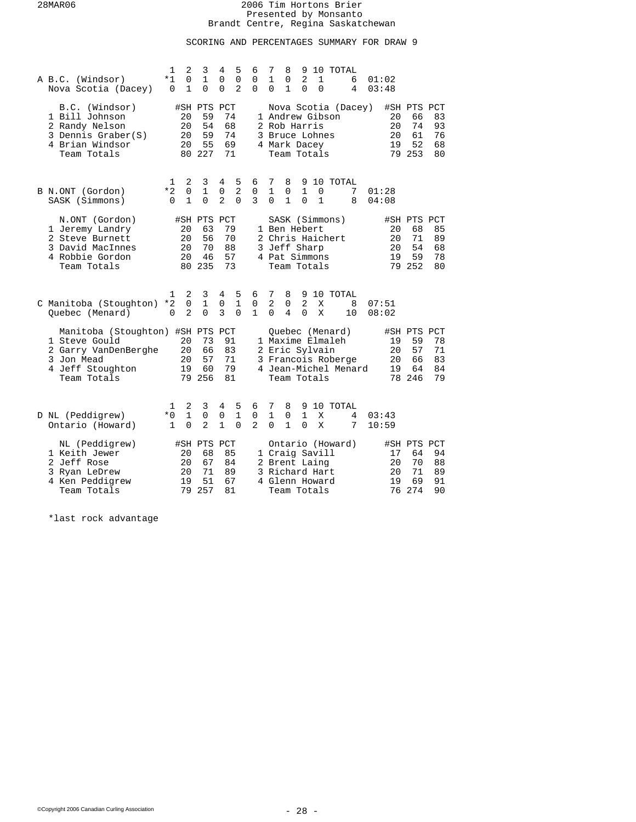# SCORING AND PERCENTAGES SUMMARY FOR DRAW 9

| A B.C. (Windsor)<br>Nova Scotia (Dacey)                                                                                    | $\mathbf{1}$<br>2<br>*1<br>$\mathbf 0$<br>0<br>1           | 3<br>$\mathbf{1}$<br>$\Omega$                 | 5<br>4<br>0<br>0<br>$\overline{2}$<br>$\Omega$                      | 6<br>0<br>$\Omega$       | 7<br>8<br>9<br>10 TOTAL<br>$\overline{2}$<br>1<br>0<br>1<br>6<br>01:02<br>$\mathbf{1}$<br>$\Omega$<br>03:48<br>0<br>$\Omega$<br>4                                                                                         |  |
|----------------------------------------------------------------------------------------------------------------------------|------------------------------------------------------------|-----------------------------------------------|---------------------------------------------------------------------|--------------------------|---------------------------------------------------------------------------------------------------------------------------------------------------------------------------------------------------------------------------|--|
| B.C. (Windsor)<br>1 Bill Johnson<br>2 Randy Nelson<br>3 Dennis Graber(S)<br>4 Brian Windsor<br>Team Totals                 | 20<br>20<br>20<br>20                                       | #SH PTS PCT<br>59<br>54<br>59<br>55<br>80 227 | 74<br>68<br>74<br>69<br>71                                          |                          | Nova Scotia (Dacey)<br>#SH PTS PCT<br>1 Andrew Gibson<br>20<br>66<br>83<br>74<br>93<br>2 Rob Harris<br>20<br>61<br>76<br>3 Bruce Lohnes<br>20<br>19<br>52<br>68<br>4 Mark Dacey<br>79 253<br>Team Totals<br>80            |  |
| B N.ONT (Gordon)<br>SASK (Simmons)                                                                                         | 2<br>1<br>*2<br>$\mathbf 0$<br>$\mathbf{1}$<br>$\Omega$    | 3<br>$\mathbf{1}$<br>$\Omega$                 | 5<br>4<br>$\overline{2}$<br>$\mathbf 0$<br>$\mathbf{2}$<br>$\Omega$ | 6<br>0<br>3              | 10 TOTAL<br>7<br>8<br>9<br>1<br>$\mathbf{1}$<br>0<br>0<br>7<br>01:28<br>$\mathbf 1$<br>$\mathbf{1}$<br>$\Omega$<br>$\Omega$<br>8<br>04:08                                                                                 |  |
| N.ONT (Gordon)<br>1 Jeremy Landry<br>2 Steve Burnett<br>3 David MacInnes<br>4 Robbie Gordon<br>Team Totals                 | 20<br>20<br>20<br>20                                       | #SH PTS PCT<br>63<br>56<br>70<br>46<br>80 235 | 79<br>70<br>88<br>57<br>73                                          |                          | SASK (Simmons)<br>#SH PTS PCT<br>1 Ben Hebert<br>68<br>85<br>20<br>2 Chris Haichert<br>20<br>71<br>89<br>3 Jeff Sharp<br>54<br>68<br>20<br>4 Pat Simmons<br>19<br>59<br>78<br>79 252<br>80<br>Team Totals                 |  |
| C Manitoba (Stoughton)<br>Quebec (Menard)                                                                                  | 2<br>1<br>$\Omega$<br>$*2$<br>$\mathfrak{D}$<br>$\Omega$   | 3<br>$\mathbf{1}$<br>$\Omega$                 | 5<br>4<br>$\mathbf{1}$<br>0<br>3<br>$\Omega$                        | 6<br>0<br>1              | 7<br>8<br>9 10 TOTAL<br>$\overline{2}$<br>$\overline{2}$<br>0<br>8<br>Χ<br>07:51<br>$\Omega$<br>4<br>$\Omega$<br>X<br>10<br>08:02                                                                                         |  |
| Manitoba (Stoughton) #SH PTS PCT<br>1 Steve Gould<br>2 Garry VanDenBerghe<br>3 Jon Mead<br>4 Jeff Stoughton<br>Team Totals | 20<br>20<br>20<br>19                                       | 73<br>66<br>57<br>60<br>79 256                | 91<br>83<br>71<br>79<br>81                                          |                          | Ouebec (Menard)<br>#SH PTS PCT<br>1 Maxime Elmaleh<br>59<br>78<br>19<br>2 Eric Sylvain<br>20<br>57<br>71<br>3 Francois Roberge<br>83<br>20<br>66<br>4 Jean-Michel Menard<br>19<br>64<br>84<br>78 246<br>79<br>Team Totals |  |
| D NL (Peddigrew)<br>Ontario (Howard)                                                                                       | 2<br>1<br>$\mathbf{1}$<br>$*0$<br>$\mathbf{1}$<br>$\Omega$ | 3<br>$\mathbf 0$<br>$\overline{2}$            | 5<br>4<br>$\mathbf{1}$<br>$\mathbf 0$<br>$\mathbf{1}$<br>$\Omega$   | 6<br>0<br>$\overline{2}$ | 7<br>8<br>9<br>10 TOTAL<br>1<br>$\mathbf{1}$<br>0<br>X<br>4<br>03:43<br>0<br>$\mathbf{1}$<br>$\Omega$<br>X<br>7<br>10:59                                                                                                  |  |
| NL (Peddigrew)<br>1 Keith Jewer<br>2 Jeff Rose<br>3 Ryan LeDrew<br>4 Ken Peddigrew<br>Team Totals                          | 20<br>20<br>20<br>19<br>79                                 | #SH PTS PCT<br>68<br>67<br>71<br>51<br>257    | 85<br>84<br>89<br>67<br>81                                          |                          | Ontario (Howard)<br>#SH PTS PCT<br>1 Craig Savill<br>17<br>64<br>94<br>20<br>70<br>88<br>2 Brent Laing<br>71<br>89<br>3 Richard Hart<br>20<br>19<br>69<br>91<br>4 Glenn Howard<br>274<br>90<br>76<br>Team Totals          |  |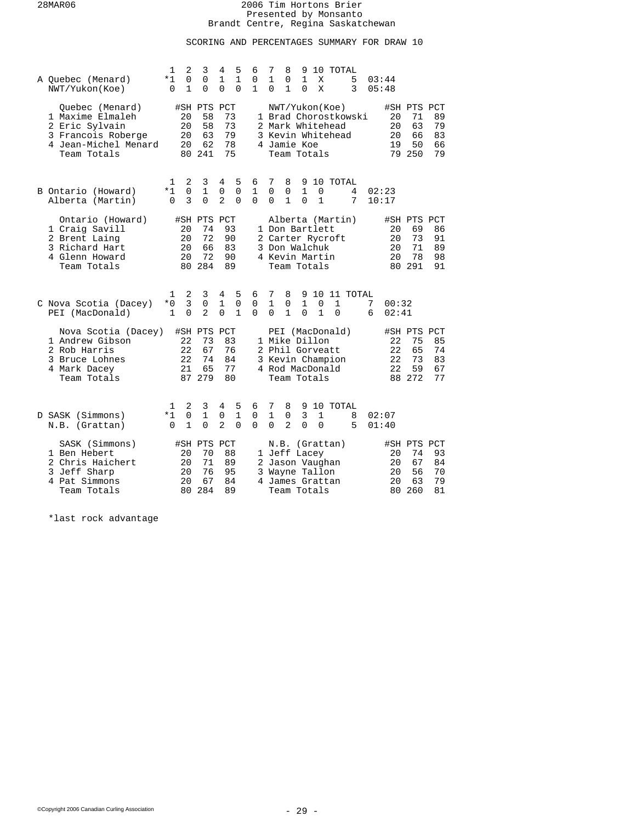# SCORING AND PERCENTAGES SUMMARY FOR DRAW 10

| A Ouebec (Menard)<br>NWT/Yukon(Koe)                                                                                | 1<br>*1<br>$\mathbf 0$    | 2<br>$\mathbf 0$<br>1      | 3<br>0<br>$\Omega$                            | 4<br>1<br>$\Omega$                 | 5<br>$\mathbf{1}$<br>$\Omega$ | 6<br>0<br>$\mathbf{1}$       | 7<br>1<br>$\Omega$            | 8<br>0<br>$\mathbf{1}$                                                   | 9<br>1<br>$\Omega$              | X<br>X            | 10 TOTAL                                                | 5<br>3               |        | 03:44<br>05:48             |                                               |                            |
|--------------------------------------------------------------------------------------------------------------------|---------------------------|----------------------------|-----------------------------------------------|------------------------------------|-------------------------------|------------------------------|-------------------------------|--------------------------------------------------------------------------|---------------------------------|-------------------|---------------------------------------------------------|----------------------|--------|----------------------------|-----------------------------------------------|----------------------------|
| Quebec (Menard)<br>1 Maxime Elmaleh<br>2 Eric Sylvain<br>3 Francois Roberge<br>4 Jean-Michel Menard<br>Team Totals |                           | 20<br>20<br>20<br>20<br>80 | #SH PTS PCT<br>58<br>58<br>63<br>62<br>241    | 73<br>73<br>79<br>78<br>75         |                               |                              |                               | 4 Jamie Koe<br>Team Totals                                               |                                 |                   | NWT/Yukon(Koe)<br>2 Mark Whitehead<br>3 Kevin Whitehead | 1 Brad Chorostkowski |        | 20<br>20<br>20<br>19       | #SH PTS PCT<br>71<br>63<br>66<br>50<br>79 250 | 89<br>79<br>83<br>66<br>79 |
| B Ontario (Howard)<br>Alberta (Martin)                                                                             | 1<br>*1<br>$\Omega$       | 2<br>$\mathbf 0$<br>3      | 3<br>$\mathbf 1$<br>$\Omega$                  | 4<br>$\mathbf 0$<br>$\overline{2}$ | 5<br>$\mathsf 0$<br>$\Omega$  | 6<br>$\mathbf 1$<br>$\Omega$ | 7<br>0<br>$\Omega$            | 8<br>0<br>$\mathbf{1}$                                                   | 9<br>$\mathbf{1}$<br>$\Omega$   | 0<br>$\mathbf{1}$ | 10 TOTAL                                                | 4<br>7               |        | 02:23<br>10:17             |                                               |                            |
| Ontario (Howard)<br>1 Craig Savill<br>2 Brent Laing<br>3 Richard Hart<br>4 Glenn Howard<br>Team Totals             |                           | 20<br>20<br>20<br>20<br>80 | #SH PTS PCT<br>74<br>72<br>66<br>72<br>284    | 93<br>90<br>83<br>90<br>89         |                               |                              |                               | 1 Don Bartlett<br>3 Don Walchuk<br>4 Kevin Martin<br>Team Totals         |                                 |                   | Alberta (Martin)<br>2 Carter Rycroft                    |                      |        | 20<br>20<br>20<br>20       | #SH PTS PCT<br>69<br>73<br>71<br>78<br>80 291 | 86<br>91<br>89<br>98<br>91 |
| C Nova Scotia (Dacey)<br>PEI (MacDonald)                                                                           | $\mathbf{1}$<br>$*0$<br>1 | 2<br>3<br>$\Omega$         | 3<br>$\mathbf 0$<br>$\mathfrak{D}$            | 4<br>1<br>$\Omega$                 | 5<br>0<br>$\mathbf{1}$        | 6<br>0<br>$\Omega$           | 7<br>$\mathbf{1}$<br>$\Omega$ | 8<br>0<br>$\mathbf{1}$                                                   | 9<br>1<br>$\Omega$              | 0<br>$\mathbf{1}$ | 1<br>$\Omega$                                           | 10 11 TOTAL          | 7<br>6 | 00:32<br>02:41             |                                               |                            |
| Nova Scotia (Dacey)<br>1 Andrew Gibson<br>2 Rob Harris<br>3 Bruce Lohnes<br>4 Mark Dacey<br>Team Totals            |                           | 22<br>22<br>22<br>21       | #SH PTS PCT<br>73<br>67<br>74<br>65<br>87 279 | 83<br>76<br>84<br>77<br>80         |                               |                              |                               | 1 Mike Dillon<br>2 Phil Gorveatt<br>Team Totals                          |                                 |                   | PEI (MacDonald)<br>3 Kevin Champion<br>4 Rod MacDonald  |                      |        | 22<br>22<br>22<br>22       | #SH PTS PCT<br>75<br>65<br>73<br>59<br>88 272 | 85<br>74<br>83<br>67<br>77 |
| D SASK (Simmons)<br>N.B. (Grattan)                                                                                 | 1<br>*1<br>$\Omega$       | 2<br>0<br>1                | 3<br>$\mathbf 1$<br>$\Omega$                  | 4<br>0<br>$\overline{a}$           | 5<br>$\mathbf{1}$<br>$\Omega$ | 6<br>0<br>$\Omega$           | 7<br>1<br>$\Omega$            | 8<br>0<br>$\overline{2}$                                                 | 9<br>$\overline{3}$<br>$\Omega$ | 1<br>0            | 10 TOTAL                                                | 8<br>5               |        | 02:07<br>01:40             |                                               |                            |
| SASK (Simmons)<br>1 Ben Hebert<br>2 Chris Haichert<br>3 Jeff Sharp<br>4 Pat Simmons<br>Team Totals                 |                           | 20<br>20<br>20<br>20<br>80 | #SH PTS PCT<br>70<br>71<br>76<br>67<br>284    | 88<br>89<br>95<br>84<br>89         |                               |                              |                               | N.B.<br>1 Jeff Lacey<br>3 Wayne Tallon<br>4 James Grattan<br>Team Totals |                                 |                   | (Grattan)<br>2 Jason Vaughan                            |                      |        | 20<br>20<br>20<br>20<br>80 | #SH PTS PCT<br>74<br>67<br>56<br>63<br>260    | 93<br>84<br>70<br>79<br>81 |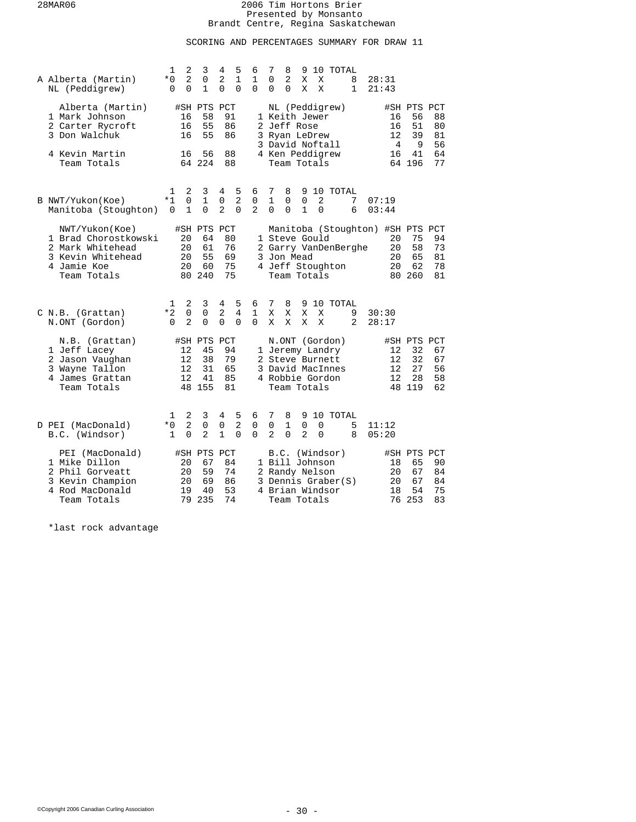# SCORING AND PERCENTAGES SUMMARY FOR DRAW 11

| A Alberta (Martin)<br>NL (Peddigrew)                                                                          | 1<br>$*0$<br>0         | 2<br>$\overline{2}$<br>$\Omega$ | 3<br>0<br>$\mathbf{1}$                        | 4<br>2<br>$\Omega$               | 5<br>1<br>$\Omega$              | 6<br>1<br>$\Omega$       | 7<br>0<br>$\Omega$                 | 8<br>2<br>$\Omega$                              | 9<br>Χ<br>X                      | X<br>$\mathbf{X}$ | 10 TOTAL                                                                                    | 8<br>$\mathbf{1}$    | 28:31<br>21:43                                           |                                               |                            |
|---------------------------------------------------------------------------------------------------------------|------------------------|---------------------------------|-----------------------------------------------|----------------------------------|---------------------------------|--------------------------|------------------------------------|-------------------------------------------------|----------------------------------|-------------------|---------------------------------------------------------------------------------------------|----------------------|----------------------------------------------------------|-----------------------------------------------|----------------------------|
| Alberta (Martin)<br>1 Mark Johnson<br>2 Carter Rycroft<br>3 Don Walchuk                                       |                        | 16<br>16<br>16                  | #SH PTS<br>58<br>55<br>55                     | PCT<br>91<br>86<br>86            |                                 |                          |                                    | 1 Keith Jewer<br>2 Jeff Rose<br>3 Ryan LeDrew   |                                  |                   | NL (Peddigrew)<br>3 David Noftall                                                           |                      | 16<br>16<br>12<br>4                                      | #SH PTS PCT<br>56<br>51<br>39<br>9            | 88<br>80<br>81<br>56       |
| 4 Kevin Martin<br>Team Totals                                                                                 |                        | 16                              | 56<br>64 224                                  | 88<br>88                         |                                 |                          |                                    | Team Totals                                     |                                  |                   | 4 Ken Peddigrew                                                                             |                      | 16                                                       | 41<br>64 196                                  | 64<br>77                   |
| B NWT/Yukon(Koe)<br>Manitoba (Stoughton)                                                                      | 1<br>$*1$<br>$\Omega$  | 2<br>0<br>$\mathbf{1}$          | 3<br>$\mathbf 1$<br>$\Omega$                  | 4<br>0<br>$\overline{2}$         | 5<br>$\overline{a}$<br>$\Omega$ | 6<br>0<br>$\overline{2}$ | 7<br>$\mathbf{1}$<br>$\Omega$      | 8<br>0<br>$\Omega$                              | 9<br>$\mathsf 0$<br>$\mathbf{1}$ | 2<br>$\Omega$     | 10 TOTAL                                                                                    | 7<br>6               | 07:19<br>03:44                                           |                                               |                            |
| NWT/Yukon(Koe)<br>1 Brad Chorostkowski<br>2 Mark Whitehead<br>3 Kevin Whitehead<br>4 Jamie Koe<br>Team Totals |                        | 20<br>20<br>20<br>20<br>80      | #SH PTS PCT<br>64<br>61<br>55<br>60<br>240    | 80<br>76<br>69<br>75<br>75       |                                 |                          |                                    | 1 Steve Gould<br>3 Jon Mead<br>Team Totals      |                                  |                   | 4 Jeff Stoughton                                                                            | 2 Garry VanDenBerghe | Manitoba (Stoughton) #SH PTS PCT<br>20<br>20<br>20<br>20 | 75<br>58<br>65<br>62<br>80 260                | 94<br>73<br>81<br>78<br>81 |
| C N.B. (Grattan)<br>N.ONT (Gordon)                                                                            | 1<br>*2<br>$\mathbf 0$ | 2<br>0<br>2                     | 3<br>0<br>0                                   | 4<br>2<br>0                      | 5<br>4<br>$\mathbf 0$           | 6<br>1<br>0              | 7<br>Χ<br>X                        | 8<br>X<br>X                                     | 9<br>X<br>X                      | X<br>X            | 10 TOTAL                                                                                    | 9<br>$\overline{a}$  | 30:30<br>28:17                                           |                                               |                            |
| N.B. (Grattan)<br>1 Jeff Lacey<br>2 Jason Vaughan<br>3 Wayne Tallon<br>4 James Grattan<br>Team Totals         |                        | 12<br>12<br>12<br>12            | #SH PTS PCT<br>45<br>38<br>31<br>41<br>48 155 | 94<br>79<br>65<br>85<br>81       |                                 |                          |                                    | Team Totals                                     |                                  |                   | N.ONT (Gordon)<br>1 Jeremy Landry<br>2 Steve Burnett<br>3 David MacInnes<br>4 Robbie Gordon |                      | 12<br>12<br>12<br>12                                     | #SH PTS PCT<br>32<br>32<br>27<br>28<br>48 119 | 67<br>67<br>56<br>58<br>62 |
| D PEI (MacDonald)<br>B.C. (Windsor)                                                                           | 1<br>$*0$<br>1         | 2<br>$\overline{2}$<br>$\Omega$ | 3<br>0<br>$\overline{2}$                      | 4<br>$\mathsf 0$<br>$\mathbf{1}$ | 5<br>$\overline{2}$<br>$\Omega$ | 6<br>0<br>$\Omega$       | 7<br>$\mathbf 0$<br>$\overline{2}$ | 8<br>$\mathbf{1}$<br>$\Omega$                   | 9<br>$\mathbf 0$<br>2            | 0<br>0            | 10 TOTAL                                                                                    | 5<br>8               | 11:12<br>05:20                                           |                                               |                            |
| PEI (MacDonald)<br>1 Mike Dillon<br>2 Phil Gorveatt<br>3 Kevin Champion<br>4 Rod MacDonald<br>Team Totals     |                        | 20<br>20<br>20<br>19<br>79      | #SH PTS PCT<br>67<br>59<br>69<br>40<br>235    | 84<br>74<br>86<br>53<br>74       |                                 |                          |                                    | 1 Bill Johnson<br>2 Randy Nelson<br>Team Totals |                                  |                   | B.C. (Windsor)<br>3 Dennis Graber(S)<br>4 Brian Windsor                                     |                      | 18<br>20<br>20<br>18<br>76                               | #SH PTS PCT<br>65<br>67<br>67<br>54<br>253    | 90<br>84<br>84<br>75<br>83 |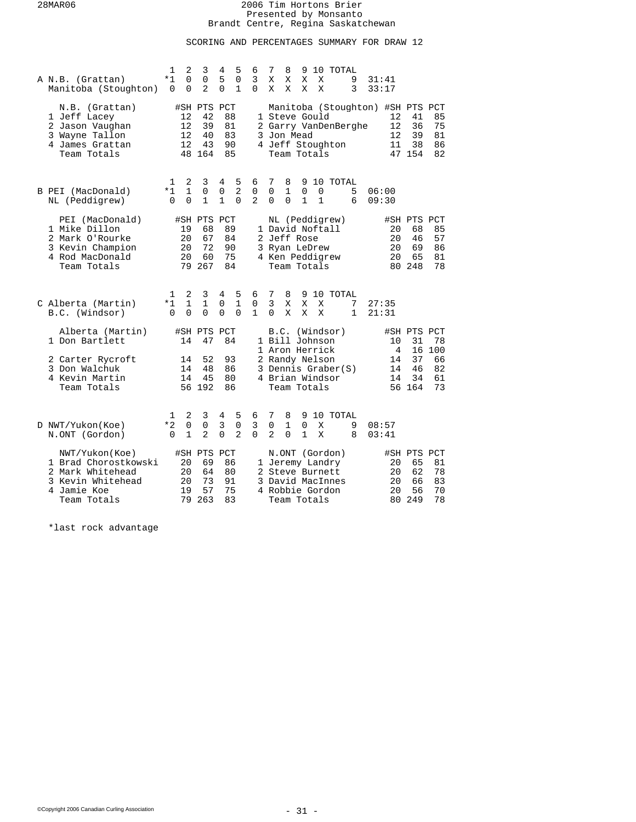# SCORING AND PERCENTAGES SUMMARY FOR DRAW 12

| A N.B. (Grattan)<br>Manitoba (Stoughton)                                                                      | $\mathbf{1}$<br>*1<br>$\Omega$   | 2<br>$\Omega$<br>$\Omega$     | 3<br>$\Omega$<br>$\overline{a}$               | 4<br>5<br>$\Omega$         | 5<br>0<br>$\mathbf{1}$             | 6<br>3<br>$\Omega$                 | 7<br>X<br>X                        | 8<br>Χ<br>X        | 9<br>X<br>X                 | X<br>X                                                                               | 10 TOTAL                                              | 9<br>3           | 31:41<br>33:17 |                            |                                                                    |                                   |
|---------------------------------------------------------------------------------------------------------------|----------------------------------|-------------------------------|-----------------------------------------------|----------------------------|------------------------------------|------------------------------------|------------------------------------|--------------------|-----------------------------|--------------------------------------------------------------------------------------|-------------------------------------------------------|------------------|----------------|----------------------------|--------------------------------------------------------------------|-----------------------------------|
| N.B. (Grattan)<br>1 Jeff Lacey<br>2 Jason Vaughan<br>3 Wayne Tallon<br>4 James Grattan<br>Team Totals         |                                  | 12<br>12<br>12<br>12          | #SH PTS PCT<br>42<br>39<br>40<br>43<br>48 164 | 88<br>81<br>83<br>90<br>85 |                                    |                                    |                                    | 3 Jon Mead         |                             | 1 Steve Gould<br>Team Totals                                                         | 2 Garry VanDenBerghe<br>4 Jeff Stoughton              |                  |                | 12<br>12<br>12<br>11       | Manitoba (Stoughton) #SH PTS PCT<br>41<br>36<br>39<br>38<br>47 154 | 85<br>75<br>81<br>86<br>82        |
| B PEI (MacDonald)<br>NL (Peddigrew)                                                                           | $\mathbf{1}$<br>$*1$<br>$\Omega$ | 2<br>$\mathbf{1}$<br>$\Omega$ | 3<br>$\Omega$<br>$\mathbf{1}$                 | 4<br>0<br>$\mathbf{1}$     | 5<br>$\overline{2}$<br>$\Omega$    | 6<br>$\mathbf 0$<br>$\overline{2}$ | 7<br>$\mathbf 0$<br>$\Omega$       | 8<br>1<br>$\Omega$ | $\mathbf 0$<br>$\mathbf{1}$ | 0<br>$\mathbf{1}$                                                                    | 9 10 TOTAL                                            | 5<br>6           | 06:00<br>09:30 |                            |                                                                    |                                   |
| PEI (MacDonald)<br>1 Mike Dillon<br>2 Mark O'Rourke<br>3 Kevin Champion<br>4 Rod MacDonald<br>Team Totals     |                                  | 19<br>20<br>20<br>20<br>79    | #SH PTS PCT<br>68<br>67<br>72<br>60<br>267    | 89<br>84<br>90<br>75<br>84 |                                    |                                    |                                    | 2 Jeff Rose        |                             | 1 David Noftall<br>3 Ryan LeDrew<br>4 Ken Peddigrew<br>Team Totals                   | NL (Peddigrew)                                        |                  |                | 20<br>20<br>20<br>20       | #SH PTS PCT<br>68<br>46<br>69<br>65<br>80 248                      | 85<br>57<br>86<br>81<br>78        |
| C Alberta (Martin)<br>B.C. (Windsor)                                                                          | 1<br>*1<br>$\Omega$              | 2<br>$\mathbf 1$<br>$\Omega$  | 3<br>1<br>$\Omega$                            | 4<br>0<br>$\Omega$         | 5<br>$\mathbf{1}$<br>$\Omega$      | 6<br>0<br>$\mathbf{1}$             | 7<br>$\overline{3}$<br>$\Omega$    | 8<br>Χ<br>X        | 9<br>Χ<br>X                 | X<br>X                                                                               | 10 TOTAL                                              | 7<br>$\mathbf 1$ | 27:35<br>21:31 |                            |                                                                    |                                   |
| Alberta (Martin)<br>1 Don Bartlett<br>2 Carter Rycroft<br>3 Don Walchuk<br>4 Kevin Martin<br>Team Totals      |                                  | 14<br>14<br>14<br>14          | #SH PTS PCT<br>47<br>52<br>48<br>45<br>56 192 | 84<br>93<br>86<br>80<br>86 |                                    |                                    |                                    |                    |                             | 1 Bill Johnson<br>1 Aron Herrick<br>2 Randy Nelson<br>4 Brian Windsor<br>Team Totals | B.C. (Windsor)<br>3 Dennis Graber(S)                  |                  |                | 10<br>4<br>14<br>14<br>14  | #SH PTS PCT<br>31<br>16<br>37<br>46<br>34<br>56 164                | 78<br>100<br>66<br>82<br>61<br>73 |
| D NWT/Yukon(Koe)<br>N.ONT (Gordon)                                                                            | ı<br>$*2$<br>$\Omega$            | 2<br>$\Omega$<br>$\mathbf 1$  | 3<br>0<br>$\overline{a}$                      | 4<br>3<br>$\Omega$         | 5<br>$\mathsf 0$<br>$\overline{2}$ | 6<br>3<br>$\Omega$                 | 7<br>$\mathbf 0$<br>$\overline{2}$ | 8<br>1<br>$\Omega$ | 9<br>0<br>$\mathbf{1}$      | X<br>X                                                                               | 10 TOTAL                                              | 9<br>8           | 08:57<br>03:41 |                            |                                                                    |                                   |
| NWT/Yukon(Koe)<br>1 Brad Chorostkowski<br>2 Mark Whitehead<br>3 Kevin Whitehead<br>4 Jamie Koe<br>Team Totals |                                  | 20<br>20<br>20<br>19<br>79    | #SH PTS PCT<br>69<br>64<br>73<br>57<br>263    | 86<br>80<br>91<br>75<br>83 |                                    |                                    |                                    |                    |                             | 2 Steve Burnett<br>4 Robbie Gordon<br>Team Totals                                    | N.ONT (Gordon)<br>1 Jeremy Landry<br>3 David MacInnes |                  |                | 20<br>20<br>20<br>20<br>80 | #SH PTS PCT<br>65<br>62<br>66<br>56<br>249                         | 81<br>78<br>83<br>70<br>78        |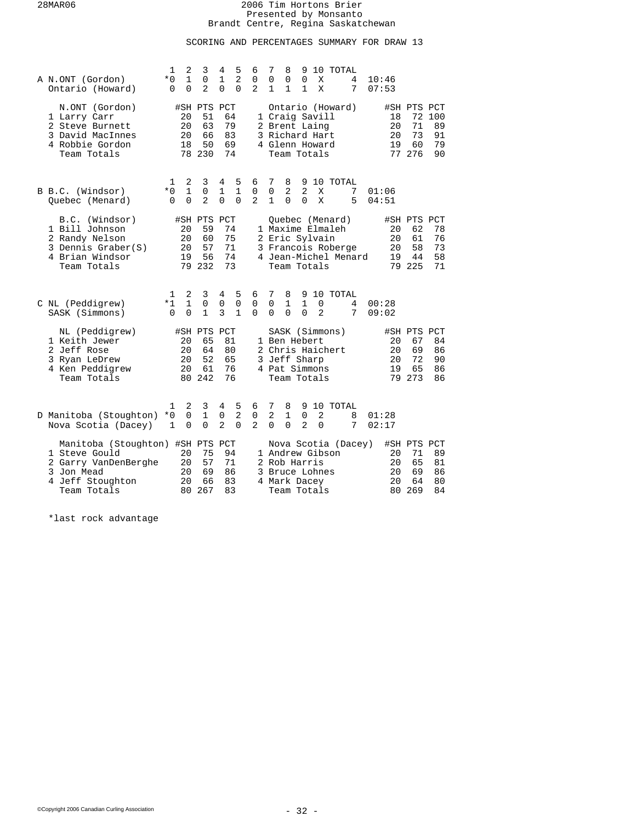# SCORING AND PERCENTAGES SUMMARY FOR DRAW 13

| A N.ONT (Gordon)<br>Ontario (Howard)                                                                                       | 1<br>$*0$<br>0           | $\overline{2}$<br>$\mathbf{1}$<br>$\Omega$ | 3<br>$\mathsf 0$<br>$\overline{a}$            | 4<br>1<br>$\Omega$         | 5<br>$\overline{2}$<br>$\Omega$  | 6<br>0<br>2                        | 7<br>0<br>1        | 8<br>0<br>$\mathbf{1}$        | 9<br>0<br>1                                                                        | Χ<br>X        | 10 TOTAL                                                  | 4<br>7               | 10:46<br>07:53       |    |                                               |                                |
|----------------------------------------------------------------------------------------------------------------------------|--------------------------|--------------------------------------------|-----------------------------------------------|----------------------------|----------------------------------|------------------------------------|--------------------|-------------------------------|------------------------------------------------------------------------------------|---------------|-----------------------------------------------------------|----------------------|----------------------|----|-----------------------------------------------|--------------------------------|
| N.ONT (Gordon)<br>1 Larry Carr<br>2 Steve Burnett<br>3 David MacInnes<br>4 Robbie Gordon<br>Team Totals                    |                          | 20<br>20<br>20<br>18                       | #SH PTS PCT<br>51<br>63<br>66<br>50<br>78 230 | 64<br>79<br>83<br>69       | 74                               |                                    |                    |                               | 1 Craig Savill<br>2 Brent Laing<br>3 Richard Hart<br>4 Glenn Howard<br>Team Totals |               | Ontario (Howard)                                          |                      | 18<br>20<br>20<br>19 |    | #SH PTS PCT<br>71<br>73<br>60<br>77 276       | 72 100<br>89<br>91<br>79<br>90 |
| B B.C. (Windsor)<br>Ouebec (Menard)                                                                                        | 1<br>$*0$<br>$\Omega$    | 2<br>$\mathbf{1}$<br>$\Omega$              | 3<br>$\mathbf 0$<br>2                         | 4<br>1<br>0                | 5<br>$\mathbf{1}$<br>0           | 6<br>$\mathbf 0$<br>$\overline{2}$ | 7<br>0<br>1        | 8<br>2<br>$\mathbf 0$         | 2<br>0                                                                             | X<br>X        | 9 10 TOTAL                                                | 7<br>5               | 01:06<br>04:51       |    |                                               |                                |
| B.C. (Windsor)<br>1 Bill Johnson<br>2 Randy Nelson<br>3 Dennis Graber(S)<br>4 Brian Windsor<br>Team Totals                 |                          | 20<br>20<br>20<br>19                       | #SH PTS PCT<br>59<br>60<br>57<br>56<br>79 232 | 74<br>75<br>71<br>73       | 74                               |                                    |                    |                               | 2 Eric Sylvain<br>Team Totals                                                      |               | Ouebec (Menard)<br>1 Maxime Elmaleh<br>3 Francois Roberge | 4 Jean-Michel Menard | 20<br>20<br>20<br>19 |    | #SH PTS PCT<br>62<br>61<br>58<br>44<br>79 225 | 78<br>76<br>73<br>58<br>71     |
| C NL (Peddigrew)<br>SASK (Simmons)                                                                                         | 1<br>$*1$<br>$\Omega$    | 2<br>$\mathbf{1}$<br>$\Omega$              | 3<br>$\mathbf 0$<br>1                         | 4<br>0<br>3                | 5<br>$\mathbf 0$<br>$\mathbf{1}$ | 6<br>0<br>$\Omega$                 | 7<br>0<br>$\Omega$ | 8<br>1<br>$\Omega$            | 1<br>$\Omega$                                                                      | 0<br>2        | 9 10 TOTAL                                                | 4<br>7               | 00:28<br>09:02       |    |                                               |                                |
| NL (Peddigrew)<br>1 Keith Jewer<br>2 Jeff Rose<br>3 Ryan LeDrew<br>4 Ken Peddigrew<br>Team Totals                          |                          | 20<br>20<br>20<br>20                       | #SH PTS PCT<br>65<br>64<br>52<br>61<br>80 242 | 81<br>80<br>65<br>76       | 76                               |                                    |                    |                               | 1 Ben Hebert<br>3 Jeff Sharp<br>4 Pat Simmons<br>Team Totals                       |               | SASK (Simmons)<br>2 Chris Haichert                        |                      | 20<br>20<br>20<br>19 |    | #SH PTS PCT<br>67<br>69<br>72<br>65<br>79 273 | 84<br>86<br>90<br>86<br>86     |
| D Manitoba (Stoughton)<br>Nova Scotia (Dacey)                                                                              | 1<br>$*0$<br>$\mathbf 1$ | 2<br>0<br>$\Omega$                         | 3<br>$\mathbf{1}$<br>$\Omega$                 | 4<br>0<br>$\overline{2}$   | 5<br>$\overline{2}$<br>$\Omega$  | 6<br>$\mathsf 0$<br>$\overline{2}$ | 7<br>2<br>$\Omega$ | 8<br>$\mathbf{1}$<br>$\Omega$ | 9<br>$\mathbf 0$<br>$\overline{2}$                                                 | 2<br>$\Omega$ | 10 TOTAL                                                  | 8<br>7               | 01:28<br>02:17       |    |                                               |                                |
| Manitoba (Stoughton) #SH PTS PCT<br>1 Steve Gould<br>2 Garry VanDenBerghe<br>3 Jon Mead<br>4 Jeff Stoughton<br>Team Totals |                          | 20<br>20<br>20<br>20<br>80                 | 75<br>57<br>69<br>66<br>267                   | 94<br>71<br>86<br>83<br>83 |                                  |                                    |                    |                               | 2 Rob Harris<br>3 Bruce Lohnes<br>4 Mark Dacey<br>Team Totals                      |               | 1 Andrew Gibson                                           | Nova Scotia (Dacey)  | 20<br>20<br>20<br>20 | 80 | #SH PTS PCT<br>71<br>65<br>69<br>64<br>269    | 89<br>81<br>86<br>80<br>84     |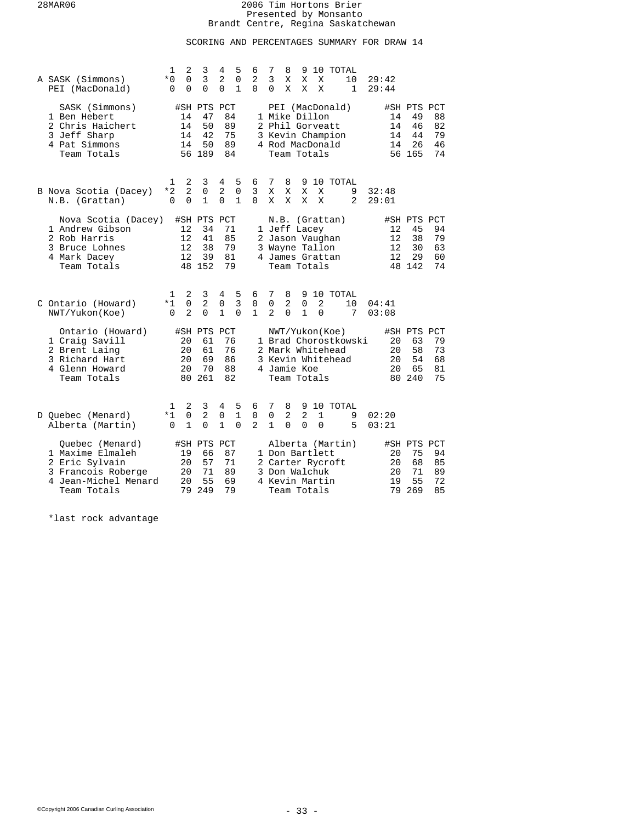# SCORING AND PERCENTAGES SUMMARY FOR DRAW 14

| A SASK (Simmons)<br>PEI (MacDonald)                                                                                | 1<br>$*0$<br>$\Omega$ | 2<br>0<br>$\Omega$              | 3<br>3<br>$\Omega$                            | 4<br>2<br>$\Omega$               | 5<br>0<br>$\mathbf{1}$           | 6<br>2<br>$\Omega$                 | 7<br>3<br>$\Omega$      | 8<br>Χ<br>X                                                                         | 9<br>Χ<br>X              | X<br>X                     | 10 TOTAL                                                | 10<br>1              | 29:42<br>29:44             |                                               |                            |
|--------------------------------------------------------------------------------------------------------------------|-----------------------|---------------------------------|-----------------------------------------------|----------------------------------|----------------------------------|------------------------------------|-------------------------|-------------------------------------------------------------------------------------|--------------------------|----------------------------|---------------------------------------------------------|----------------------|----------------------------|-----------------------------------------------|----------------------------|
| SASK (Simmons)<br>1 Ben Hebert<br>2 Chris Haichert<br>3 Jeff Sharp<br>4 Pat Simmons<br>Team Totals                 |                       | 14<br>14<br>14<br>14            | #SH PTS PCT<br>47<br>50<br>42<br>50<br>56 189 | 84<br>89<br>75<br>89<br>84       |                                  |                                    |                         | 1 Mike Dillon<br>2 Phil Gorveatt<br>4 Rod MacDonald<br>Team Totals                  |                          |                            | PEI (MacDonald)<br>3 Kevin Champion                     |                      | 14<br>14<br>14<br>14       | #SH PTS PCT<br>49<br>46<br>44<br>26<br>56 165 | 88<br>82<br>79<br>46<br>74 |
| B Nova Scotia (Dacey)<br>N.B. (Grattan)                                                                            | 1<br>$*2$<br>$\Omega$ | 2<br>$\overline{2}$<br>0        | 3<br>0<br>$\mathbf{1}$                        | 4<br>2<br>$\Omega$               | 5<br>$\mathbf 0$<br>$\mathbf{1}$ | 6<br>3<br>0                        | 7<br>X<br>X             | 8<br>Χ<br>X                                                                         | 9<br>Χ<br>X              | X<br>X                     | 10 TOTAL                                                | 9<br>2               | 32:48<br>29:01             |                                               |                            |
| Nova Scotia (Dacey)<br>1 Andrew Gibson<br>2 Rob Harris<br>3 Bruce Lohnes<br>4 Mark Dacey<br>Team Totals            |                       | 12<br>12<br>12<br>12            | #SH PTS PCT<br>34<br>41<br>38<br>39<br>48 152 | 71<br>85<br>79<br>81<br>79       |                                  |                                    |                         | 1 Jeff Lacey<br>2 Jason Vaughan<br>3 Wayne Tallon<br>4 James Grattan<br>Team Totals |                          |                            | N.B. (Grattan)                                          |                      | 12<br>12<br>12<br>12       | #SH PTS PCT<br>45<br>38<br>30<br>29<br>48 142 | 94<br>79<br>63<br>60<br>74 |
| C Ontario (Howard)<br>NWT/Yukon(Koe)                                                                               | 1<br>$*1$<br>$\Omega$ | 2<br>$\Omega$<br>$\mathcal{L}$  | 3<br>$\overline{2}$<br>$\Omega$               | 4<br>0<br>1                      | 5<br>3<br>$\Omega$               | 6<br>0<br>1                        | 7<br>0<br>$\mathcal{L}$ | 8<br>2<br>0                                                                         | 0<br>$\mathbf{1}$        | $\overline{a}$<br>$\Omega$ | 9 10 TOTAL                                              | 10<br>7              | 04:41<br>03:08             |                                               |                            |
| Ontario (Howard)<br>1 Craig Savill<br>2 Brent Laing<br>3 Richard Hart<br>4 Glenn Howard<br>Team Totals             |                       | 20<br>20<br>20<br>20            | #SH PTS PCT<br>61<br>61<br>69<br>70<br>80 261 | 76<br>76<br>86<br>88<br>82       |                                  |                                    |                         | 4 Jamie Koe<br>Team Totals                                                          |                          |                            | NWT/Yukon(Koe)<br>2 Mark Whitehead<br>3 Kevin Whitehead | 1 Brad Chorostkowski | 20<br>20<br>20<br>20       | #SH PTS PCT<br>63<br>58<br>54<br>65<br>80 240 | 79<br>73<br>68<br>81<br>75 |
| D Quebec (Menard)<br>Alberta (Martin)                                                                              | 1<br>$*1$<br>$\Omega$ | 2<br>$\mathbf 0$<br>$\mathbf 1$ | 3<br>$\overline{2}$<br>$\Omega$               | 4<br>$\mathbf 0$<br>$\mathbf{1}$ | 5<br>$\mathbf{1}$<br>$\Omega$    | 6<br>$\mathbf 0$<br>$\overline{2}$ | 7<br>0<br>$\mathbf{1}$  | 8<br>2<br>$\Omega$                                                                  | 9<br>$\overline{2}$<br>0 | 1<br>0                     | 10 TOTAL                                                | 9<br>5               | 02:20<br>03:21             |                                               |                            |
| Ouebec (Menard)<br>1 Maxime Elmaleh<br>2 Eric Sylvain<br>3 Francois Roberge<br>4 Jean-Michel Menard<br>Team Totals |                       | 19<br>20<br>20<br>20<br>79      | #SH PTS PCT<br>66<br>57<br>71<br>55<br>249    | 87<br>71<br>89<br>69<br>79       |                                  |                                    |                         | 1 Don Bartlett<br>3 Don Walchuk<br>4 Kevin Martin<br>Team Totals                    |                          |                            | Alberta (Martin)<br>2 Carter Rycroft                    |                      | 20<br>20<br>20<br>19<br>79 | #SH PTS PCT<br>75<br>68<br>71<br>55<br>269    | 94<br>85<br>89<br>72<br>85 |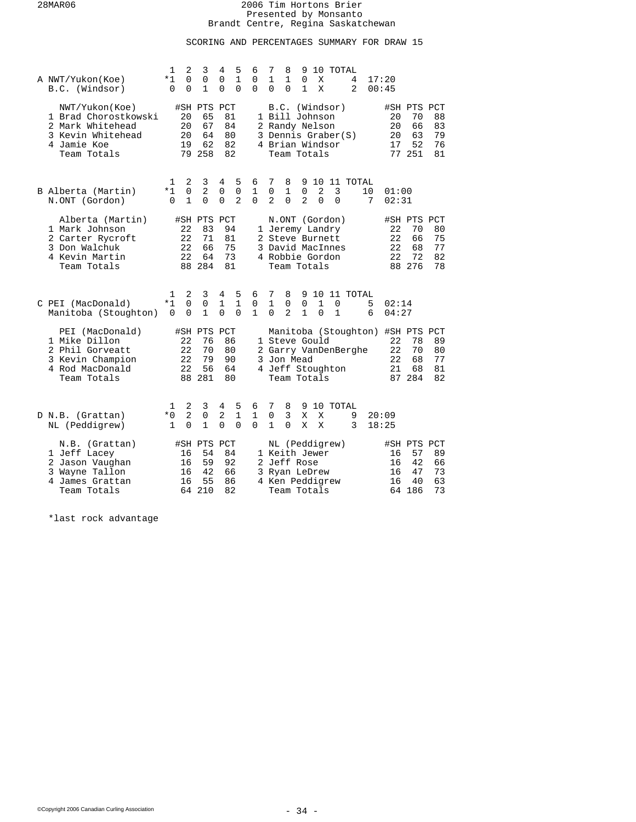# SCORING AND PERCENTAGES SUMMARY FOR DRAW 15

| A NWT/Yukon(Koe)<br>B.C. (Windsor)                                                                            | 1<br>*1<br>0             | $\overline{2}$<br>0<br>0         | 3<br>0<br>$\mathbf{1}$                        | 4<br>0<br>0        | 5<br>1<br>$\Omega$                 | 6<br>0<br>$\Omega$            | 7<br>$\mathbf{1}$<br>$\Omega$      | 8<br>1<br>$\Omega$                 | 9<br>0<br>$\mathbf{1}$                                                          | X<br>X        | 10 TOTAL                                              | 4<br>2               |                      | 17:20<br>00:45       |                                               |                            |
|---------------------------------------------------------------------------------------------------------------|--------------------------|----------------------------------|-----------------------------------------------|--------------------|------------------------------------|-------------------------------|------------------------------------|------------------------------------|---------------------------------------------------------------------------------|---------------|-------------------------------------------------------|----------------------|----------------------|----------------------|-----------------------------------------------|----------------------------|
| NWT/Yukon(Koe)<br>1 Brad Chorostkowski<br>2 Mark Whitehead<br>3 Kevin Whitehead<br>4 Jamie Koe<br>Team Totals |                          | 20<br>20<br>20<br>19             | #SH PTS PCT<br>65<br>67<br>64<br>62<br>79 258 | 82                 | 81<br>84<br>80<br>82               |                               |                                    |                                    | 1 Bill Johnson<br>2 Randy Nelson<br>4 Brian Windsor<br>Team Totals              |               | B.C. (Windsor)<br>3 Dennis Graber(S)                  |                      |                      | 20<br>20<br>20<br>17 | #SH PTS PCT<br>70<br>66<br>63<br>52<br>77 251 | 88<br>83<br>79<br>76<br>81 |
| B Alberta (Martin)<br>N.ONT (Gordon)                                                                          | 1<br>*1<br>$\Omega$      | 2<br>$\mathbf 0$<br>$\mathbf{1}$ | 3<br>$\overline{2}$<br>$\Omega$               | 4<br>0<br>$\Omega$ | 5<br>$\mathsf 0$<br>$\overline{2}$ | 6<br>$\mathbf{1}$<br>$\Omega$ | 7<br>$\mathbf 0$<br>$\overline{a}$ | 8<br>$\mathbf{1}$<br>$\Omega$      | 9<br>$\mathbf 0$<br>$\overline{a}$                                              | 2<br>$\Omega$ | 3<br>$\Omega$                                         | 10 11 TOTAL          | 10<br>7              | 01:00<br>02:31       |                                               |                            |
| Alberta (Martin)<br>1 Mark Johnson<br>2 Carter Rycroft<br>3 Don Walchuk<br>4 Kevin Martin<br>Team Totals      |                          | 22<br>22<br>22<br>22             | #SH PTS<br>83<br>71<br>66<br>64<br>88 284     | PCT                | 94<br>81<br>75<br>73<br>81         |                               |                                    |                                    | 2 Steve Burnett<br>4 Robbie Gordon<br>Team Totals                               |               | N.ONT (Gordon)<br>1 Jeremy Landry<br>3 David MacInnes |                      |                      | 22<br>22<br>22<br>22 | #SH PTS PCT<br>70<br>66<br>68<br>72<br>88 276 | 80<br>75<br>77<br>82<br>78 |
| C PEI (MacDonald)<br>Manitoba (Stoughton)                                                                     | 1<br>$*1$<br>$\Omega$    | 2<br>$\Omega$<br>$\Omega$        | 3<br>$\mathbf 0$<br>1                         | 4<br>1<br>$\Omega$ | 5<br>$\mathbf{1}$<br>$\Omega$      | 6<br>0<br>$\mathbf{1}$        | 7<br>$\mathbf{1}$<br>$\Omega$      | 8<br>$\mathbf 0$<br>$\overline{a}$ | 0<br>$\mathbf{1}$                                                               | 1<br>$\Omega$ | 0<br>1                                                | 9 10 11 TOTAL        | 5<br>6               | 02:14<br>04:27       |                                               |                            |
| PEI (MacDonald)<br>1 Mike Dillon<br>2 Phil Gorveatt<br>3 Kevin Champion<br>4 Rod MacDonald<br>Team Totals     |                          | 22<br>22<br>22<br>22             | #SH PTS<br>76<br>70<br>79<br>56<br>88 281     | PCT<br>86          | 80<br>90<br>64<br>80               |                               |                                    |                                    | 1 Steve Gould<br>3 Jon Mead<br>Team Totals                                      |               | 4 Jeff Stoughton                                      | 2 Garry VanDenBerghe | Manitoba (Stoughton) | 22<br>22<br>22<br>21 | #SH PTS PCT<br>78<br>70<br>68<br>68<br>87 284 | 89<br>80<br>77<br>81<br>82 |
| D N.B. (Grattan)<br>NL (Peddigrew)                                                                            | 1<br>$*0$<br>$\mathbf 1$ | 2<br>$\overline{2}$<br>$\Omega$  | 3<br>$\mathbf 0$<br>$\mathbf{1}$              | 4<br>2<br>$\Omega$ | 5<br>$\mathbf 1$<br>$\Omega$       | 6<br>$\mathbf{1}$<br>$\Omega$ | 7<br>$\mathbf 0$<br>$\mathbf{1}$   | 8<br>3<br>$\Omega$                 | 9<br>X<br>X                                                                     | X<br>X        | 10 TOTAL                                              | 9<br>3               |                      | 20:09<br>18:25       |                                               |                            |
| N.B. (Grattan)<br>1 Jeff Lacey<br>2 Jason Vaughan<br>3 Wayne Tallon<br>4 James Grattan<br>Team Totals         |                          | 16<br>16<br>16<br>16<br>64       | #SH PTS PCT<br>54<br>59<br>42<br>55<br>210    | 92                 | 84<br>66<br>86<br>82               |                               |                                    |                                    | 1 Keith Jewer<br>2 Jeff Rose<br>3 Ryan LeDrew<br>4 Ken Peddigrew<br>Team Totals |               | NL (Peddigrew)                                        |                      |                      | 16<br>16<br>16<br>16 | #SH PTS PCT<br>57<br>42<br>47<br>40<br>64 186 | 89<br>66<br>73<br>63<br>73 |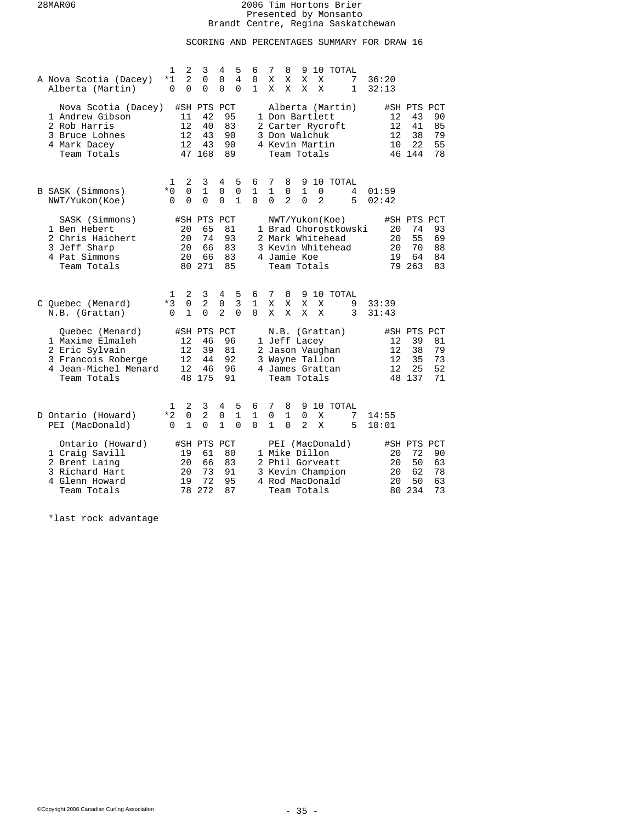# SCORING AND PERCENTAGES SUMMARY FOR DRAW 16

| A Nova Scotia (Dacey)<br>Alberta (Martin)                                                                          | $\mathbf{1}$<br>2<br>$\overline{2}$<br>*1<br>$\Omega$<br>$\Omega$ | 3<br>0<br>$\Omega$                            | 4<br>5<br>4<br>0<br>$\Omega$<br>$\Omega$                               | 6<br>0<br>1                   | 7<br>8<br>10 TOTAL<br>9<br>X<br>Χ<br>Χ<br>Χ<br>7<br>36:20<br>$\mathbf{1}$<br>X<br>Χ<br>X<br>Χ<br>32:13                                                        |                                                                   |
|--------------------------------------------------------------------------------------------------------------------|-------------------------------------------------------------------|-----------------------------------------------|------------------------------------------------------------------------|-------------------------------|---------------------------------------------------------------------------------------------------------------------------------------------------------------|-------------------------------------------------------------------|
| Nova Scotia (Dacey)<br>1 Andrew Gibson<br>2 Rob Harris<br>3 Bruce Lohnes<br>4 Mark Dacey<br>Team Totals            | 11<br>12<br>12<br>12                                              | #SH PTS PCT<br>42<br>40<br>43<br>43<br>47 168 | 95<br>83<br>90<br>90<br>89                                             |                               | Alberta (Martin)<br>12<br>1 Don Bartlett<br>12<br>2 Carter Rycroft<br>3 Don Walchuk<br>12<br>4 Kevin Martin<br>10<br>Team Totals<br>46 144                    | #SH PTS PCT<br>43<br>90<br>41<br>85<br>38<br>79<br>22<br>55<br>78 |
| B SASK (Simmons)<br>NWT/Yukon(Koe)                                                                                 | 2<br>1<br>$*0$<br>$\mathbf 0$<br>$\Omega$<br>$\Omega$             | 3<br>$\mathbf{1}$<br>$\Omega$                 | 4<br>5<br>$\mathbf 0$<br>$\mathbf 0$<br>$\Omega$<br>$\mathbf{1}$       | 6<br>$\mathbf{1}$<br>$\Omega$ | 10 TOTAL<br>7<br>8<br>9<br>$\mathbf{1}$<br>0<br>$\mathbf{1}$<br>0<br>4<br>01:59<br>$\overline{a}$<br>$\Omega$<br>$\overline{a}$<br>5<br>$\Omega$<br>02:42     |                                                                   |
| SASK (Simmons)<br>1 Ben Hebert<br>2 Chris Haichert<br>3 Jeff Sharp<br>4 Pat Simmons<br>Team Totals                 | 20<br>20<br>20<br>20                                              | #SH PTS PCT<br>65<br>74<br>66<br>66<br>80 271 | 81<br>93<br>83<br>83<br>85                                             |                               | NWT/Yukon(Koe)<br>1 Brad Chorostkowski<br>20<br>2 Mark Whitehead<br>20<br>3 Kevin Whitehead<br>20<br>4 Jamie Koe<br>19<br>79 263<br>Team Totals               | #SH PTS PCT<br>74<br>93<br>55<br>69<br>70<br>88<br>64<br>84<br>83 |
| C Quebec (Menard)<br>N.B. (Grattan)                                                                                | 2<br>1<br>$*3$<br>$\mathbf 0$<br>$\mathbf{1}$<br>$\Omega$         | 3<br>$\overline{2}$<br>$\Omega$               | 5<br>4<br>$\overline{3}$<br>$\mathsf{O}$<br>$\overline{a}$<br>$\Omega$ | 6<br>1<br>$\Omega$            | 7<br>8<br>10 TOTAL<br>9<br>9<br>Χ<br>Χ<br>Χ<br>Χ<br>33:39<br>X<br>X<br>3<br>X<br>X<br>31:43                                                                   |                                                                   |
| Ouebec (Menard)<br>1 Maxime Elmaleh<br>2 Eric Sylvain<br>3 Francois Roberge<br>4 Jean-Michel Menard<br>Team Totals | 12<br>12<br>12<br>12                                              | #SH PTS<br>46<br>39<br>44<br>46<br>48 175     | PCT<br>96<br>81<br>92<br>96<br>91                                      |                               | N.B. (Grattan)<br>1 Jeff Lacey<br>12<br>2 Jason Vaughan<br>12<br>3 Wayne Tallon<br>12<br>4 James Grattan<br>12<br>Team Totals<br>48 137                       | #SH PTS PCT<br>39<br>81<br>38<br>79<br>35<br>73<br>25<br>52<br>71 |
| D Ontario (Howard)<br>PEI (MacDonald)                                                                              | 2<br>1<br>$*2$<br>0<br>$\mathbf 1$<br>$\Omega$                    | 3<br>2<br>$\Omega$                            | 5<br>4<br>1<br>0<br>$\mathbf{1}$<br>0                                  | 6<br>1<br>$\Omega$            | 7<br>8<br>9<br>10 TOTAL<br>0<br>1<br>0<br>X<br>14:55<br>7<br>$\mathbf{1}$<br>0<br>$\overline{a}$<br>X<br>5<br>10:01                                           |                                                                   |
| Ontario (Howard)<br>1 Craig Savill<br>2 Brent Laing<br>3 Richard Hart<br>4 Glenn Howard<br>Team Totals             | 19<br>20<br>20<br>19<br>78                                        | #SH PTS PCT<br>61<br>66<br>73<br>72<br>272    | 80<br>83<br>91<br>95<br>87                                             |                               | PEI (MacDonald)<br>#SH PTS PCT<br>1 Mike Dillon<br>20<br>2 Phil Gorveatt<br>20<br>3 Kevin Champion<br>20<br>20<br>4 Rod MacDonald<br>234<br>Team Totals<br>80 | 72<br>90<br>50<br>63<br>62<br>78<br>50<br>63<br>73                |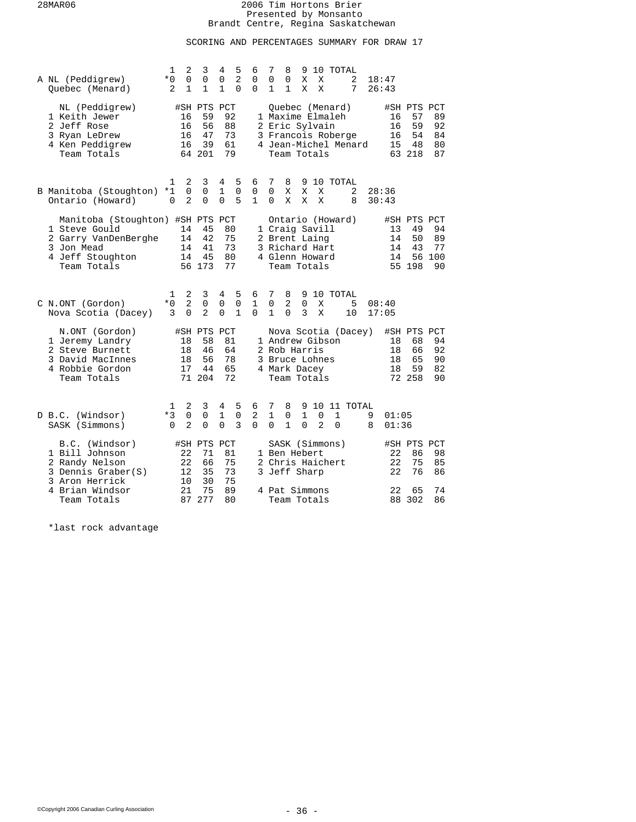# SCORING AND PERCENTAGES SUMMARY FOR DRAW 17

| A NL (Peddigrew)<br>Ouebec (Menard)                                                                                        | 1<br>$*0$<br>2        | 2<br>0<br>1              | 3<br>0<br>$\mathbf 1$                         | 4<br>$\mathbf 0$<br>$\mathbf{1}$ | 5<br>2<br>$\Omega$    | 6<br>$\mathbf 0$<br>$\Omega$     | 7<br>0<br>1                   | 8<br>0<br>$\mathbf{1}$                                                             | 9<br>Χ<br>X        | 10<br>X<br>X              |                                                           | TOTAL<br>2<br>7      | 18:47<br>26:43 |                      |                                               |                             |
|----------------------------------------------------------------------------------------------------------------------------|-----------------------|--------------------------|-----------------------------------------------|----------------------------------|-----------------------|----------------------------------|-------------------------------|------------------------------------------------------------------------------------|--------------------|---------------------------|-----------------------------------------------------------|----------------------|----------------|----------------------|-----------------------------------------------|-----------------------------|
| NL (Peddigrew)<br>1 Keith Jewer<br>2 Jeff Rose<br>3 Ryan LeDrew<br>4 Ken Peddigrew<br>Team Totals                          |                       | 16<br>16<br>16<br>16     | #SH PTS PCT<br>59<br>56<br>47<br>39<br>64 201 | 92<br>88<br>73<br>61<br>79       |                       |                                  |                               | 2 Eric Sylvain<br>Team Totals                                                      |                    |                           | Ouebec (Menard)<br>1 Maxime Elmaleh<br>3 Francois Roberge | 4 Jean-Michel Menard |                | 16<br>16<br>16<br>15 | #SH PTS PCT<br>57<br>59<br>54<br>48<br>63 218 | 89<br>92<br>84<br>80<br>87  |
| B Manitoba (Stoughton)<br>Ontario (Howard)                                                                                 | 1<br>$*1$<br>0        | 2<br>0<br>$\overline{a}$ | 3<br>$\Omega$<br>$\Omega$                     | 4<br>$\mathbf{1}$<br>$\Omega$    | 5<br>$\Omega$<br>5    | 6<br>$\mathbf 0$<br>$\mathbf{1}$ | 7<br>$\Omega$<br>$\Omega$     | 8<br>Χ<br>X                                                                        | X<br>X             | X<br>X                    | 9 10 TOTAL                                                | 2<br>8               | 30:43          | 28:36                |                                               |                             |
| Manitoba (Stoughton) #SH PTS PCT<br>1 Steve Gould<br>2 Garry VanDenBerghe<br>3 Jon Mead<br>4 Jeff Stoughton<br>Team Totals |                       | 14<br>14<br>14<br>14     | 45<br>42<br>41<br>45<br>56 173                | 80<br>75<br>73<br>80<br>77       |                       |                                  |                               | 1 Craig Savill<br>2 Brent Laing<br>3 Richard Hart<br>4 Glenn Howard<br>Team Totals |                    |                           | Ontario (Howard)                                          |                      |                | 13<br>14<br>14<br>14 | #SH PTS PCT<br>49<br>50<br>43<br>56<br>55 198 | 94<br>89<br>77<br>100<br>90 |
| C N.ONT (Gordon)<br>Nova Scotia (Dacey)                                                                                    | 1<br>$*0$<br>3        | 2<br>$\overline{a}$<br>0 | 3<br>0<br>2                                   | 4<br>$\mathbf 0$<br>$\mathbf 0$  | 5<br>$\mathbf 0$<br>1 | 6<br>$\mathbf{1}$<br>$\Omega$    | 7<br>$\mathbf 0$<br>1         | 8<br>2<br>0                                                                        | 0<br>3             | X<br>X                    | 9 10 TOTAL                                                | 5<br>10              | 08:40<br>17:05 |                      |                                               |                             |
| N.ONT (Gordon)<br>1 Jeremy Landry<br>2 Steve Burnett<br>3 David MacInnes<br>4 Robbie Gordon<br>Team Totals                 |                       | 18<br>18<br>18<br>17     | #SH PTS PCT<br>58<br>46<br>56<br>44<br>71 204 | 81<br>64<br>78<br>65<br>72       |                       |                                  |                               | 1 Andrew Gibson<br>2 Rob Harris<br>3 Bruce Lohnes<br>4 Mark Dacey<br>Team Totals   |                    |                           |                                                           | Nova Scotia (Dacey)  |                | 18<br>18<br>18<br>18 | #SH PTS PCT<br>68<br>66<br>65<br>59<br>72 258 | 94<br>92<br>90<br>82<br>90  |
| D B.C. (Windsor)<br>SASK (Simmons)                                                                                         | 1<br>$*3$<br>$\Omega$ | 2<br>0<br>$\overline{2}$ | 3<br>0<br>0                                   | 4<br>$1\,$<br>$\Omega$           | 5<br>0<br>3           | 6<br>$\overline{2}$<br>$\Omega$  | 7<br>$\mathbf{1}$<br>$\Omega$ | 8<br>0<br>$\mathbf{1}$                                                             | 9<br>1<br>$\Omega$ | 10<br>0<br>$\overline{a}$ | 1<br>$\Omega$                                             | 11 TOTAL             | 9<br>8         | 01:05<br>01:36       |                                               |                             |
| B.C. (Windsor)<br>1 Bill Johnson<br>2 Randy Nelson<br>3 Dennis Graber(S)<br>3 Aron Herrick                                 |                       | 22<br>22<br>12<br>10     | #SH PTS PCT<br>71<br>66<br>35<br>30           | 81<br>75<br>73<br>75             |                       |                                  |                               | 1 Ben Hebert<br>3 Jeff Sharp                                                       |                    |                           | SASK (Simmons)<br>2 Chris Haichert                        |                      |                | 22<br>22<br>22       | #SH PTS PCT<br>86<br>75<br>76                 | 98<br>85<br>86              |
| 4 Brian Windsor<br>Team Totals                                                                                             |                       | 21<br>87                 | 75<br>277                                     | 89<br>80                         |                       |                                  |                               | 4 Pat Simmons<br>Team Totals                                                       |                    |                           |                                                           |                      |                | 22<br>88             | 65<br>302                                     | 74<br>86                    |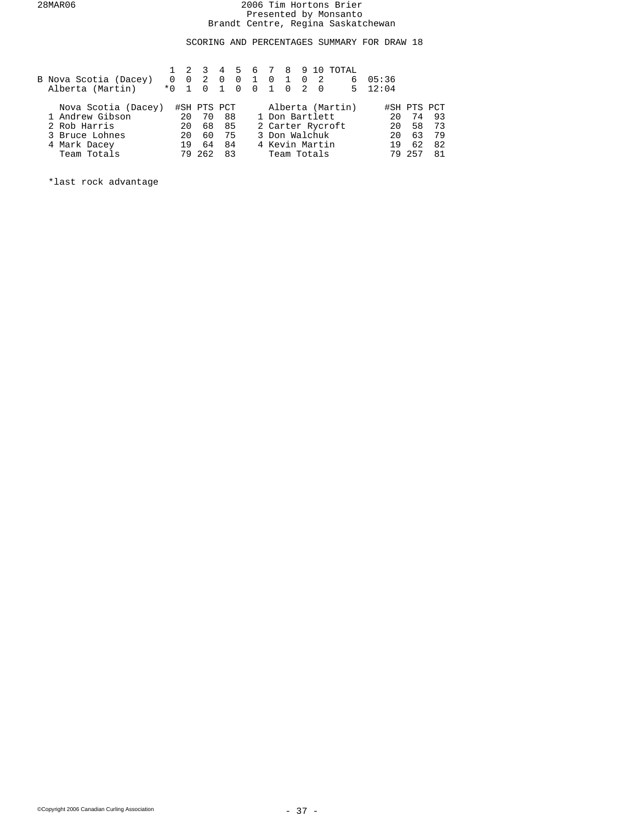SCORING AND PERCENTAGES SUMMARY FOR DRAW 18

|                       |        |    | $1 \t2 \t3$         |                |                |             |                |           | 4 5 6 7 8 9 10 TOTAL |                 |             |      |
|-----------------------|--------|----|---------------------|----------------|----------------|-------------|----------------|-----------|----------------------|-----------------|-------------|------|
| B Nova Scotia (Dacey) |        |    | $0 \quad 0 \quad 2$ | $\overline{0}$ | $\overline{0}$ | $1 \quad 0$ | 1 0 2          |           |                      | 605:36          |             |      |
| Alberta (Martin)      | $*0$ 1 |    | $\Omega$            | $\overline{1}$ | $\Omega$       | $0\quad1$   | $0\quad 2$     | <u>ິດ</u> |                      | $5 \quad 12:04$ |             |      |
| Nova Scotia (Dacey)   |        |    | #SH PTS PCT         |                |                |             |                |           | Alberta (Martin)     |                 | #SH PTS PCT |      |
| 1 Andrew Gibson       |        | 20 | 70                  | 88             |                |             |                |           | 1 Don Bartlett       | 20              | 74          | - 93 |
| 2 Rob Harris          |        | 20 | 68                  | 85             |                |             |                |           | 2 Carter Rycroft     | 20              | 58          | 73   |
| 3 Bruce Lohnes        |        | 20 | 60                  | 75             |                |             | 3 Don Walchuk  |           |                      | 20              | 63          | 79   |
| 4 Mark Dacey          |        | 19 | 64                  | 84             |                |             | 4 Kevin Martin |           |                      | 19              | 62          | 82   |
| Team Totals           |        |    | 79 262              | 83             |                |             | Team Totals    |           |                      | 79              | 257         | 81   |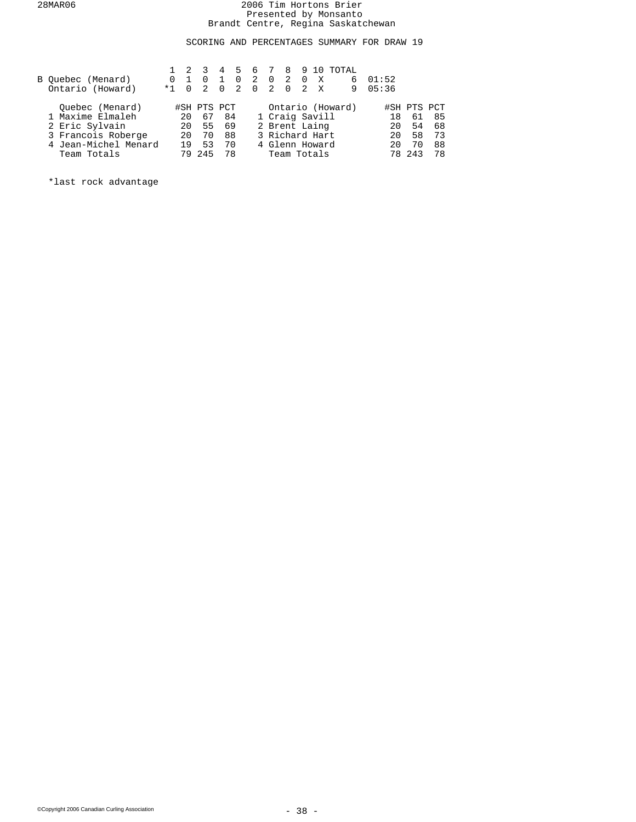SCORING AND PERCENTAGES SUMMARY FOR DRAW 19

|   |                                                | 4        | 5        | 6                                            |                |  |     |           |                                                                                                                        |       |                       |
|---|------------------------------------------------|----------|----------|----------------------------------------------|----------------|--|-----|-----------|------------------------------------------------------------------------------------------------------------------------|-------|-----------------------|
| 0 | $\Omega$                                       |          | $\Omega$ | 2                                            | $\Omega$       |  | X   | 6         | 01:52                                                                                                                  |       |                       |
|   | $\overline{2}$                                 | $\Omega$ |          |                                              |                |  |     | 9         |                                                                                                                        |       |                       |
|   |                                                |          |          |                                              |                |  |     |           |                                                                                                                        |       |                       |
|   |                                                |          |          |                                              |                |  |     |           | 18                                                                                                                     | 61    | 85                    |
|   |                                                |          |          |                                              |                |  |     |           | 20                                                                                                                     | 54    | 68                    |
|   | 70                                             |          |          |                                              |                |  |     |           | 20                                                                                                                     | 58    | 73                    |
|   | 53                                             |          |          |                                              |                |  |     |           | 20                                                                                                                     | 70    | 88                    |
|   |                                                |          |          |                                              |                |  |     |           |                                                                                                                        |       | 78                    |
|   | $\Omega$<br>$*1$<br>20<br>20<br>20<br>19<br>79 | 245      | 67       | #SH PTS PCT<br>84<br>55 69<br>88<br>70<br>78 | $\overline{2}$ |  | 2 0 | 0 2 0 2 X | 8 9 10 TOTAL<br>Ontario (Howard)<br>1 Craig Savill<br>2 Brent Laing<br>3 Richard Hart<br>4 Glenn Howard<br>Team Totals | 05:36 | #SH PTS PCT<br>78 243 |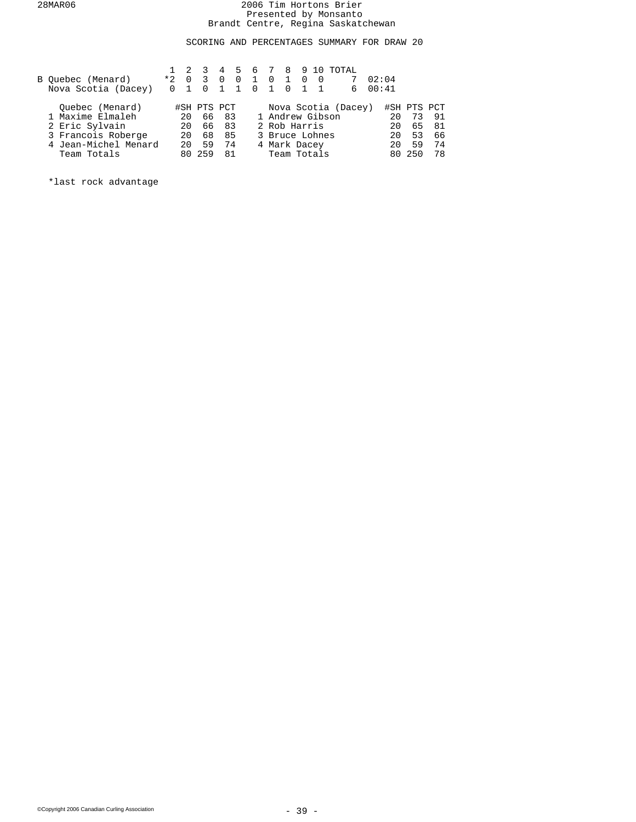SCORING AND PERCENTAGES SUMMARY FOR DRAW 20

|                      |          |                | $1 \t2 \t3$             |           |          |            |                 |             |           |                          | 4 5 6 7 8 9 10 TOTAL |       |    |             |    |
|----------------------|----------|----------------|-------------------------|-----------|----------|------------|-----------------|-------------|-----------|--------------------------|----------------------|-------|----|-------------|----|
| B Ouebec (Menard)    | $*2$     | $\overline{0}$ | $\overline{\mathbf{3}}$ | $\Omega$  | $\Omega$ | 1 0        |                 | $1 \quad 0$ |           | $\overline{\phantom{0}}$ |                      | 02:04 |    |             |    |
| Nova Scotia (Dacey)  | $\Omega$ |                | $\overline{0}$          | $1\quad1$ |          | $0\quad 1$ |                 |             | $0\quad1$ | $\overline{1}$           | 6                    | 00:41 |    |             |    |
|                      |          |                |                         |           |          |            |                 |             |           |                          |                      |       |    |             |    |
| Ouebec (Menard)      |          |                | #SH PTS PCT             |           |          |            |                 |             |           |                          | Nova Scotia (Dacey)  |       |    | #SH PTS PCT |    |
| 1 Maxime Elmaleh     |          | 20             |                         | 66 83     |          |            | 1 Andrew Gibson |             |           |                          |                      |       | 20 | 73          | 91 |
| 2 Eric Sylvain       |          | 20             |                         | 66 83     |          |            | 2 Rob Harris    |             |           |                          |                      |       | 20 | 65          | 81 |
| 3 Francois Roberge   |          | 20             | 68                      | 85        |          |            | 3 Bruce Lohnes  |             |           |                          |                      |       | 20 | 53          | 66 |
| 4 Jean-Michel Menard |          | 20             | 59                      | 74        |          |            | 4 Mark Dacey    |             |           |                          |                      |       | 20 | 59          | 74 |
| Team Totals          |          |                | 80 259                  | 81        |          |            | Team Totals     |             |           |                          |                      |       |    | 80 250      | 78 |